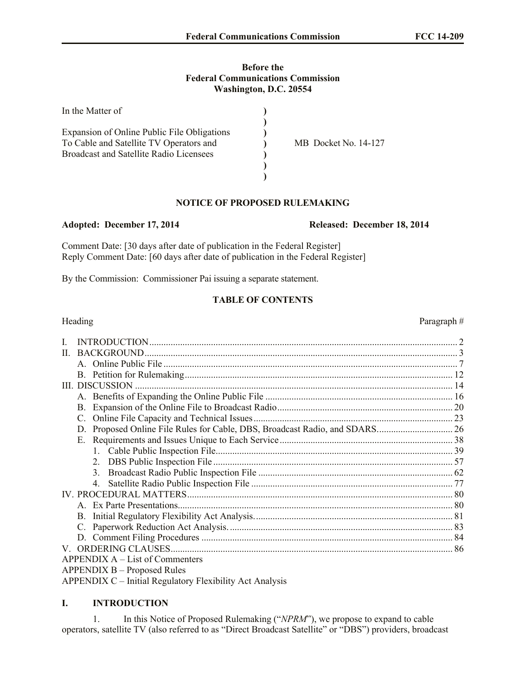## **Before the Federal Communications Commission Washington, D.C. 20554**

| In the Matter of                               |                      |
|------------------------------------------------|----------------------|
|                                                |                      |
| Expansion of Online Public File Obligations    |                      |
| To Cable and Satellite TV Operators and        | MB Docket No. 14-127 |
| <b>Broadcast and Satellite Radio Licensees</b> |                      |
|                                                |                      |
|                                                |                      |

# **NOTICE OF PROPOSED RULEMAKING**

## **Adopted: December 17, 2014 Released: December 18, 2014**

Comment Date: [30 days after date of publication in the Federal Register] Reply Comment Date: [60 days after date of publication in the Federal Register]

By the Commission: Commissioner Pai issuing a separate statement.

# **TABLE OF CONTENTS**

# Heading Paragraph  $#$ I. INTRODUCTION.................................................................................................................................. 2 II. BACKGROUND.................................................................................................................................... 3 A. Online Public File ............................................................................................................................ 7 B. Petition for Rulemaking................................................................................................................. 12 III. DISCUSSION ...................................................................................................................................... 14 A. Benefits of Expanding the Online Public File ............................................................................... 16 B. Expansion of the Online File to Broadcast Radio.......................................................................... 20 C. Online File Capacity and Technical Issues.................................................................................... 23 D. Proposed Online File Rules for Cable, DBS, Broadcast Radio, and SDARS................................ 26 E. Requirements and Issues Unique to Each Service......................................................................... 38 1. Cable Public Inspection File.................................................................................................... 39 2. DBS Public Inspection File ..................................................................................................... 57 3. Broadcast Radio Public Inspection File .................................................................................. 62 4. Satellite Radio Public Inspection File ..................................................................................... 77 IV. PROCEDURAL MATTERS................................................................................................................ 80 A. Ex Parte Presentations.................................................................................................................... 80 B. Initial Regulatory Flexibility Act Analysis.................................................................................... 81 C. Paperwork Reduction Act Analysis............................................................................................... 83 D. Comment Filing Procedures .......................................................................................................... 84 V. ORDERING CLAUSES....................................................................................................................... 86 APPENDIX A – List of Commenters APPENDIX B – Proposed Rules APPENDIX C – Initial Regulatory Flexibility Act Analysis

## **I. INTRODUCTION**

1. In this Notice of Proposed Rulemaking ("*NPRM*"), we propose to expand to cable operators, satellite TV (also referred to as "Direct Broadcast Satellite" or "DBS") providers, broadcast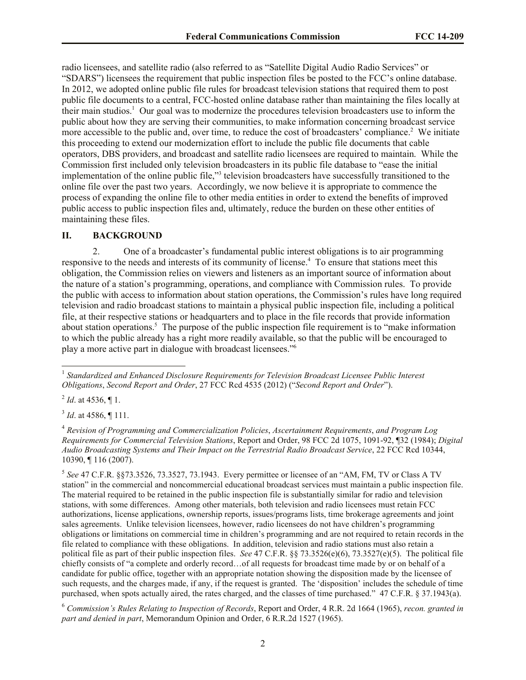radio licensees, and satellite radio (also referred to as "Satellite Digital Audio Radio Services" or "SDARS") licensees the requirement that public inspection files be posted to the FCC's online database. In 2012, we adopted online public file rules for broadcast television stations that required them to post public file documents to a central, FCC-hosted online database rather than maintaining the files locally at their main studios.<sup>1</sup> Our goal was to modernize the procedures television broadcasters use to inform the public about how they are serving their communities, to make information concerning broadcast service more accessible to the public and, over time, to reduce the cost of broadcasters' compliance.<sup>2</sup> We initiate this proceeding to extend our modernization effort to include the public file documents that cable operators, DBS providers, and broadcast and satellite radio licensees are required to maintain. While the Commission first included only television broadcasters in its public file database to "ease the initial implementation of the online public file,"<sup>3</sup> television broadcasters have successfully transitioned to the online file over the past two years. Accordingly, we now believe it is appropriate to commence the process of expanding the online file to other media entities in order to extend the benefits of improved public access to public inspection files and, ultimately, reduce the burden on these other entities of maintaining these files.

## **II. BACKGROUND**

2. One of a broadcaster's fundamental public interest obligations is to air programming responsive to the needs and interests of its community of license.<sup>4</sup> To ensure that stations meet this obligation, the Commission relies on viewers and listeners as an important source of information about the nature of a station's programming, operations, and compliance with Commission rules. To provide the public with access to information about station operations, the Commission's rules have long required television and radio broadcast stations to maintain a physical public inspection file, including a political file, at their respective stations or headquarters and to place in the file records that provide information about station operations.<sup>5</sup> The purpose of the public inspection file requirement is to "make information" to which the public already has a right more readily available, so that the public will be encouraged to play a more active part in dialogue with broadcast licensees." 6

 $^{2}$  *Id.* at 4536,  $\P$  1.

l

3 *Id*. at 4586, ¶ 111.

5 *See* 47 C.F.R. §§73.3526, 73.3527, 73.1943. Every permittee or licensee of an "AM, FM, TV or Class A TV station" in the commercial and noncommercial educational broadcast services must maintain a public inspection file. The material required to be retained in the public inspection file is substantially similar for radio and television stations, with some differences. Among other materials, both television and radio licensees must retain FCC authorizations, license applications, ownership reports, issues/programs lists, time brokerage agreements and joint sales agreements. Unlike television licensees, however, radio licensees do not have children's programming obligations or limitations on commercial time in children's programming and are not required to retain records in the file related to compliance with these obligations. In addition, television and radio stations must also retain a political file as part of their public inspection files. *See* 47 C.F.R. §§ 73.3526(e)(6), 73.3527(e)(5). The political file chiefly consists of "a complete and orderly record…of all requests for broadcast time made by or on behalf of a candidate for public office, together with an appropriate notation showing the disposition made by the licensee of such requests, and the charges made, if any, if the request is granted. The 'disposition' includes the schedule of time purchased, when spots actually aired, the rates charged, and the classes of time purchased." 47 C.F.R. § 37.1943(a).

<sup>6</sup> *Commission's Rules Relating to Inspection of Records*, Report and Order, 4 R.R. 2d 1664 (1965), *recon. granted in part and denied in part*, Memorandum Opinion and Order, 6 R.R.2d 1527 (1965).

<sup>&</sup>lt;sup>1</sup> Standardized and Enhanced Disclosure Requirements for Television Broadcast Licensee Public Interest *Obligations*, *Second Report and Order*, 27 FCC Rcd 4535 (2012) ("*Second Report and Order*").

<sup>4</sup> *Revision of Programming and Commercialization Policies*, *Ascertainment Requirements*, *and Program Log Requirements for Commercial Television Stations*, Report and Order, 98 FCC 2d 1075, 1091-92, ¶32 (1984); *Digital Audio Broadcasting Systems and Their Impact on the Terrestrial Radio Broadcast Service*, 22 FCC Rcd 10344, 10390, ¶ 116 (2007).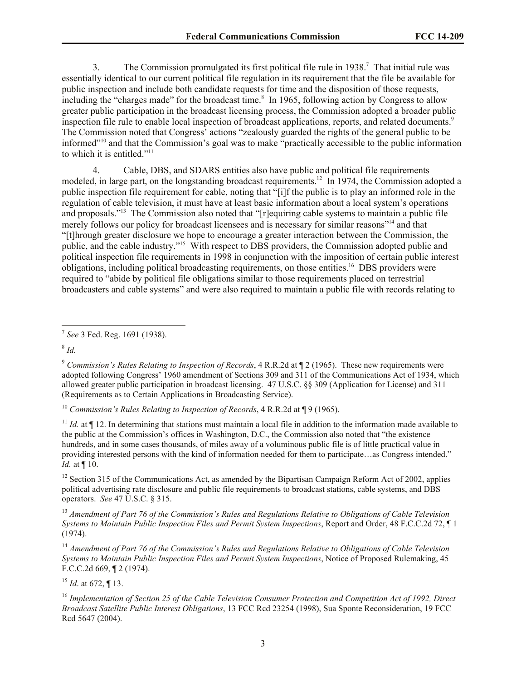3. The Commission promulgated its first political file rule in 1938. 7 That initial rule was essentially identical to our current political file regulation in its requirement that the file be available for public inspection and include both candidate requests for time and the disposition of those requests, including the "charges made" for the broadcast time.<sup>8</sup> In 1965, following action by Congress to allow greater public participation in the broadcast licensing process, the Commission adopted a broader public inspection file rule to enable local inspection of broadcast applications, reports, and related documents.<sup>9</sup> The Commission noted that Congress' actions "zealously guarded the rights of the general public to be informed"<sup>10</sup> and that the Commission's goal was to make "practically accessible to the public information to which it is entitled."<sup>11</sup>

4. Cable, DBS, and SDARS entities also have public and political file requirements modeled, in large part, on the longstanding broadcast requirements.<sup>12</sup> In 1974, the Commission adopted a public inspection file requirement for cable, noting that "[i]f the public is to play an informed role in the regulation of cable television, it must have at least basic information about a local system's operations and proposals."<sup>13</sup> The Commission also noted that "[r]equiring cable systems to maintain a public file merely follows our policy for broadcast licensees and is necessary for similar reasons"<sup>14</sup> and that "[t]hrough greater disclosure we hope to encourage a greater interaction between the Commission, the public, and the cable industry."<sup>15</sup> With respect to DBS providers, the Commission adopted public and political inspection file requirements in 1998 in conjunction with the imposition of certain public interest obligations, including political broadcasting requirements, on those entities.<sup>16</sup> DBS providers were required to "abide by political file obligations similar to those requirements placed on terrestrial broadcasters and cable systems" and were also required to maintain a public file with records relating to

8 *Id.*

 $\overline{a}$ 

<sup>10</sup> *Commission's Rules Relating to Inspection of Records*, 4 R.R.2d at ¶ 9 (1965).

<sup>11</sup> *Id.* at  $\P$  12. In determining that stations must maintain a local file in addition to the information made available to the public at the Commission's offices in Washington, D.C., the Commission also noted that "the existence hundreds, and in some cases thousands, of miles away of a voluminous public file is of little practical value in providing interested persons with the kind of information needed for them to participate…as Congress intended." *Id.* at ¶ 10.

<sup>12</sup> Section 315 of the Communications Act, as amended by the Bipartisan Campaign Reform Act of 2002, applies political advertising rate disclosure and public file requirements to broadcast stations, cable systems, and DBS operators. *See* 47 U.S.C. § 315.

<sup>13</sup> *Amendment of Part 76 of the Commission's Rules and Regulations Relative to Obligations of Cable Television Systems to Maintain Public Inspection Files and Permit System Inspections*, Report and Order, 48 F.C.C.2d 72, ¶ 1 (1974).

<sup>14</sup> *Amendment of Part 76 of the Commission's Rules and Regulations Relative to Obligations of Cable Television Systems to Maintain Public Inspection Files and Permit System Inspections*, Notice of Proposed Rulemaking, 45 F.C.C.2d 669, ¶ 2 (1974).

<sup>15</sup> *Id*. at 672, ¶ 13.

<sup>16</sup> *Implementation of Section 25 of the Cable Television Consumer Protection and Competition Act of 1992, Direct Broadcast Satellite Public Interest Obligations*, 13 FCC Rcd 23254 (1998), Sua Sponte Reconsideration, 19 FCC Rcd 5647 (2004).

<sup>7</sup> *See* 3 Fed. Reg. 1691 (1938).

<sup>9</sup> *Commission's Rules Relating to Inspection of Records*, 4 R.R.2d at ¶ 2 (1965). These new requirements were adopted following Congress' 1960 amendment of Sections 309 and 311 of the Communications Act of 1934, which allowed greater public participation in broadcast licensing. 47 U.S.C. §§ 309 (Application for License) and 311 (Requirements as to Certain Applications in Broadcasting Service).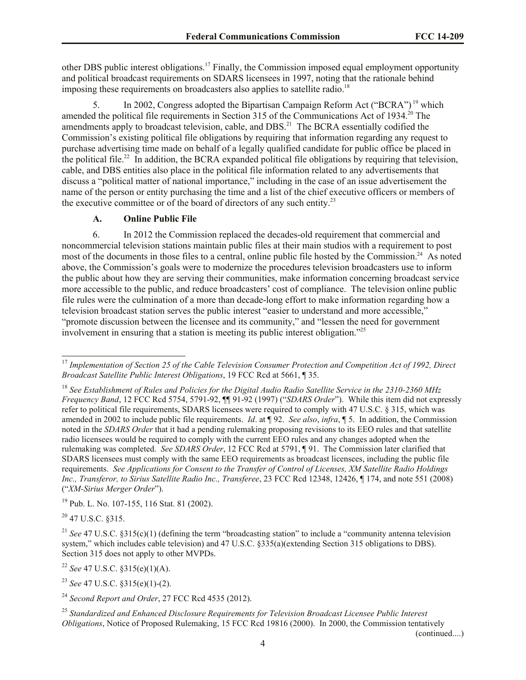other DBS public interest obligations.<sup>17</sup> Finally, the Commission imposed equal employment opportunity and political broadcast requirements on SDARS licensees in 1997, noting that the rationale behind imposing these requirements on broadcasters also applies to satellite radio.<sup>18</sup>

5. In 2002, Congress adopted the Bipartisan Campaign Reform Act ("BCRA") <sup>19</sup> which amended the political file requirements in Section 315 of the Communications Act of 1934.<sup>20</sup> The amendments apply to broadcast television, cable, and DBS.<sup>21</sup> The BCRA essentially codified the Commission's existing political file obligations by requiring that information regarding any request to purchase advertising time made on behalf of a legally qualified candidate for public office be placed in the political file.<sup>22</sup> In addition, the BCRA expanded political file obligations by requiring that television, cable, and DBS entities also place in the political file information related to any advertisements that discuss a "political matter of national importance," including in the case of an issue advertisement the name of the person or entity purchasing the time and a list of the chief executive officers or members of the executive committee or of the board of directors of any such entity.<sup>23</sup>

## **A. Online Public File**

6. In 2012 the Commission replaced the decades-old requirement that commercial and noncommercial television stations maintain public files at their main studios with a requirement to post most of the documents in those files to a central, online public file hosted by the Commission.<sup>24</sup> As noted above, the Commission's goals were to modernize the procedures television broadcasters use to inform the public about how they are serving their communities, make information concerning broadcast service more accessible to the public, and reduce broadcasters' cost of compliance. The television online public file rules were the culmination of a more than decade-long effort to make information regarding how a television broadcast station serves the public interest "easier to understand and more accessible," "promote discussion between the licensee and its community," and "lessen the need for government involvement in ensuring that a station is meeting its public interest obligation."<sup>25</sup>

<sup>19</sup> Pub. L. No. 107-155, 116 Stat. 81 (2002).

 $^{20}$  47 U.S.C. 8315.

<sup>22</sup> *See* 47 U.S.C. §315(e)(1)(A).

(continued....)

l <sup>17</sup> Implementation of Section 25 of the Cable Television Consumer Protection and Competition Act of 1992, Direct *Broadcast Satellite Public Interest Obligations*, 19 FCC Rcd at 5661, ¶ 35.

<sup>18</sup> *See Establishment of Rules and Policies for the Digital Audio Radio Satellite Service in the 2310-2360 MHz Frequency Band*, 12 FCC Rcd 5754, 5791-92, ¶¶ 91-92 (1997) ("*SDARS Order*"). While this item did not expressly refer to political file requirements, SDARS licensees were required to comply with 47 U.S.C. § 315, which was amended in 2002 to include public file requirements. *Id*. at ¶ 92. *See also*, *infra*, ¶ 5. In addition, the Commission noted in the *SDARS Order* that it had a pending rulemaking proposing revisions to its EEO rules and that satellite radio licensees would be required to comply with the current EEO rules and any changes adopted when the rulemaking was completed. *See SDARS Order*, 12 FCC Rcd at 5791, ¶ 91. The Commission later clarified that SDARS licensees must comply with the same EEO requirements as broadcast licensees, including the public file requirements. *See Applications for Consent to the Transfer of Control of Licenses, XM Satellite Radio Holdings Inc., Transferor, to Sirius Satellite Radio Inc., Transferee*, 23 FCC Rcd 12348, 12426, ¶ 174, and note 551 (2008) ("*XM-Sirius Merger Order*").

<sup>&</sup>lt;sup>21</sup> *See* 47 U.S.C. §315(c)(1) (defining the term "broadcasting station" to include a "community antenna television" system," which includes cable television) and 47 U.S.C. §335(a)(extending Section 315 obligations to DBS). Section 315 does not apply to other MVPDs.

<sup>23</sup> *See* 47 U.S.C. §315(e)(1)-(2).

<sup>24</sup> *Second Report and Order*, 27 FCC Rcd 4535 (2012).

<sup>25</sup> *Standardized and Enhanced Disclosure Requirements for Television Broadcast Licensee Public Interest Obligations*, Notice of Proposed Rulemaking, 15 FCC Rcd 19816 (2000). In 2000, the Commission tentatively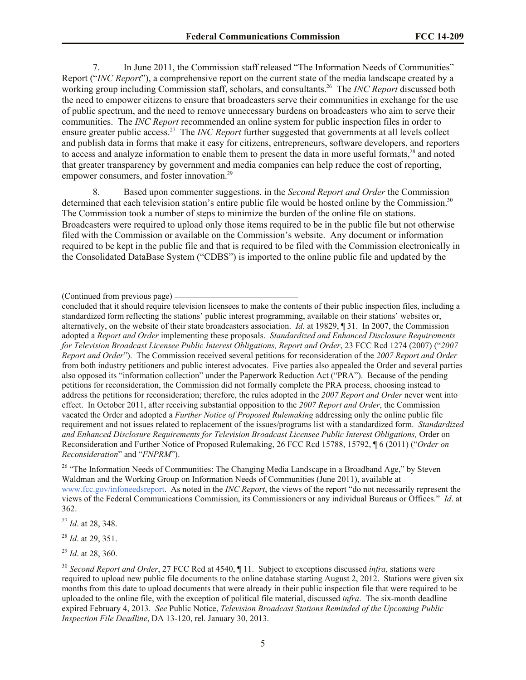7. In June 2011, the Commission staff released "The Information Needs of Communities" Report ("*INC Report*"), a comprehensive report on the current state of the media landscape created by a working group including Commission staff, scholars, and consultants.<sup>26</sup> The *INC Report* discussed both the need to empower citizens to ensure that broadcasters serve their communities in exchange for the use of public spectrum, and the need to remove unnecessary burdens on broadcasters who aim to serve their communities. The *INC Report* recommended an online system for public inspection files in order to ensure greater public access.<sup>27</sup> The *INC Report* further suggested that governments at all levels collect and publish data in forms that make it easy for citizens, entrepreneurs, software developers, and reporters to access and analyze information to enable them to present the data in more useful formats,<sup>28</sup> and noted that greater transparency by government and media companies can help reduce the cost of reporting, empower consumers, and foster innovation.<sup>29</sup>

8. Based upon commenter suggestions, in the *Second Report and Order* the Commission determined that each television station's entire public file would be hosted online by the Commission.<sup>30</sup> The Commission took a number of steps to minimize the burden of the online file on stations. Broadcasters were required to upload only those items required to be in the public file but not otherwise filed with the Commission or available on the Commission's website. Any document or information required to be kept in the public file and that is required to be filed with the Commission electronically in the Consolidated DataBase System ("CDBS") is imported to the online public file and updated by the

concluded that it should require television licensees to make the contents of their public inspection files, including a standardized form reflecting the stations' public interest programming, available on their stations' websites or, alternatively, on the website of their state broadcasters association. *Id.* at 19829, ¶ 31. In 2007, the Commission adopted a *Report and Order* implementing these proposals. *Standardized and Enhanced Disclosure Requirements for Television Broadcast Licensee Public Interest Obligations, Report and Order*, 23 FCC Rcd 1274 (2007) ("*2007 Report and Order*"). The Commission received several petitions for reconsideration of the *2007 Report and Order* from both industry petitioners and public interest advocates. Five parties also appealed the Order and several parties also opposed its "information collection" under the Paperwork Reduction Act ("PRA"). Because of the pending petitions for reconsideration, the Commission did not formally complete the PRA process, choosing instead to address the petitions for reconsideration; therefore, the rules adopted in the *2007 Report and Order* never went into effect. In October 2011, after receiving substantial opposition to the *2007 Report and Order*, the Commission vacated the Order and adopted a *Further Notice of Proposed Rulemaking* addressing only the online public file requirement and not issues related to replacement of the issues/programs list with a standardized form. *Standardized and Enhanced Disclosure Requirements for Television Broadcast Licensee Public Interest Obligations,* Order on Reconsideration and Further Notice of Proposed Rulemaking, 26 FCC Rcd 15788, 15792, ¶ 6 (2011) ("*Order on Reconsideration*" and "*FNPRM*").

<sup>26</sup> "The Information Needs of Communities: The Changing Media Landscape in a Broadband Age," by Steven Waldman and the Working Group on Information Needs of Communities (June 2011), available at www.fcc.gov/infoneedsreport. As noted in the *INC Report*, the views of the report "do not necessarily represent the views of the Federal Communications Commission, its Commissioners or any individual Bureaus or Offices." *Id*. at 362.

<sup>27</sup> *Id*. at 28, 348.

<sup>28</sup> *Id*. at 29, 351.

<sup>29</sup> *Id*. at 28, 360.

<sup>(</sup>Continued from previous page)

<sup>30</sup> *Second Report and Order*, 27 FCC Rcd at 4540, ¶ 11. Subject to exceptions discussed *infra,* stations were required to upload new public file documents to the online database starting August 2, 2012. Stations were given six months from this date to upload documents that were already in their public inspection file that were required to be uploaded to the online file, with the exception of political file material, discussed *infra*. The six-month deadline expired February 4, 2013. *See* Public Notice, *Television Broadcast Stations Reminded of the Upcoming Public Inspection File Deadline*, DA 13-120, rel. January 30, 2013.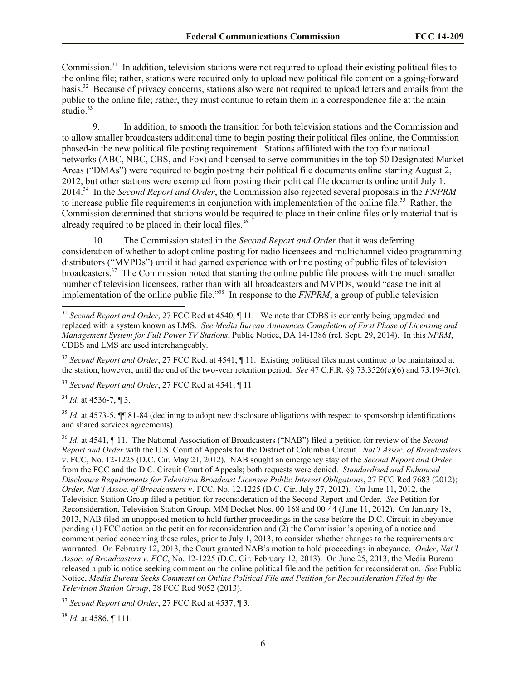Commission.<sup>31</sup> In addition, television stations were not required to upload their existing political files to the online file; rather, stations were required only to upload new political file content on a going-forward basis.<sup>32</sup> Because of privacy concerns, stations also were not required to upload letters and emails from the public to the online file; rather, they must continue to retain them in a correspondence file at the main studio.<sup>33</sup>

9. In addition, to smooth the transition for both television stations and the Commission and to allow smaller broadcasters additional time to begin posting their political files online, the Commission phased-in the new political file posting requirement. Stations affiliated with the top four national networks (ABC, NBC, CBS, and Fox) and licensed to serve communities in the top 50 Designated Market Areas ("DMAs") were required to begin posting their political file documents online starting August 2, 2012, but other stations were exempted from posting their political file documents online until July 1, 2014.<sup>34</sup> In the *Second Report and Order*, the Commission also rejected several proposals in the *FNPRM* to increase public file requirements in conjunction with implementation of the online file.<sup>35</sup> Rather, the Commission determined that stations would be required to place in their online files only material that is already required to be placed in their local files.<sup>36</sup>

10. The Commission stated in the *Second Report and Order* that it was deferring consideration of whether to adopt online posting for radio licensees and multichannel video programming distributors ("MVPDs") until it had gained experience with online posting of public files of television broadcasters.<sup>37</sup> The Commission noted that starting the online public file process with the much smaller number of television licensees, rather than with all broadcasters and MVPDs, would "ease the initial implementation of the online public file."<sup>38</sup> In response to the *FNPRM*, a group of public television

<sup>32</sup> *Second Report and Order*, 27 FCC Rcd. at 4541, ¶ 11. Existing political files must continue to be maintained at the station, however, until the end of the two-year retention period. *See* 47 C.F.R. §§ 73.3526(e)(6) and 73.1943(c).

<sup>33</sup> *Second Report and Order*, 27 FCC Rcd at 4541, ¶ 11.

<sup>34</sup> *Id*. at 4536-7, ¶ 3.

 $\overline{a}$ 

<sup>35</sup> *Id.* at 4573-5,  $\P\P$  81-84 (declining to adopt new disclosure obligations with respect to sponsorship identifications and shared services agreements).

<sup>36</sup> *Id*. at 4541, ¶ 11. The National Association of Broadcasters ("NAB") filed a petition for review of the *Second Report and Order* with the U.S. Court of Appeals for the District of Columbia Circuit. *Nat'l Assoc. of Broadcasters* v. FCC, No. 12-1225 (D.C. Cir. May 21, 2012). NAB sought an emergency stay of the *Second Report and Order* from the FCC and the D.C. Circuit Court of Appeals; both requests were denied. *Standardized and Enhanced Disclosure Requirements for Television Broadcast Licensee Public Interest Obligations*, 27 FCC Rcd 7683 (2012); *Order*, *Nat'l Assoc. of Broadcasters* v. FCC, No. 12-1225 (D.C. Cir. July 27, 2012). On June 11, 2012, the Television Station Group filed a petition for reconsideration of the Second Report and Order. *See* Petition for Reconsideration, Television Station Group, MM Docket Nos. 00-168 and 00-44 (June 11, 2012). On January 18, 2013, NAB filed an unopposed motion to hold further proceedings in the case before the D.C. Circuit in abeyance pending (1) FCC action on the petition for reconsideration and (2) the Commission's opening of a notice and comment period concerning these rules, prior to July 1, 2013, to consider whether changes to the requirements are warranted. On February 12, 2013, the Court granted NAB's motion to hold proceedings in abeyance. *Order*, *Nat'l Assoc. of Broadcasters v. FCC*, No. 12-1225 (D.C. Cir. February 12, 2013). On June 25, 2013, the Media Bureau released a public notice seeking comment on the online political file and the petition for reconsideration. *See* Public Notice, *Media Bureau Seeks Comment on Online Political File and Petition for Reconsideration Filed by the Television Station Group*, 28 FCC Rcd 9052 (2013).

<sup>37</sup> *Second Report and Order*, 27 FCC Rcd at 4537, ¶ 3.

<sup>38</sup> *Id*. at 4586, ¶ 111.

<sup>&</sup>lt;sup>31</sup> *Second Report and Order*, 27 FCC Rcd at 4540, ¶ 11. We note that CDBS is currently being upgraded and replaced with a system known as LMS. *See Media Bureau Announces Completion of First Phase of Licensing and Management System for Full Power TV Stations*, Public Notice, DA 14-1386 (rel. Sept. 29, 2014). In this *NPRM*, CDBS and LMS are used interchangeably.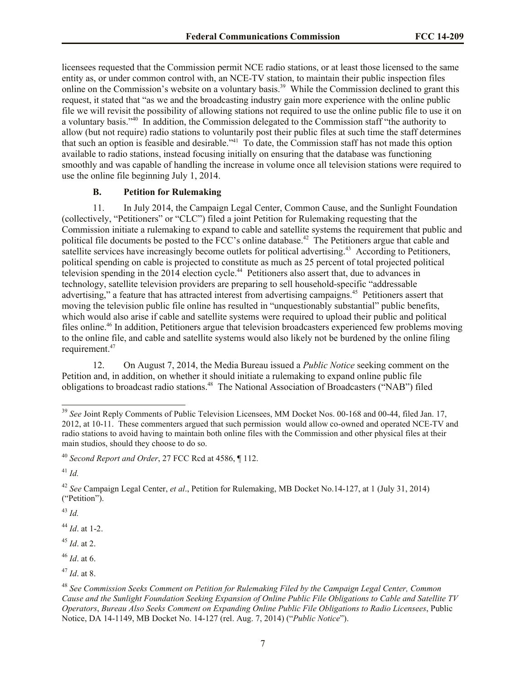licensees requested that the Commission permit NCE radio stations, or at least those licensed to the same entity as, or under common control with, an NCE-TV station, to maintain their public inspection files online on the Commission's website on a voluntary basis.<sup>39</sup> While the Commission declined to grant this request, it stated that "as we and the broadcasting industry gain more experience with the online public file we will revisit the possibility of allowing stations not required to use the online public file to use it on a voluntary basis."<sup>40</sup> In addition, the Commission delegated to the Commission staff "the authority to allow (but not require) radio stations to voluntarily post their public files at such time the staff determines that such an option is feasible and desirable.<sup>"41</sup> To date, the Commission staff has not made this option available to radio stations, instead focusing initially on ensuring that the database was functioning smoothly and was capable of handling the increase in volume once all television stations were required to use the online file beginning July 1, 2014.

## **B. Petition for Rulemaking**

11. In July 2014, the Campaign Legal Center, Common Cause, and the Sunlight Foundation (collectively, "Petitioners" or "CLC") filed a joint Petition for Rulemaking requesting that the Commission initiate a rulemaking to expand to cable and satellite systems the requirement that public and political file documents be posted to the FCC's online database.<sup>42</sup> The Petitioners argue that cable and satellite services have increasingly become outlets for political advertising.<sup>43</sup> According to Petitioners, political spending on cable is projected to constitute as much as 25 percent of total projected political television spending in the 2014 election cycle.<sup>44</sup> Petitioners also assert that, due to advances in technology, satellite television providers are preparing to sell household-specific "addressable advertising," a feature that has attracted interest from advertising campaigns.<sup>45</sup> Petitioners assert that moving the television public file online has resulted in "unquestionably substantial" public benefits, which would also arise if cable and satellite systems were required to upload their public and political files online.<sup>46</sup> In addition, Petitioners argue that television broadcasters experienced few problems moving to the online file, and cable and satellite systems would also likely not be burdened by the online filing requirement.<sup>47</sup>

12. On August 7, 2014, the Media Bureau issued a *Public Notice* seeking comment on the Petition and, in addition, on whether it should initiate a rulemaking to expand online public file obligations to broadcast radio stations. 48 The National Association of Broadcasters ("NAB") filed

<sup>41</sup> *Id.*

l

<sup>42</sup> *See* Campaign Legal Center, *et al*., Petition for Rulemaking, MB Docket No.14-127, at 1 (July 31, 2014) ("Petition").

<sup>43</sup> *Id.*

<sup>44</sup> *Id*. at 1-2.

<sup>45</sup> *Id*. at 2.

<sup>&</sup>lt;sup>39</sup> See Joint Reply Comments of Public Television Licensees, MM Docket Nos. 00-168 and 00-44, filed Jan. 17, 2012, at 10-11. These commenters argued that such permission would allow co-owned and operated NCE-TV and radio stations to avoid having to maintain both online files with the Commission and other physical files at their main studios, should they choose to do so.

<sup>40</sup> *Second Report and Order*, 27 FCC Rcd at 4586, ¶ 112.

<sup>46</sup> *Id*. at 6.

<sup>47</sup> *Id*. at 8.

<sup>48</sup> *See Commission Seeks Comment on Petition for Rulemaking Filed by the Campaign Legal Center, Common Cause and the Sunlight Foundation Seeking Expansion of Online Public File Obligations to Cable and Satellite TV Operators*, *Bureau Also Seeks Comment on Expanding Online Public File Obligations to Radio Licensees*, Public Notice, DA 14-1149, MB Docket No. 14-127 (rel. Aug. 7, 2014) ("*Public Notice*").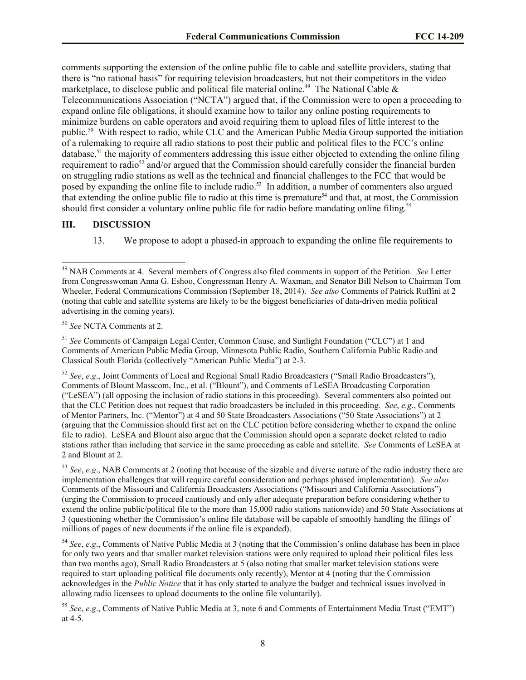comments supporting the extension of the online public file to cable and satellite providers, stating that there is "no rational basis" for requiring television broadcasters, but not their competitors in the video marketplace, to disclose public and political file material online.<sup>49</sup> The National Cable  $\&$ Telecommunications Association ("NCTA") argued that, if the Commission were to open a proceeding to expand online file obligations, it should examine how to tailor any online posting requirements to minimize burdens on cable operators and avoid requiring them to upload files of little interest to the public.<sup>50</sup> With respect to radio, while CLC and the American Public Media Group supported the initiation of a rulemaking to require all radio stations to post their public and political files to the FCC's online database,<sup>51</sup> the majority of commenters addressing this issue either objected to extending the online filing requirement to radio<sup>52</sup> and/or argued that the Commission should carefully consider the financial burden on struggling radio stations as well as the technical and financial challenges to the FCC that would be posed by expanding the online file to include radio.<sup>53</sup> In addition, a number of commenters also argued that extending the online public file to radio at this time is premature<sup>54</sup> and that, at most, the Commission should first consider a voluntary online public file for radio before mandating online filing.<sup>55</sup>

#### **III. DISCUSSION**

 $\overline{a}$ 

13. We propose to adopt a phased-in approach to expanding the online file requirements to

<sup>50</sup> *See* NCTA Comments at 2.

<sup>51</sup> *See* Comments of Campaign Legal Center, Common Cause, and Sunlight Foundation ("CLC") at 1 and Comments of American Public Media Group, Minnesota Public Radio, Southern California Public Radio and Classical South Florida (collectively "American Public Media") at 2-3.

<sup>52</sup> *See*, *e.g*., Joint Comments of Local and Regional Small Radio Broadcasters ("Small Radio Broadcasters"), Comments of Blount Masscom, Inc., et al. ("Blount"), and Comments of LeSEA Broadcasting Corporation ("LeSEA") (all opposing the inclusion of radio stations in this proceeding). Several commenters also pointed out that the CLC Petition does not request that radio broadcasters be included in this proceeding. *See*, *e.g*., Comments of Mentor Partners, Inc. ("Mentor") at 4 and 50 State Broadcasters Associations ("50 State Associations") at 2 (arguing that the Commission should first act on the CLC petition before considering whether to expand the online file to radio). LeSEA and Blount also argue that the Commission should open a separate docket related to radio stations rather than including that service in the same proceeding as cable and satellite. *See* Comments of LeSEA at 2 and Blount at 2.

<sup>53</sup> *See*, *e.g*., NAB Comments at 2 (noting that because of the sizable and diverse nature of the radio industry there are implementation challenges that will require careful consideration and perhaps phased implementation). *See also* Comments of the Missouri and California Broadcasters Associations ("Missouri and California Associations") (urging the Commission to proceed cautiously and only after adequate preparation before considering whether to extend the online public/political file to the more than 15,000 radio stations nationwide) and 50 State Associations at 3 (questioning whether the Commission's online file database will be capable of smoothly handling the filings of millions of pages of new documents if the online file is expanded).

<sup>54</sup> *See*, *e.g*., Comments of Native Public Media at 3 (noting that the Commission's online database has been in place for only two years and that smaller market television stations were only required to upload their political files less than two months ago), Small Radio Broadcasters at 5 (also noting that smaller market television stations were required to start uploading political file documents only recently), Mentor at 4 (noting that the Commission acknowledges in the *Public Notice* that it has only started to analyze the budget and technical issues involved in allowing radio licensees to upload documents to the online file voluntarily).

<sup>55</sup> *See*, *e.g*., Comments of Native Public Media at 3, note 6 and Comments of Entertainment Media Trust ("EMT") at 4-5.

<sup>49</sup> NAB Comments at 4. Several members of Congress also filed comments in support of the Petition. *See* Letter from Congresswoman Anna G. Eshoo, Congressman Henry A. Waxman, and Senator Bill Nelson to Chairman Tom Wheeler, Federal Communications Commission (September 18, 2014). *See also* Comments of Patrick Ruffini at 2 (noting that cable and satellite systems are likely to be the biggest beneficiaries of data-driven media political advertising in the coming years).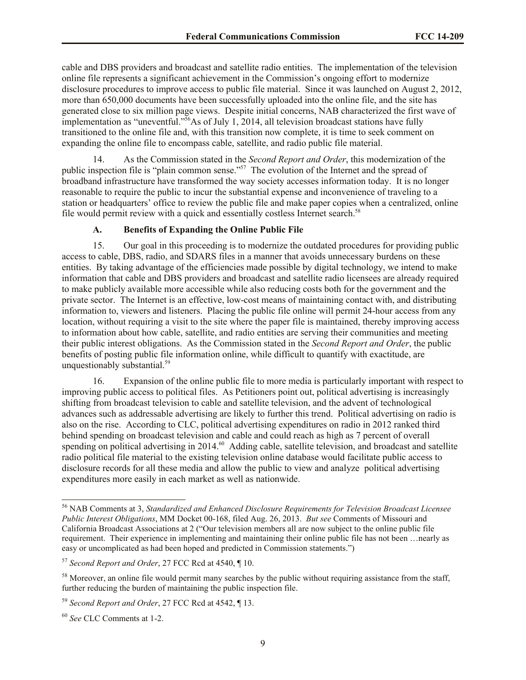cable and DBS providers and broadcast and satellite radio entities. The implementation of the television online file represents a significant achievement in the Commission's ongoing effort to modernize disclosure procedures to improve access to public file material. Since it was launched on August 2, 2012, more than 650,000 documents have been successfully uploaded into the online file, and the site has generated close to six million page views. Despite initial concerns, NAB characterized the first wave of implementation as "uneventful." $56$ As of July 1, 2014, all television broadcast stations have fully transitioned to the online file and, with this transition now complete, it is time to seek comment on expanding the online file to encompass cable, satellite, and radio public file material.

As the Commission stated in the *Second Report and Order*, this modernization of the public inspection file is "plain common sense."<sup>57</sup> The evolution of the Internet and the spread of broadband infrastructure have transformed the way society accesses information today. It is no longer reasonable to require the public to incur the substantial expense and inconvenience of traveling to a station or headquarters' office to review the public file and make paper copies when a centralized, online file would permit review with a quick and essentially costless Internet search.<sup>58</sup>

# **A. Benefits of Expanding the Online Public File**

15. Our goal in this proceeding is to modernize the outdated procedures for providing public access to cable, DBS, radio, and SDARS files in a manner that avoids unnecessary burdens on these entities. By taking advantage of the efficiencies made possible by digital technology, we intend to make information that cable and DBS providers and broadcast and satellite radio licensees are already required to make publicly available more accessible while also reducing costs both for the government and the private sector. The Internet is an effective, low-cost means of maintaining contact with, and distributing information to, viewers and listeners. Placing the public file online will permit 24-hour access from any location, without requiring a visit to the site where the paper file is maintained, thereby improving access to information about how cable, satellite, and radio entities are serving their communities and meeting their public interest obligations. As the Commission stated in the *Second Report and Order*, the public benefits of posting public file information online, while difficult to quantify with exactitude, are unquestionably substantial.<sup>59</sup>

16. Expansion of the online public file to more media is particularly important with respect to improving public access to political files. As Petitioners point out, political advertising is increasingly shifting from broadcast television to cable and satellite television, and the advent of technological advances such as addressable advertising are likely to further this trend. Political advertising on radio is also on the rise. According to CLC, political advertising expenditures on radio in 2012 ranked third behind spending on broadcast television and cable and could reach as high as 7 percent of overall spending on political advertising in 2014.<sup>60</sup> Adding cable, satellite television, and broadcast and satellite radio political file material to the existing television online database would facilitate public access to disclosure records for all these media and allow the public to view and analyze political advertising expenditures more easily in each market as well as nationwide.

<sup>56</sup> NAB Comments at 3, *Standardized and Enhanced Disclosure Requirements for Television Broadcast Licensee Public Interest Obligations*, MM Docket 00-168, filed Aug. 26, 2013. *But see* Comments of Missouri and California Broadcast Associations at 2 ("Our television members all are now subject to the online public file requirement. Their experience in implementing and maintaining their online public file has not been …nearly as easy or uncomplicated as had been hoped and predicted in Commission statements.")

<sup>57</sup> *Second Report and Order*, 27 FCC Rcd at 4540, ¶ 10.

<sup>&</sup>lt;sup>58</sup> Moreover, an online file would permit many searches by the public without requiring assistance from the staff, further reducing the burden of maintaining the public inspection file.

<sup>59</sup> *Second Report and Order*, 27 FCC Rcd at 4542, ¶ 13.

<sup>60</sup> *See* CLC Comments at 1-2.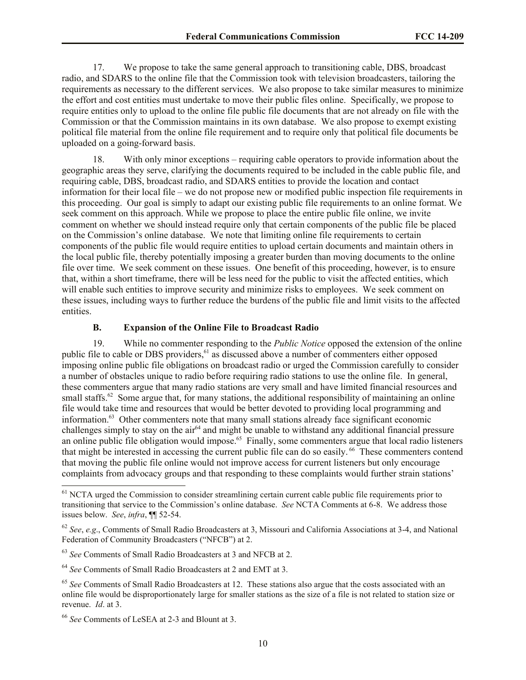17. We propose to take the same general approach to transitioning cable, DBS, broadcast radio, and SDARS to the online file that the Commission took with television broadcasters, tailoring the requirements as necessary to the different services. We also propose to take similar measures to minimize the effort and cost entities must undertake to move their public files online. Specifically, we propose to require entities only to upload to the online file public file documents that are not already on file with the Commission or that the Commission maintains in its own database. We also propose to exempt existing political file material from the online file requirement and to require only that political file documents be uploaded on a going-forward basis.

18. With only minor exceptions – requiring cable operators to provide information about the geographic areas they serve, clarifying the documents required to be included in the cable public file, and requiring cable, DBS, broadcast radio, and SDARS entities to provide the location and contact information for their local file – we do not propose new or modified public inspection file requirements in this proceeding. Our goal is simply to adapt our existing public file requirements to an online format. We seek comment on this approach. While we propose to place the entire public file online, we invite comment on whether we should instead require only that certain components of the public file be placed on the Commission's online database. We note that limiting online file requirements to certain components of the public file would require entities to upload certain documents and maintain others in the local public file, thereby potentially imposing a greater burden than moving documents to the online file over time. We seek comment on these issues. One benefit of this proceeding, however, is to ensure that, within a short timeframe, there will be less need for the public to visit the affected entities, which will enable such entities to improve security and minimize risks to employees. We seek comment on these issues, including ways to further reduce the burdens of the public file and limit visits to the affected entities.

## **B. Expansion of the Online File to Broadcast Radio**

19. While no commenter responding to the *Public Notice* opposed the extension of the online public file to cable or DBS providers,<sup>61</sup> as discussed above a number of commenters either opposed imposing online public file obligations on broadcast radio or urged the Commission carefully to consider a number of obstacles unique to radio before requiring radio stations to use the online file. In general, these commenters argue that many radio stations are very small and have limited financial resources and small staffs.<sup>62</sup> Some argue that, for many stations, the additional responsibility of maintaining an online file would take time and resources that would be better devoted to providing local programming and information.<sup>63</sup> Other commenters note that many small stations already face significant economic challenges simply to stay on the  $air<sup>64</sup>$  and might be unable to withstand any additional financial pressure an online public file obligation would impose.<sup>65</sup> Finally, some commenters argue that local radio listeners that might be interested in accessing the current public file can do so easily.<sup>66</sup> These commenters contend that moving the public file online would not improve access for current listeners but only encourage complaints from advocacy groups and that responding to these complaints would further strain stations'

<sup>&</sup>lt;sup>61</sup> NCTA urged the Commission to consider streamlining certain current cable public file requirements prior to transitioning that service to the Commission's online database. *See* NCTA Comments at 6-8. We address those issues below. *See*, *infra*, ¶¶ 52-54.

<sup>62</sup> *See*, *e.g*., Comments of Small Radio Broadcasters at 3, Missouri and California Associations at 3-4, and National Federation of Community Broadcasters ("NFCB") at 2.

<sup>63</sup> *See* Comments of Small Radio Broadcasters at 3 and NFCB at 2.

<sup>64</sup> *See* Comments of Small Radio Broadcasters at 2 and EMT at 3.

<sup>&</sup>lt;sup>65</sup> See Comments of Small Radio Broadcasters at 12. These stations also argue that the costs associated with an online file would be disproportionately large for smaller stations as the size of a file is not related to station size or revenue. *Id*. at 3.

<sup>66</sup> *See* Comments of LeSEA at 2-3 and Blount at 3.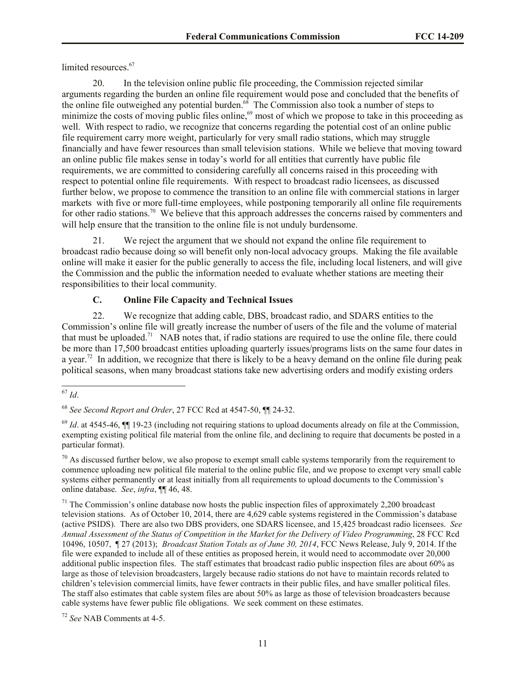limited resources. 67

20. In the television online public file proceeding, the Commission rejected similar arguments regarding the burden an online file requirement would pose and concluded that the benefits of the online file outweighed any potential burden.<sup>68</sup> The Commission also took a number of steps to minimize the costs of moving public files online,<sup>69</sup> most of which we propose to take in this proceeding as well. With respect to radio, we recognize that concerns regarding the potential cost of an online public file requirement carry more weight, particularly for very small radio stations, which may struggle financially and have fewer resources than small television stations. While we believe that moving toward an online public file makes sense in today's world for all entities that currently have public file requirements, we are committed to considering carefully all concerns raised in this proceeding with respect to potential online file requirements. With respect to broadcast radio licensees, as discussed further below, we propose to commence the transition to an online file with commercial stations in larger markets with five or more full-time employees, while postponing temporarily all online file requirements for other radio stations.<sup>70</sup> We believe that this approach addresses the concerns raised by commenters and will help ensure that the transition to the online file is not unduly burdensome.

21. We reject the argument that we should not expand the online file requirement to broadcast radio because doing so will benefit only non-local advocacy groups. Making the file available online will make it easier for the public generally to access the file, including local listeners, and will give the Commission and the public the information needed to evaluate whether stations are meeting their responsibilities to their local community.

## **C. Online File Capacity and Technical Issues**

22. We recognize that adding cable, DBS, broadcast radio, and SDARS entities to the Commission's online file will greatly increase the number of users of the file and the volume of material that must be uploaded.<sup>71</sup> NAB notes that, if radio stations are required to use the online file, there could be more than 17,500 broadcast entities uploading quarterly issues/programs lists on the same four dates in a year.<sup>72</sup> In addition, we recognize that there is likely to be a heavy demand on the online file during peak political seasons, when many broadcast stations take new advertising orders and modify existing orders

 $70$  As discussed further below, we also propose to exempt small cable systems temporarily from the requirement to commence uploading new political file material to the online public file, and we propose to exempt very small cable systems either permanently or at least initially from all requirements to upload documents to the Commission's online database. *See*, *infra*, ¶¶ 46, 48.

 $71$  The Commission's online database now hosts the public inspection files of approximately 2,200 broadcast television stations. As of October 10, 2014, there are 4,629 cable systems registered in the Commission's database (active PSIDS). There are also two DBS providers, one SDARS licensee, and 15,425 broadcast radio licensees.*See Annual Assessment of the Status of Competition in the Market for the Delivery of Video Programming*, 28 FCC Rcd 10496, 10507, ¶ 27 (2013); *Broadcast Station Totals as of June 30, 2014*, FCC News Release, July 9, 2014. If the file were expanded to include all of these entities as proposed herein, it would need to accommodate over 20,000 additional public inspection files. The staff estimates that broadcast radio public inspection files are about 60% as large as those of television broadcasters, largely because radio stations do not have to maintain records related to children's television commercial limits, have fewer contracts in their public files, and have smaller political files. The staff also estimates that cable system files are about 50% as large as those of television broadcasters because cable systems have fewer public file obligations. We seek comment on these estimates.

<sup>72</sup> *See* NAB Comments at 4-5.

 $\overline{a}$ <sup>67</sup> *Id*.

<sup>68</sup> *See Second Report and Order*, 27 FCC Rcd at 4547-50, ¶¶ 24-32.

 $^{69}$  *Id.* at 4545-46,  $\blacksquare$  19-23 (including not requiring stations to upload documents already on file at the Commission, exempting existing political file material from the online file, and declining to require that documents be posted in a particular format).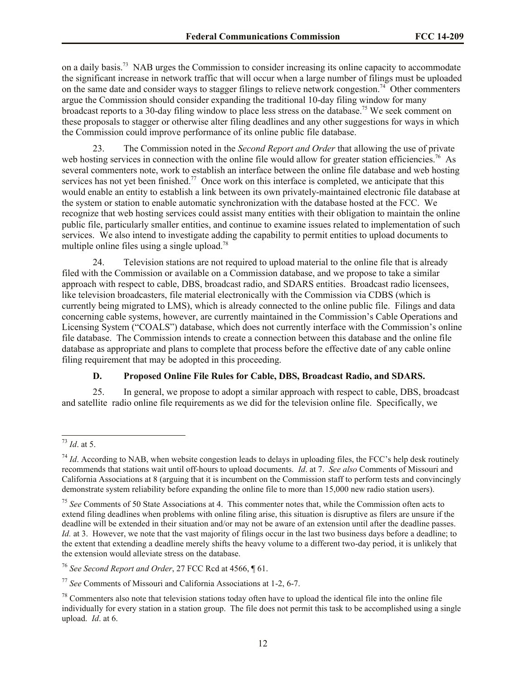on a daily basis.<sup>73</sup> NAB urges the Commission to consider increasing its online capacity to accommodate the significant increase in network traffic that will occur when a large number of filings must be uploaded on the same date and consider ways to stagger filings to relieve network congestion.<sup>74</sup> Other commenters argue the Commission should consider expanding the traditional 10-day filing window for many broadcast reports to a 30-day filing window to place less stress on the database.<sup>75</sup> We seek comment on these proposals to stagger or otherwise alter filing deadlines and any other suggestions for ways in which the Commission could improve performance of its online public file database.

23. The Commission noted in the *Second Report and Order* that allowing the use of private web hosting services in connection with the online file would allow for greater station efficiencies.<sup>76</sup> As several commenters note, work to establish an interface between the online file database and web hosting services has not yet been finished.<sup>77</sup> Once work on this interface is completed, we anticipate that this would enable an entity to establish a link between its own privately-maintained electronic file database at the system or station to enable automatic synchronization with the database hosted at the FCC. We recognize that web hosting services could assist many entities with their obligation to maintain the online public file, particularly smaller entities, and continue to examine issues related to implementation of such services. We also intend to investigate adding the capability to permit entities to upload documents to multiple online files using a single upload.<sup>78</sup>

24. Television stations are not required to upload material to the online file that is already filed with the Commission or available on a Commission database, and we propose to take a similar approach with respect to cable, DBS, broadcast radio, and SDARS entities. Broadcast radio licensees, like television broadcasters, file material electronically with the Commission via CDBS (which is currently being migrated to LMS), which is already connected to the online public file. Filings and data concerning cable systems, however, are currently maintained in the Commission's Cable Operations and Licensing System ("COALS") database, which does not currently interface with the Commission's online file database. The Commission intends to create a connection between this database and the online file database as appropriate and plans to complete that process before the effective date of any cable online filing requirement that may be adopted in this proceeding.

## **D. Proposed Online File Rules for Cable, DBS, Broadcast Radio, and SDARS.**

25. In general, we propose to adopt a similar approach with respect to cable, DBS, broadcast and satellite radio online file requirements as we did for the television online file. Specifically, we

 $\overline{a}$ 

<sup>76</sup> *See Second Report and Order*, 27 FCC Rcd at 4566, ¶ 61.

<sup>73</sup> *Id*. at 5.

 $^{74}$  *Id.* According to NAB, when website congestion leads to delays in uploading files, the FCC's help desk routinely recommends that stations wait until off-hours to upload documents. *Id*. at 7. *See also* Comments of Missouri and California Associations at 8 (arguing that it is incumbent on the Commission staff to perform tests and convincingly demonstrate system reliability before expanding the online file to more than 15,000 new radio station users).

<sup>75</sup> *See* Comments of 50 State Associations at 4. This commenter notes that, while the Commission often acts to extend filing deadlines when problems with online filing arise, this situation is disruptive as filers are unsure if the deadline will be extended in their situation and/or may not be aware of an extension until after the deadline passes. *Id.* at 3. However, we note that the vast majority of filings occur in the last two business days before a deadline; to the extent that extending a deadline merely shifts the heavy volume to a different two-day period, it is unlikely that the extension would alleviate stress on the database.

<sup>77</sup> *See* Comments of Missouri and California Associations at 1-2, 6-7.

 $78$  Commenters also note that television stations today often have to upload the identical file into the online file individually for every station in a station group. The file does not permit this task to be accomplished using a single upload. *Id*. at 6.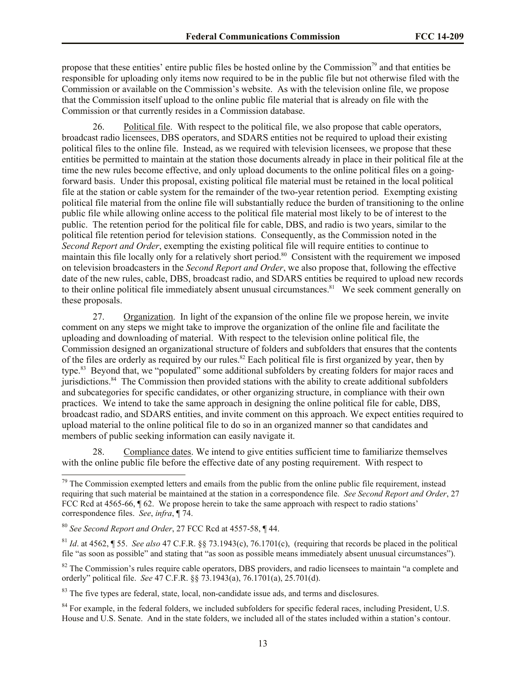propose that these entities' entire public files be hosted online by the Commission<sup>79</sup> and that entities be responsible for uploading only items now required to be in the public file but not otherwise filed with the Commission or available on the Commission's website. As with the television online file, we propose that the Commission itself upload to the online public file material that is already on file with the Commission or that currently resides in a Commission database.

26. Political file. With respect to the political file, we also propose that cable operators, broadcast radio licensees, DBS operators, and SDARS entities not be required to upload their existing political files to the online file. Instead, as we required with television licensees, we propose that these entities be permitted to maintain at the station those documents already in place in their political file at the time the new rules become effective, and only upload documents to the online political files on a goingforward basis. Under this proposal, existing political file material must be retained in the local political file at the station or cable system for the remainder of the two-year retention period. Exempting existing political file material from the online file will substantially reduce the burden of transitioning to the online public file while allowing online access to the political file material most likely to be of interest to the public. The retention period for the political file for cable, DBS, and radio is two years, similar to the political file retention period for television stations. Consequently, as the Commission noted in the *Second Report and Order*, exempting the existing political file will require entities to continue to maintain this file locally only for a relatively short period.<sup>80</sup> Consistent with the requirement we imposed on television broadcasters in the *Second Report and Order*, we also propose that, following the effective date of the new rules, cable, DBS, broadcast radio, and SDARS entities be required to upload new records to their online political file immediately absent unusual circumstances.<sup>81</sup> We seek comment generally on these proposals.

27. Organization. In light of the expansion of the online file we propose herein, we invite comment on any steps we might take to improve the organization of the online file and facilitate the uploading and downloading of material. With respect to the television online political file, the Commission designed an organizational structure of folders and subfolders that ensures that the contents of the files are orderly as required by our rules.<sup>82</sup> Each political file is first organized by year, then by type.<sup>83</sup> Beyond that, we "populated" some additional subfolders by creating folders for major races and jurisdictions.<sup>84</sup> The Commission then provided stations with the ability to create additional subfolders and subcategories for specific candidates, or other organizing structure, in compliance with their own practices. We intend to take the same approach in designing the online political file for cable, DBS, broadcast radio, and SDARS entities, and invite comment on this approach. We expect entities required to upload material to the online political file to do so in an organized manner so that candidates and members of public seeking information can easily navigate it.

28. Compliance dates. We intend to give entities sufficient time to familiarize themselves with the online public file before the effective date of any posting requirement. With respect to

 $\overline{a}$ 

<sup>83</sup> The five types are federal, state, local, non-candidate issue ads, and terms and disclosures.

 $79$  The Commission exempted letters and emails from the public from the online public file requirement, instead requiring that such material be maintained at the station in a correspondence file. *See Second Report and Order*, 27 FCC Rcd at 4565-66,  $\sqrt{\ }$  62. We propose herein to take the same approach with respect to radio stations' correspondence files. *See*, *infra*, ¶ 74.

<sup>80</sup> *See Second Report and Order*, 27 FCC Rcd at 4557-58, ¶ 44.

<sup>81</sup> *Id*. at 4562, ¶ 55. *See also* 47 C.F.R. §§ 73.1943(c), 76.1701(c), (requiring that records be placed in the political file "as soon as possible" and stating that "as soon as possible means immediately absent unusual circumstances").

<sup>&</sup>lt;sup>82</sup> The Commission's rules require cable operators, DBS providers, and radio licensees to maintain "a complete and orderly" political file. *See* 47 C.F.R. §§ 73.1943(a), 76.1701(a), 25.701(d).

<sup>&</sup>lt;sup>84</sup> For example, in the federal folders, we included subfolders for specific federal races, including President, U.S. House and U.S. Senate. And in the state folders, we included all of the states included within a station's contour.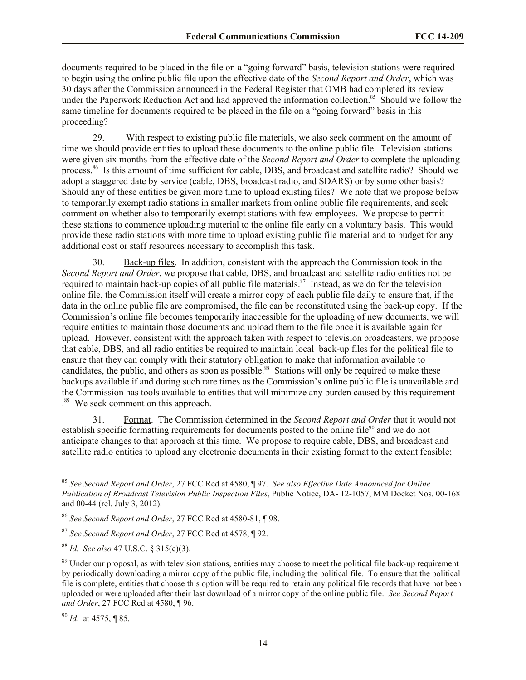documents required to be placed in the file on a "going forward" basis, television stations were required to begin using the online public file upon the effective date of the *Second Report and Order*, which was 30 days after the Commission announced in the Federal Register that OMB had completed its review under the Paperwork Reduction Act and had approved the information collection.<sup>85</sup> Should we follow the same timeline for documents required to be placed in the file on a "going forward" basis in this proceeding?

29. With respect to existing public file materials, we also seek comment on the amount of time we should provide entities to upload these documents to the online public file. Television stations were given six months from the effective date of the *Second Report and Order* to complete the uploading process.<sup>86</sup> Is this amount of time sufficient for cable, DBS, and broadcast and satellite radio? Should we adopt a staggered date by service (cable, DBS, broadcast radio, and SDARS) or by some other basis? Should any of these entities be given more time to upload existing files? We note that we propose below to temporarily exempt radio stations in smaller markets from online public file requirements, and seek comment on whether also to temporarily exempt stations with few employees. We propose to permit these stations to commence uploading material to the online file early on a voluntary basis. This would provide these radio stations with more time to upload existing public file material and to budget for any additional cost or staff resources necessary to accomplish this task.

30. Back-up files. In addition, consistent with the approach the Commission took in the *Second Report and Order*, we propose that cable, DBS, and broadcast and satellite radio entities not be required to maintain back-up copies of all public file materials.<sup>87</sup> Instead, as we do for the television online file, the Commission itself will create a mirror copy of each public file daily to ensure that, if the data in the online public file are compromised, the file can be reconstituted using the back-up copy. If the Commission's online file becomes temporarily inaccessible for the uploading of new documents, we will require entities to maintain those documents and upload them to the file once it is available again for upload. However, consistent with the approach taken with respect to television broadcasters, we propose that cable, DBS, and all radio entities be required to maintain local back-up files for the political file to ensure that they can comply with their statutory obligation to make that information available to candidates, the public, and others as soon as possible.<sup>88</sup> Stations will only be required to make these backups available if and during such rare times as the Commission's online public file is unavailable and the Commission has tools available to entities that will minimize any burden caused by this requirement . 89 We seek comment on this approach.

31. Format. The Commission determined in the *Second Report and Order* that it would not establish specific formatting requirements for documents posted to the online file<sup>90</sup> and we do not anticipate changes to that approach at this time. We propose to require cable, DBS, and broadcast and satellite radio entities to upload any electronic documents in their existing format to the extent feasible;

<sup>90</sup> *Id*. at 4575, ¶ 85.

<sup>85</sup> *See Second Report and Order*, 27 FCC Rcd at 4580, ¶ 97. *See also Effective Date Announced for Online Publication of Broadcast Television Public Inspection Files*, Public Notice, DA- 12-1057, MM Docket Nos. 00-168 and 00-44 (rel. July 3, 2012).

<sup>86</sup> *See Second Report and Order*, 27 FCC Rcd at 4580-81, ¶ 98.

<sup>87</sup> *See Second Report and Order*, 27 FCC Rcd at 4578, ¶ 92.

<sup>88</sup> *Id. See also* 47 U.S.C. § 315(e)(3).

<sup>&</sup>lt;sup>89</sup> Under our proposal, as with television stations, entities may choose to meet the political file back-up requirement by periodically downloading a mirror copy of the public file, including the political file. To ensure that the political file is complete, entities that choose this option will be required to retain any political file records that have not been uploaded or were uploaded after their last download of a mirror copy of the online public file. *See Second Report and Order*, 27 FCC Rcd at 4580, ¶ 96.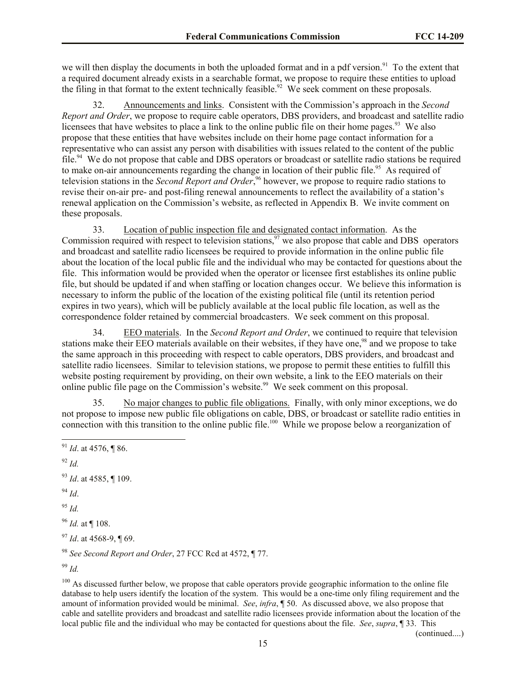we will then display the documents in both the uploaded format and in a pdf version.<sup>91</sup> To the extent that a required document already exists in a searchable format, we propose to require these entities to upload the filing in that format to the extent technically feasible.<sup>92</sup> We seek comment on these proposals.

32. Announcements and links. Consistent with the Commission's approach in the *Second Report and Order*, we propose to require cable operators, DBS providers, and broadcast and satellite radio licensees that have websites to place a link to the online public file on their home pages.<sup>93</sup> We also propose that these entities that have websites include on their home page contact information for a representative who can assist any person with disabilities with issues related to the content of the public file.<sup>94</sup> We do not propose that cable and DBS operators or broadcast or satellite radio stations be required to make on-air announcements regarding the change in location of their public file.<sup>95</sup> As required of television stations in the *Second Report and Order*, <sup>96</sup> however, we propose to require radio stations to revise their on-air pre- and post-filing renewal announcements to reflect the availability of a station's renewal application on the Commission's website, as reflected in Appendix B. We invite comment on these proposals.

33. Location of public inspection file and designated contact information. As the Commission required with respect to television stations,  $97$  we also propose that cable and DBS operators and broadcast and satellite radio licensees be required to provide information in the online public file about the location of the local public file and the individual who may be contacted for questions about the file. This information would be provided when the operator or licensee first establishes its online public file, but should be updated if and when staffing or location changes occur. We believe this information is necessary to inform the public of the location of the existing political file (until its retention period expires in two years), which will be publicly available at the local public file location, as well as the correspondence folder retained by commercial broadcasters. We seek comment on this proposal.

34. EEO materials. In the *Second Report and Order*, we continued to require that television stations make their EEO materials available on their websites, if they have one,<sup>98</sup> and we propose to take the same approach in this proceeding with respect to cable operators, DBS providers, and broadcast and satellite radio licensees. Similar to television stations, we propose to permit these entities to fulfill this website posting requirement by providing, on their own website, a link to the EEO materials on their online public file page on the Commission's website.<sup>99</sup> We seek comment on this proposal.

35. No major changes to public file obligations. Finally, with only minor exceptions, we do not propose to impose new public file obligations on cable, DBS, or broadcast or satellite radio entities in connection with this transition to the online public file.<sup>100</sup> While we propose below a reorganization of

<sup>92</sup> *Id.*

<sup>93</sup> *Id*. at 4585, ¶ 109.

<sup>94</sup> *Id*.

<sup>95</sup> *Id.*

<sup>96</sup> *Id.* at ¶ 108.

<sup>97</sup> *Id*. at 4568-9, ¶ 69.

<sup>98</sup> *See Second Report and Order*, 27 FCC Rcd at 4572, ¶ 77.

<sup>99</sup> *Id.*

 $100$  As discussed further below, we propose that cable operators provide geographic information to the online file database to help users identify the location of the system. This would be a one-time only filing requirement and the amount of information provided would be minimal. *See*, *infra*, ¶ 50. As discussed above, we also propose that cable and satellite providers and broadcast and satellite radio licensees provide information about the location of the local public file and the individual who may be contacted for questions about the file. *See*, *supra*, ¶ 33. This

(continued....)

 $\overline{a}$ <sup>91</sup> *Id*. at 4576, ¶ 86.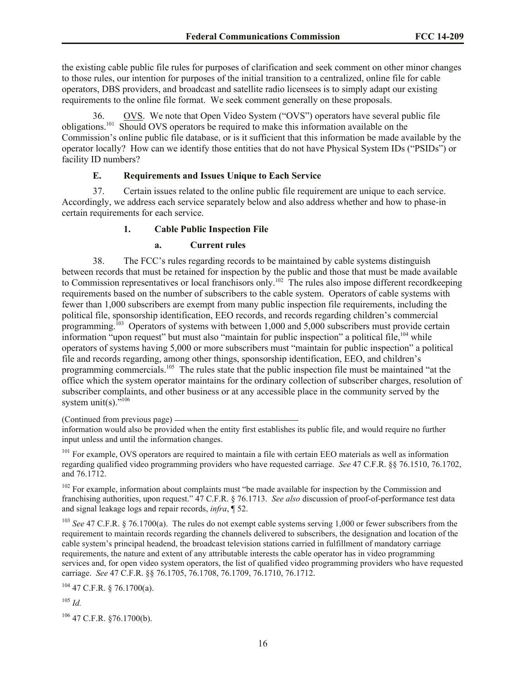the existing cable public file rules for purposes of clarification and seek comment on other minor changes to those rules, our intention for purposes of the initial transition to a centralized, online file for cable operators, DBS providers, and broadcast and satellite radio licensees is to simply adapt our existing requirements to the online file format. We seek comment generally on these proposals.

36. OVS. We note that Open Video System ("OVS") operators have several public file obligations.<sup>101</sup> Should OVS operators be required to make this information available on the Commission's online public file database, or is it sufficient that this information be made available by the operator locally? How can we identify those entities that do not have Physical System IDs ("PSIDs") or facility ID numbers?

## **E. Requirements and Issues Unique to Each Service**

37. Certain issues related to the online public file requirement are unique to each service. Accordingly, we address each service separately below and also address whether and how to phase-in certain requirements for each service.

#### **1. Cable Public Inspection File**

#### **a. Current rules**

38. The FCC's rules regarding records to be maintained by cable systems distinguish between records that must be retained for inspection by the public and those that must be made available to Commission representatives or local franchisors only.<sup>102</sup> The rules also impose different recordkeeping requirements based on the number of subscribers to the cable system. Operators of cable systems with fewer than 1,000 subscribers are exempt from many public inspection file requirements, including the political file, sponsorship identification, EEO records, and records regarding children's commercial programming.<sup>103</sup> Operators of systems with between 1,000 and 5,000 subscribers must provide certain information "upon request" but must also "maintain for public inspection" a political file, <sup>104</sup> while operators of systems having 5,000 or more subscribers must "maintain for public inspection" a political file and records regarding, among other things, sponsorship identification, EEO, and children's programming commercials.<sup>105</sup> The rules state that the public inspection file must be maintained "at the office which the system operator maintains for the ordinary collection of subscriber charges, resolution of subscriber complaints, and other business or at any accessible place in the community served by the system unit(s)." $106$ 

(Continued from previous page)

<sup>101</sup> For example, OVS operators are required to maintain a file with certain EEO materials as well as information regarding qualified video programming providers who have requested carriage. *See* 47 C.F.R. §§ 76.1510, 76.1702, and 76.1712.

<sup>102</sup> For example, information about complaints must "be made available for inspection by the Commission and franchising authorities, upon request." 47 C.F.R. § 76.1713. *See also* discussion of proof-of-performance test data and signal leakage logs and repair records, *infra*, ¶ 52.

<sup>103</sup> *See* 47 C.F.R. § 76.1700(a). The rules do not exempt cable systems serving 1,000 or fewer subscribers from the requirement to maintain records regarding the channels delivered to subscribers, the designation and location of the cable system's principal headend, the broadcast television stations carried in fulfillment of mandatory carriage requirements, the nature and extent of any attributable interests the cable operator has in video programming services and, for open video system operators, the list of qualified video programming providers who have requested carriage. *See* 47 C.F.R. §§ 76.1705, 76.1708, 76.1709, 76.1710, 76.1712.

 $104$  47 C.F.R. § 76.1700(a).

<sup>105</sup> *Id.*

 $106$  47 C.F.R. §76.1700(b).

information would also be provided when the entity first establishes its public file, and would require no further input unless and until the information changes.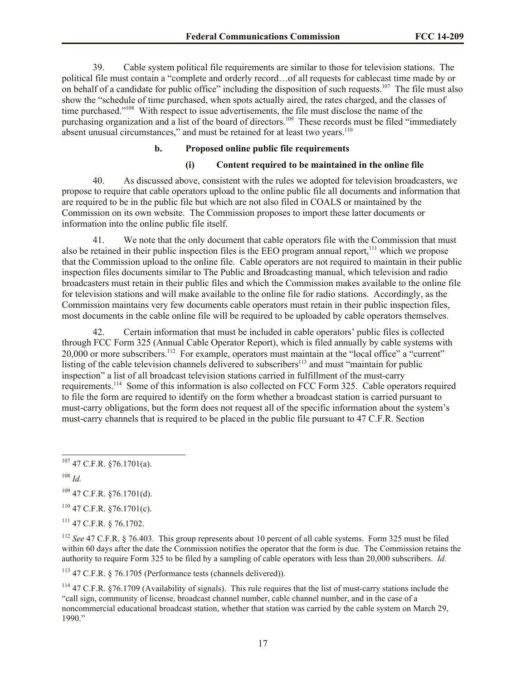39. Cable system political file requirements are similar to those for television stations. The political file must contain a "complete and orderly record…of all requests for cablecast time made by or on behalf of a candidate for public office" including the disposition of such requests.<sup>107</sup> The file must also show the "schedule of time purchased, when spots actually aired, the rates charged, and the classes of time purchased."<sup>108</sup> With respect to issue advertisements, the file must disclose the name of the purchasing organization and a list of the board of directors.<sup>109</sup> These records must be filed "immediately absent unusual circumstances," and must be retained for at least two years.<sup>110</sup>

## **b. Proposed online public file requirements**

#### **(i) Content required to be maintained in the online file**

40. As discussed above, consistent with the rules we adopted for television broadcasters, we propose to require that cable operators upload to the online public file all documents and information that are required to be in the public file but which are not also filed in COALS or maintained by the Commission on its own website. The Commission proposes to import these latter documents or information into the online public file itself.

41. We note that the only document that cable operators file with the Commission that must also be retained in their public inspection files is the EEO program annual report,<sup>111</sup> which we propose that the Commission upload to the online file. Cable operators are not required to maintain in their public inspection files documents similar to The Public and Broadcasting manual, which television and radio broadcasters must retain in their public files and which the Commission makes available to the online file for television stations and will make available to the online file for radio stations. Accordingly, as the Commission maintains very few documents cable operators must retain in their public inspection files, most documents in the cable online file will be required to be uploaded by cable operators themselves.

42. Certain information that must be included in cable operators' public files is collected through FCC Form 325 (Annual Cable Operator Report), which is filed annually by cable systems with 20,000 or more subscribers.<sup>112</sup> For example, operators must maintain at the "local office" a "current" listing of the cable television channels delivered to subscribers<sup>113</sup> and must "maintain for public inspection" a list of all broadcast television stations carried in fulfillment of the must-carry requirements.<sup>114</sup> Some of this information is also collected on FCC Form 325. Cable operators required to file the form are required to identify on the form whether a broadcast station is carried pursuant to must-carry obligations, but the form does not request all of the specific information about the system's must-carry channels that is required to be placed in the public file pursuant to 47 C.F.R. Section

<sup>108</sup> *Id.*

 $\overline{a}$ 

 $109$  47 C.F.R. §76.1701(d).

 $110$  47 C.F.R.  $$76.1701(c)$ .

 $111$  47 C.F.R. § 76.1702.

<sup>112</sup> *See* 47 C.F.R. § 76.403. This group represents about 10 percent of all cable systems. Form 325 must be filed within 60 days after the date the Commission notifies the operator that the form is due. The Commission retains the authority to require Form 325 to be filed by a sampling of cable operators with less than 20,000 subscribers. *Id.*

<sup>113</sup> 47 C.F.R. § 76.1705 (Performance tests (channels delivered)).

 $107$  47 C.F.R. §76.1701(a).

 $114$  47 C.F.R. §76.1709 (Availability of signals). This rule requires that the list of must-carry stations include the "call sign, community of license, broadcast channel number, cable channel number, and in the case of a noncommercial educational broadcast station, whether that station was carried by the cable system on March 29, 1990."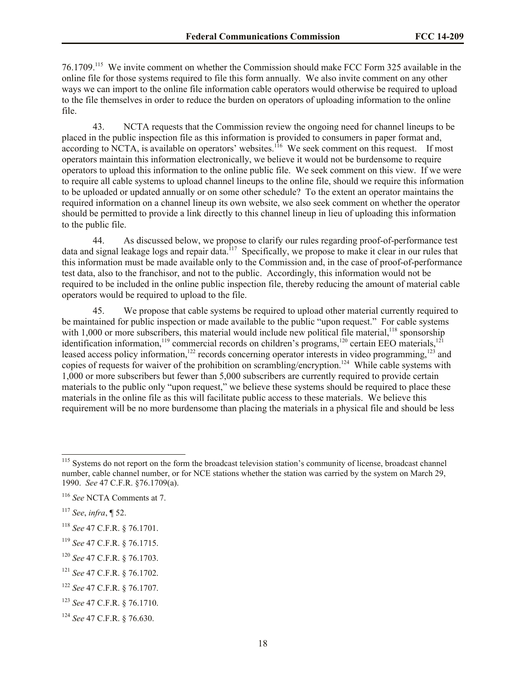76.1709.<sup>115</sup> We invite comment on whether the Commission should make FCC Form 325 available in the online file for those systems required to file this form annually. We also invite comment on any other ways we can import to the online file information cable operators would otherwise be required to upload to the file themselves in order to reduce the burden on operators of uploading information to the online file.

43. NCTA requests that the Commission review the ongoing need for channel lineups to be placed in the public inspection file as this information is provided to consumers in paper format and, according to NCTA, is available on operators' websites.<sup>116</sup> We seek comment on this request. If most operators maintain this information electronically, we believe it would not be burdensome to require operators to upload this information to the online public file. We seek comment on this view. If we were to require all cable systems to upload channel lineups to the online file, should we require this information to be uploaded or updated annually or on some other schedule? To the extent an operator maintains the required information on a channel lineup its own website, we also seek comment on whether the operator should be permitted to provide a link directly to this channel lineup in lieu of uploading this information to the public file.

44. As discussed below, we propose to clarify our rules regarding proof-of-performance test data and signal leakage logs and repair data.<sup>117</sup> Specifically, we propose to make it clear in our rules that this information must be made available only to the Commission and, in the case of proof-of-performance test data, also to the franchisor, and not to the public. Accordingly, this information would not be required to be included in the online public inspection file, thereby reducing the amount of material cable operators would be required to upload to the file.

45. We propose that cable systems be required to upload other material currently required to be maintained for public inspection or made available to the public "upon request." For cable systems with 1,000 or more subscribers, this material would include new political file material,<sup>118</sup> sponsorship identification information,<sup>119</sup> commercial records on children's programs,<sup>120</sup> certain EEO materials,<sup>121</sup> leased access policy information,<sup>122</sup> records concerning operator interests in video programming,<sup>123</sup> and copies of requests for waiver of the prohibition on scrambling/encryption.<sup>124</sup> While cable systems with 1,000 or more subscribers but fewer than 5,000 subscribers are currently required to provide certain materials to the public only "upon request," we believe these systems should be required to place these materials in the online file as this will facilitate public access to these materials. We believe this requirement will be no more burdensome than placing the materials in a physical file and should be less

<sup>&</sup>lt;sup>115</sup> Systems do not report on the form the broadcast television station's community of license, broadcast channel number, cable channel number, or for NCE stations whether the station was carried by the system on March 29, 1990. *See* 47 C.F.R. §76.1709(a).

<sup>116</sup> *See* NCTA Comments at 7.

<sup>117</sup> *See*, *infra*, ¶ 52.

<sup>118</sup> *See* 47 C.F.R. § 76.1701.

<sup>119</sup> *See* 47 C.F.R. § 76.1715.

<sup>120</sup> *See* 47 C.F.R. § 76.1703.

<sup>121</sup> *See* 47 C.F.R. § 76.1702.

<sup>122</sup> *See* 47 C.F.R. § 76.1707.

<sup>123</sup> *See* 47 C.F.R. § 76.1710.

<sup>124</sup> *See* 47 C.F.R. § 76.630.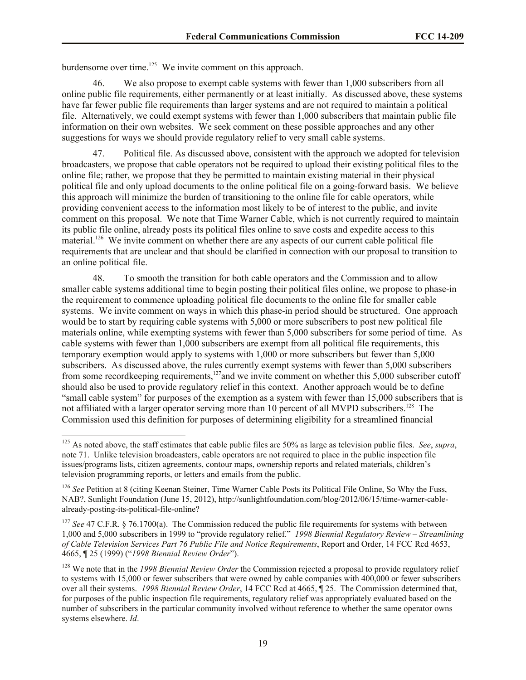burdensome over time.<sup>125</sup> We invite comment on this approach.

l

46. We also propose to exempt cable systems with fewer than 1,000 subscribers from all online public file requirements, either permanently or at least initially. As discussed above, these systems have far fewer public file requirements than larger systems and are not required to maintain a political file. Alternatively, we could exempt systems with fewer than 1,000 subscribers that maintain public file information on their own websites. We seek comment on these possible approaches and any other suggestions for ways we should provide regulatory relief to very small cable systems.

47. Political file. As discussed above, consistent with the approach we adopted for television broadcasters, we propose that cable operators not be required to upload their existing political files to the online file; rather, we propose that they be permitted to maintain existing material in their physical political file and only upload documents to the online political file on a going-forward basis. We believe this approach will minimize the burden of transitioning to the online file for cable operators, while providing convenient access to the information most likely to be of interest to the public, and invite comment on this proposal. We note that Time Warner Cable, which is not currently required to maintain its public file online, already posts its political files online to save costs and expedite access to this material.<sup>126</sup> We invite comment on whether there are any aspects of our current cable political file requirements that are unclear and that should be clarified in connection with our proposal to transition to an online political file.

48. To smooth the transition for both cable operators and the Commission and to allow smaller cable systems additional time to begin posting their political files online, we propose to phase-in the requirement to commence uploading political file documents to the online file for smaller cable systems. We invite comment on ways in which this phase-in period should be structured. One approach would be to start by requiring cable systems with 5,000 or more subscribers to post new political file materials online, while exempting systems with fewer than 5,000 subscribers for some period of time. As cable systems with fewer than 1,000 subscribers are exempt from all political file requirements, this temporary exemption would apply to systems with 1,000 or more subscribers but fewer than 5,000 subscribers. As discussed above, the rules currently exempt systems with fewer than 5,000 subscribers from some recordkeeping requirements,<sup>127</sup>and we invite comment on whether this 5,000 subscriber cutoff should also be used to provide regulatory relief in this context. Another approach would be to define "small cable system" for purposes of the exemption as a system with fewer than 15,000 subscribers that is not affiliated with a larger operator serving more than 10 percent of all MVPD subscribers.<sup>128</sup> The Commission used this definition for purposes of determining eligibility for a streamlined financial

<sup>125</sup> As noted above, the staff estimates that cable public files are 50% as large as television public files. *See*, *supra*, note 71. Unlike television broadcasters, cable operators are not required to place in the public inspection file issues/programs lists, citizen agreements, contour maps, ownership reports and related materials, children's television programming reports, or letters and emails from the public.

<sup>126</sup> *See* Petition at 8 (citing Keenan Steiner, Time Warner Cable Posts its Political File Online, So Why the Fuss, NAB?, Sunlight Foundation (June 15, 2012), http://sunlightfoundation.com/blog/2012/06/15/time-warner-cablealready-posting-its-political-file-online?

<sup>&</sup>lt;sup>127</sup> *See* 47 C.F.R. § 76.1700(a). The Commission reduced the public file requirements for systems with between 1,000 and 5,000 subscribers in 1999 to "provide regulatory relief." *1998 Biennial Regulatory Review – Streamlining of Cable Television Services Part 76 Public File and Notice Requirements*, Report and Order, 14 FCC Rcd 4653, 4665, ¶ 25 (1999) ("*1998 Biennial Review Order*").

<sup>128</sup> We note that in the *1998 Biennial Review Order* the Commission rejected a proposal to provide regulatory relief to systems with 15,000 or fewer subscribers that were owned by cable companies with 400,000 or fewer subscribers over all their systems. *1998 Biennial Review Order*, 14 FCC Rcd at 4665, ¶ 25. The Commission determined that, for purposes of the public inspection file requirements, regulatory relief was appropriately evaluated based on the number of subscribers in the particular community involved without reference to whether the same operator owns systems elsewhere. *Id*.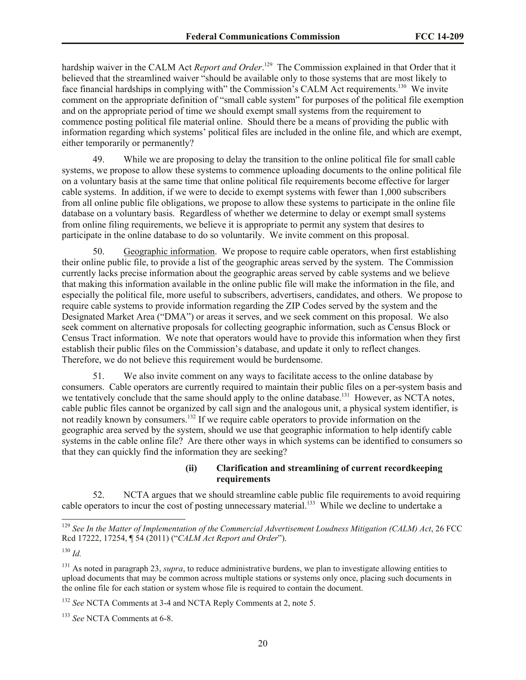hardship waiver in the CALM Act *Report and Order*.<sup>129</sup> The Commission explained in that Order that it believed that the streamlined waiver "should be available only to those systems that are most likely to face financial hardships in complying with" the Commission's CALM Act requirements.<sup>130</sup> We invite comment on the appropriate definition of "small cable system" for purposes of the political file exemption and on the appropriate period of time we should exempt small systems from the requirement to commence posting political file material online. Should there be a means of providing the public with information regarding which systems' political files are included in the online file, and which are exempt, either temporarily or permanently?

49. While we are proposing to delay the transition to the online political file for small cable systems, we propose to allow these systems to commence uploading documents to the online political file on a voluntary basis at the same time that online political file requirements become effective for larger cable systems. In addition, if we were to decide to exempt systems with fewer than 1,000 subscribers from all online public file obligations, we propose to allow these systems to participate in the online file database on a voluntary basis. Regardless of whether we determine to delay or exempt small systems from online filing requirements, we believe it is appropriate to permit any system that desires to participate in the online database to do so voluntarily. We invite comment on this proposal.

50. Geographic information. We propose to require cable operators, when first establishing their online public file, to provide a list of the geographic areas served by the system. The Commission currently lacks precise information about the geographic areas served by cable systems and we believe that making this information available in the online public file will make the information in the file, and especially the political file, more useful to subscribers, advertisers, candidates, and others. We propose to require cable systems to provide information regarding the ZIP Codes served by the system and the Designated Market Area ("DMA") or areas it serves, and we seek comment on this proposal. We also seek comment on alternative proposals for collecting geographic information, such as Census Block or Census Tract information. We note that operators would have to provide this information when they first establish their public files on the Commission's database, and update it only to reflect changes. Therefore, we do not believe this requirement would be burdensome.

51. We also invite comment on any ways to facilitate access to the online database by consumers. Cable operators are currently required to maintain their public files on a per-system basis and we tentatively conclude that the same should apply to the online database.<sup>131</sup> However, as NCTA notes, cable public files cannot be organized by call sign and the analogous unit, a physical system identifier, is not readily known by consumers.<sup>132</sup> If we require cable operators to provide information on the geographic area served by the system, should we use that geographic information to help identify cable systems in the cable online file? Are there other ways in which systems can be identified to consumers so that they can quickly find the information they are seeking?

# **(ii) Clarification and streamlining of current recordkeeping requirements**

52. NCTA argues that we should streamline cable public file requirements to avoid requiring cable operators to incur the cost of posting unnecessary material.<sup>133</sup> While we decline to undertake a

<sup>129</sup> *See In the Matter of Implementation of the Commercial Advertisement Loudness Mitigation (CALM) Act*, 26 FCC Rcd 17222, 17254, ¶ 54 (2011) ("*CALM Act Report and Order*").

<sup>130</sup> *Id.*

<sup>&</sup>lt;sup>131</sup> As noted in paragraph 23, *supra*, to reduce administrative burdens, we plan to investigate allowing entities to upload documents that may be common across multiple stations or systems only once, placing such documents in the online file for each station or system whose file is required to contain the document.

<sup>132</sup> *See* NCTA Comments at 3-4 and NCTA Reply Comments at 2, note 5.

<sup>133</sup> *See* NCTA Comments at 6-8.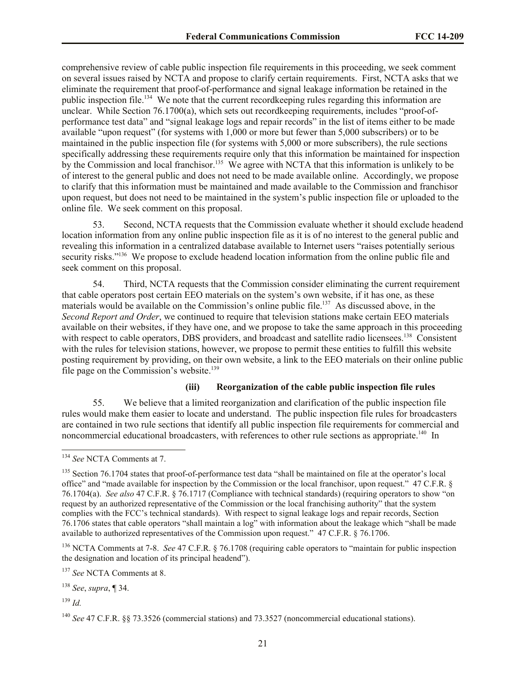comprehensive review of cable public inspection file requirements in this proceeding, we seek comment on several issues raised by NCTA and propose to clarify certain requirements. First, NCTA asks that we eliminate the requirement that proof-of-performance and signal leakage information be retained in the public inspection file.<sup>134</sup> We note that the current recordkeeping rules regarding this information are unclear. While Section 76.1700(a), which sets out recordkeeping requirements, includes "proof-ofperformance test data" and "signal leakage logs and repair records" in the list of items either to be made available "upon request" (for systems with 1,000 or more but fewer than 5,000 subscribers) or to be maintained in the public inspection file (for systems with 5,000 or more subscribers), the rule sections specifically addressing these requirements require only that this information be maintained for inspection by the Commission and local franchisor.<sup>135</sup> We agree with NCTA that this information is unlikely to be of interest to the general public and does not need to be made available online. Accordingly, we propose to clarify that this information must be maintained and made available to the Commission and franchisor upon request, but does not need to be maintained in the system's public inspection file or uploaded to the online file. We seek comment on this proposal.

53. Second, NCTA requests that the Commission evaluate whether it should exclude headend location information from any online public inspection file as it is of no interest to the general public and revealing this information in a centralized database available to Internet users "raises potentially serious security risks."<sup>136</sup> We propose to exclude headend location information from the online public file and seek comment on this proposal.

54. Third, NCTA requests that the Commission consider eliminating the current requirement that cable operators post certain EEO materials on the system's own website, if it has one, as these materials would be available on the Commission's online public file.<sup>137</sup> As discussed above, in the *Second Report and Order*, we continued to require that television stations make certain EEO materials available on their websites, if they have one, and we propose to take the same approach in this proceeding with respect to cable operators, DBS providers, and broadcast and satellite radio licensees.<sup>138</sup> Consistent with the rules for television stations, however, we propose to permit these entities to fulfill this website posting requirement by providing, on their own website, a link to the EEO materials on their online public file page on the Commission's website.<sup>139</sup>

# **(iii) Reorganization of the cable public inspection file rules**

55. We believe that a limited reorganization and clarification of the public inspection file rules would make them easier to locate and understand. The public inspection file rules for broadcasters are contained in two rule sections that identify all public inspection file requirements for commercial and noncommercial educational broadcasters, with references to other rule sections as appropriate.<sup>140</sup> In

<sup>136</sup> NCTA Comments at 7-8. *See* 47 C.F.R. § 76.1708 (requiring cable operators to "maintain for public inspection the designation and location of its principal headend").

<sup>137</sup> *See* NCTA Comments at 8.

<sup>138</sup> *See*, *supra*, ¶ 34.

<sup>139</sup> *Id.*

<sup>134</sup> *See* NCTA Comments at 7.

<sup>&</sup>lt;sup>135</sup> Section 76.1704 states that proof-of-performance test data "shall be maintained on file at the operator's local office" and "made available for inspection by the Commission or the local franchisor, upon request." 47 C.F.R. § 76.1704(a). *See also* 47 C.F.R. § 76.1717 (Compliance with technical standards) (requiring operators to show "on request by an authorized representative of the Commission or the local franchising authority" that the system complies with the FCC's technical standards). With respect to signal leakage logs and repair records, Section 76.1706 states that cable operators "shall maintain a log" with information about the leakage which "shall be made available to authorized representatives of the Commission upon request." 47 C.F.R. § 76.1706.

<sup>140</sup> *See* 47 C.F.R. §§ 73.3526 (commercial stations) and 73.3527 (noncommercial educational stations).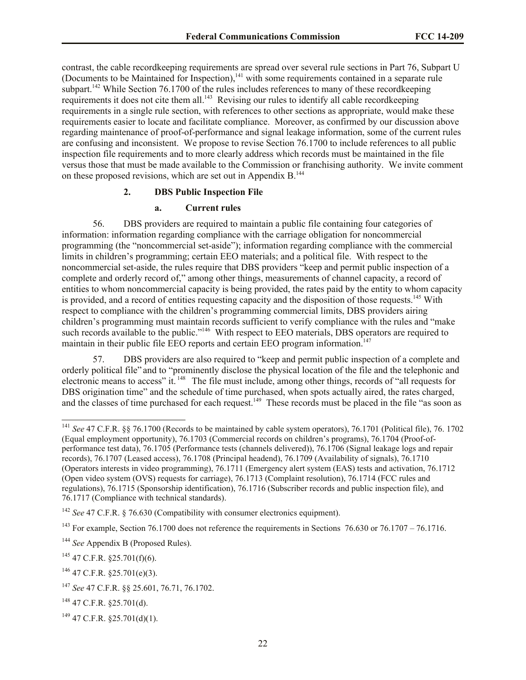contrast, the cable recordkeeping requirements are spread over several rule sections in Part 76, Subpart U (Documents to be Maintained for Inspection), $141$  with some requirements contained in a separate rule subpart.<sup>142</sup> While Section 76.1700 of the rules includes references to many of these recordkeeping requirements it does not cite them all.<sup>143</sup> Revising our rules to identify all cable recordkeeping requirements in a single rule section, with references to other sections as appropriate, would make these requirements easier to locate and facilitate compliance. Moreover, as confirmed by our discussion above regarding maintenance of proof-of-performance and signal leakage information, some of the current rules are confusing and inconsistent. We propose to revise Section 76.1700 to include references to all public inspection file requirements and to more clearly address which records must be maintained in the file versus those that must be made available to the Commission or franchising authority. We invite comment on these proposed revisions, which are set out in Appendix B.<sup>144</sup>

#### **2. DBS Public Inspection File**

#### **a. Current rules**

56. DBS providers are required to maintain a public file containing four categories of information: information regarding compliance with the carriage obligation for noncommercial programming (the "noncommercial set-aside"); information regarding compliance with the commercial limits in children's programming; certain EEO materials; and a political file. With respect to the noncommercial set-aside, the rules require that DBS providers "keep and permit public inspection of a complete and orderly record of," among other things, measurements of channel capacity, a record of entities to whom noncommercial capacity is being provided, the rates paid by the entity to whom capacity is provided, and a record of entities requesting capacity and the disposition of those requests.<sup>145</sup> With respect to compliance with the children's programming commercial limits, DBS providers airing children's programming must maintain records sufficient to verify compliance with the rules and "make such records available to the public."<sup>146</sup> With respect to EEO materials, DBS operators are required to maintain in their public file EEO reports and certain EEO program information.<sup>147</sup>

57. DBS providers are also required to "keep and permit public inspection of a complete and orderly political file" and to "prominently disclose the physical location of the file and the telephonic and electronic means to access" it. <sup>148</sup> The file must include, among other things, records of "all requests for DBS origination time" and the schedule of time purchased, when spots actually aired, the rates charged, and the classes of time purchased for each request.<sup>149</sup> These records must be placed in the file "as soon as

<sup>141</sup> *See* 47 C.F.R. §§ 76.1700 (Records to be maintained by cable system operators), 76.1701 (Political file), 76. 1702 (Equal employment opportunity), 76.1703 (Commercial records on children's programs), 76.1704 (Proof-ofperformance test data), 76.1705 (Performance tests (channels delivered)), 76.1706 (Signal leakage logs and repair records), 76.1707 (Leased access), 76.1708 (Principal headend), 76.1709 (Availability of signals), 76.1710 (Operators interests in video programming), 76.1711 (Emergency alert system (EAS) tests and activation, 76.1712 (Open video system (OVS) requests for carriage), 76.1713 (Complaint resolution), 76.1714 (FCC rules and regulations), 76.1715 (Sponsorship identification), 76.1716 (Subscriber records and public inspection file), and 76.1717 (Compliance with technical standards).

<sup>&</sup>lt;sup>142</sup> *See* 47 C.F.R. § 76.630 (Compatibility with consumer electronics equipment).

<sup>&</sup>lt;sup>143</sup> For example, Section 76.1700 does not reference the requirements in Sections 76.630 or 76.1707 – 76.1716.

<sup>144</sup> *See* Appendix B (Proposed Rules).

 $145$  47 C.F.R. §25.701(f)(6).

 $146$  47 C.F.R. \$25.701(e)(3).

<sup>147</sup> *See* 47 C.F.R. §§ 25.601, 76.71, 76.1702.

<sup>148</sup> 47 C.F.R. §25.701(d).

 $149$  47 C.F.R. §25.701(d)(1).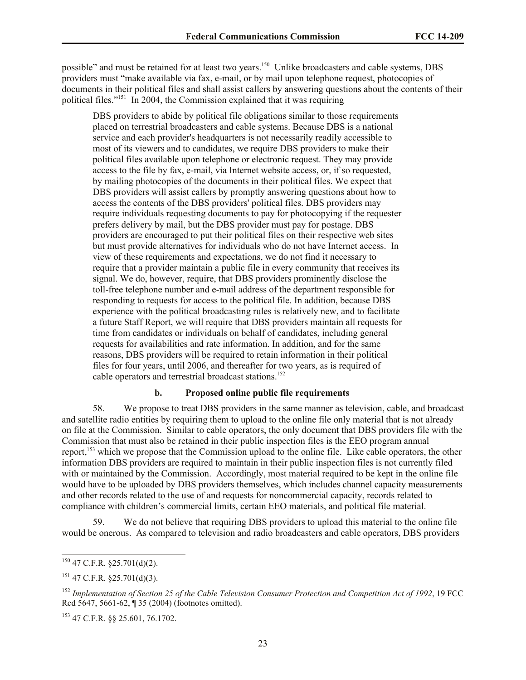possible" and must be retained for at least two years.<sup>150</sup> Unlike broadcasters and cable systems, DBS providers must "make available via fax, e-mail, or by mail upon telephone request, photocopies of documents in their political files and shall assist callers by answering questions about the contents of their political files."<sup>151</sup> In 2004, the Commission explained that it was requiring

DBS providers to abide by political file obligations similar to those requirements placed on terrestrial broadcasters and cable systems. Because DBS is a national service and each provider's headquarters is not necessarily readily accessible to most of its viewers and to candidates, we require DBS providers to make their political files available upon telephone or electronic request. They may provide access to the file by fax, e-mail, via Internet website access, or, if so requested, by mailing photocopies of the documents in their political files. We expect that DBS providers will assist callers by promptly answering questions about how to access the contents of the DBS providers' political files. DBS providers may require individuals requesting documents to pay for photocopying if the requester prefers delivery by mail, but the DBS provider must pay for postage. DBS providers are encouraged to put their political files on their respective web sites but must provide alternatives for individuals who do not have Internet access. In view of these requirements and expectations, we do not find it necessary to require that a provider maintain a public file in every community that receives its signal. We do, however, require, that DBS providers prominently disclose the toll-free telephone number and e-mail address of the department responsible for responding to requests for access to the political file. In addition, because DBS experience with the political broadcasting rules is relatively new, and to facilitate a future Staff Report, we will require that DBS providers maintain all requests for time from candidates or individuals on behalf of candidates, including general requests for availabilities and rate information. In addition, and for the same reasons, DBS providers will be required to retain information in their political files for four years, until 2006, and thereafter for two years, as is required of cable operators and terrestrial broadcast stations.<sup>152</sup>

#### **b. Proposed online public file requirements**

58. We propose to treat DBS providers in the same manner as television, cable, and broadcast and satellite radio entities by requiring them to upload to the online file only material that is not already on file at the Commission. Similar to cable operators, the only document that DBS providers file with the Commission that must also be retained in their public inspection files is the EEO program annual report,<sup>153</sup> which we propose that the Commission upload to the online file. Like cable operators, the other information DBS providers are required to maintain in their public inspection files is not currently filed with or maintained by the Commission. Accordingly, most material required to be kept in the online file would have to be uploaded by DBS providers themselves, which includes channel capacity measurements and other records related to the use of and requests for noncommercial capacity, records related to compliance with children's commercial limits, certain EEO materials, and political file material.

59. We do not believe that requiring DBS providers to upload this material to the online file would be onerous. As compared to television and radio broadcasters and cable operators, DBS providers

l

<sup>153</sup> 47 C.F.R. §§ 25.601, 76.1702.

 $150$  47 C.F.R. §25.701(d)(2).

 $151$  47 C.F.R. §25.701(d)(3).

<sup>152</sup> *Implementation of Section 25 of the Cable Television Consumer Protection and Competition Act of 1992*, 19 FCC Rcd 5647, 5661-62, ¶ 35 (2004) (footnotes omitted).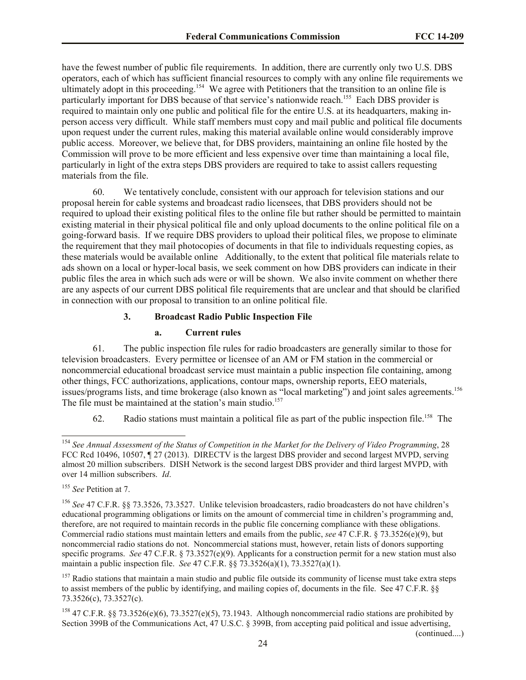have the fewest number of public file requirements. In addition, there are currently only two U.S. DBS operators, each of which has sufficient financial resources to comply with any online file requirements we ultimately adopt in this proceeding.<sup>154</sup> We agree with Petitioners that the transition to an online file is particularly important for DBS because of that service's nationwide reach.<sup>155</sup> Each DBS provider is required to maintain only one public and political file for the entire U.S. at its headquarters, making inperson access very difficult. While staff members must copy and mail public and political file documents upon request under the current rules, making this material available online would considerably improve public access. Moreover, we believe that, for DBS providers, maintaining an online file hosted by the Commission will prove to be more efficient and less expensive over time than maintaining a local file, particularly in light of the extra steps DBS providers are required to take to assist callers requesting materials from the file.

60. We tentatively conclude, consistent with our approach for television stations and our proposal herein for cable systems and broadcast radio licensees, that DBS providers should not be required to upload their existing political files to the online file but rather should be permitted to maintain existing material in their physical political file and only upload documents to the online political file on a going-forward basis. If we require DBS providers to upload their political files, we propose to eliminate the requirement that they mail photocopies of documents in that file to individuals requesting copies, as these materials would be available online Additionally, to the extent that political file materials relate to ads shown on a local or hyper-local basis, we seek comment on how DBS providers can indicate in their public files the area in which such ads were or will be shown. We also invite comment on whether there are any aspects of our current DBS political file requirements that are unclear and that should be clarified in connection with our proposal to transition to an online political file.

# **3. Broadcast Radio Public Inspection File**

# **a. Current rules**

61. The public inspection file rules for radio broadcasters are generally similar to those for television broadcasters. Every permittee or licensee of an AM or FM station in the commercial or noncommercial educational broadcast service must maintain a public inspection file containing, among other things, FCC authorizations, applications, contour maps, ownership reports, EEO materials, issues/programs lists, and time brokerage (also known as "local marketing") and joint sales agreements. 156 The file must be maintained at the station's main studio.<sup>157</sup>

62. Radio stations must maintain a political file as part of the public inspection file.<sup>158</sup> The

l

(continued....)

<sup>154</sup> *See Annual Assessment of the Status of Competition in the Market for the Delivery of Video Programming*, 28 FCC Rcd 10496, 10507, ¶ 27 (2013). DIRECTV is the largest DBS provider and second largest MVPD, serving almost 20 million subscribers. DISH Network is the second largest DBS provider and third largest MVPD, with over 14 million subscribers. *Id*.

<sup>155</sup> *See* Petition at 7.

<sup>156</sup> *See* 47 C.F.R. §§ 73.3526, 73.3527. Unlike television broadcasters, radio broadcasters do not have children's educational programming obligations or limits on the amount of commercial time in children's programming and, therefore, are not required to maintain records in the public file concerning compliance with these obligations. Commercial radio stations must maintain letters and emails from the public, *see* 47 C.F.R. § 73.3526(e)(9), but noncommercial radio stations do not. Noncommercial stations must, however, retain lists of donors supporting specific programs. *See* 47 C.F.R. § 73.3527(e)(9). Applicants for a construction permit for a new station must also maintain a public inspection file. *See* 47 C.F.R. §§ 73.3526(a)(1), 73.3527(a)(1).

 $157$  Radio stations that maintain a main studio and public file outside its community of license must take extra steps to assist members of the public by identifying, and mailing copies of, documents in the file. See 47 C.F.R. §§ 73.3526(c), 73.3527(c).

<sup>&</sup>lt;sup>158</sup> 47 C.F.R. §§ 73.3526(e)(6), 73.3527(e)(5), 73.1943. Although noncommercial radio stations are prohibited by Section 399B of the Communications Act, 47 U.S.C. § 399B, from accepting paid political and issue advertising,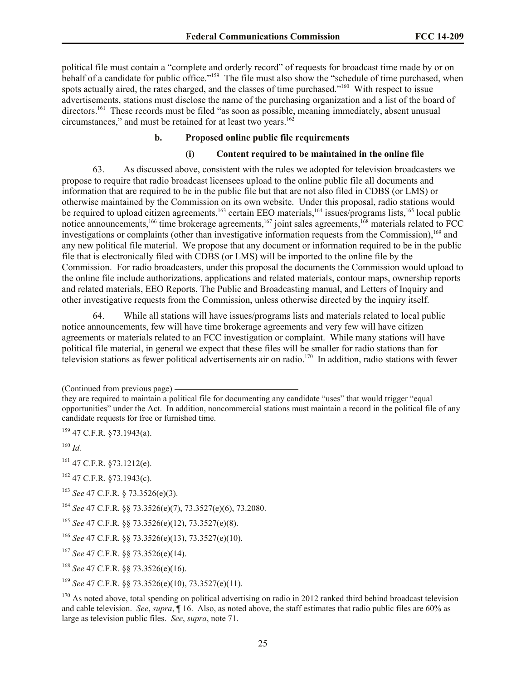political file must contain a "complete and orderly record" of requests for broadcast time made by or on behalf of a candidate for public office."<sup>159</sup> The file must also show the "schedule of time purchased, when spots actually aired, the rates charged, and the classes of time purchased."<sup>160</sup> With respect to issue advertisements, stations must disclose the name of the purchasing organization and a list of the board of directors.<sup>161</sup> These records must be filed "as soon as possible, meaning immediately, absent unusual circumstances," and must be retained for at least two years.<sup>162</sup>

# **b. Proposed online public file requirements**

## **(i) Content required to be maintained in the online file**

63. As discussed above, consistent with the rules we adopted for television broadcasters we propose to require that radio broadcast licensees upload to the online public file all documents and information that are required to be in the public file but that are not also filed in CDBS (or LMS) or otherwise maintained by the Commission on its own website. Under this proposal, radio stations would be required to upload citizen agreements,<sup>163</sup> certain EEO materials,<sup>164</sup> issues/programs lists,<sup>165</sup> local public notice announcements,<sup>166</sup> time brokerage agreements,<sup>167</sup> joint sales agreements,<sup>168</sup> materials related to FCC investigations or complaints (other than investigative information requests from the Commission),<sup>169</sup> and any new political file material. We propose that any document or information required to be in the public file that is electronically filed with CDBS (or LMS) will be imported to the online file by the Commission. For radio broadcasters, under this proposal the documents the Commission would upload to the online file include authorizations, applications and related materials, contour maps, ownership reports and related materials, EEO Reports, The Public and Broadcasting manual, and Letters of Inquiry and other investigative requests from the Commission, unless otherwise directed by the inquiry itself.

64. While all stations will have issues/programs lists and materials related to local public notice announcements, few will have time brokerage agreements and very few will have citizen agreements or materials related to an FCC investigation or complaint. While many stations will have political file material, in general we expect that these files will be smaller for radio stations than for television stations as fewer political advertisements air on radio.<sup>170</sup> In addition, radio stations with fewer

<sup>159</sup> 47 C.F.R. §73.1943(a).

<sup>160</sup> *Id.*

- <sup>161</sup> 47 C.F.R. §73.1212(e).
- <sup>162</sup> 47 C.F.R. §73.1943(c).
- <sup>163</sup> *See* 47 C.F.R. § 73.3526(e)(3).
- <sup>164</sup> *See* 47 C.F.R. §§ 73.3526(e)(7), 73.3527(e)(6), 73.2080.

<sup>(</sup>Continued from previous page)

they are required to maintain a political file for documenting any candidate "uses" that would trigger "equal opportunities" under the Act. In addition, noncommercial stations must maintain a record in the political file of any candidate requests for free or furnished time.

<sup>165</sup> *See* 47 C.F.R. §§ 73.3526(e)(12), 73.3527(e)(8).

<sup>166</sup> *See* 47 C.F.R. §§ 73.3526(e)(13), 73.3527(e)(10).

<sup>167</sup> *See* 47 C.F.R. §§ 73.3526(e)(14).

<sup>168</sup> *See* 47 C.F.R. §§ 73.3526(e)(16).

<sup>169</sup> *See* 47 C.F.R. §§ 73.3526(e)(10), 73.3527(e)(11).

 $170$  As noted above, total spending on political advertising on radio in 2012 ranked third behind broadcast television and cable television. *See*, *supra*, ¶ 16. Also, as noted above, the staff estimates that radio public files are 60% as large as television public files. *See*, *supra*, note 71.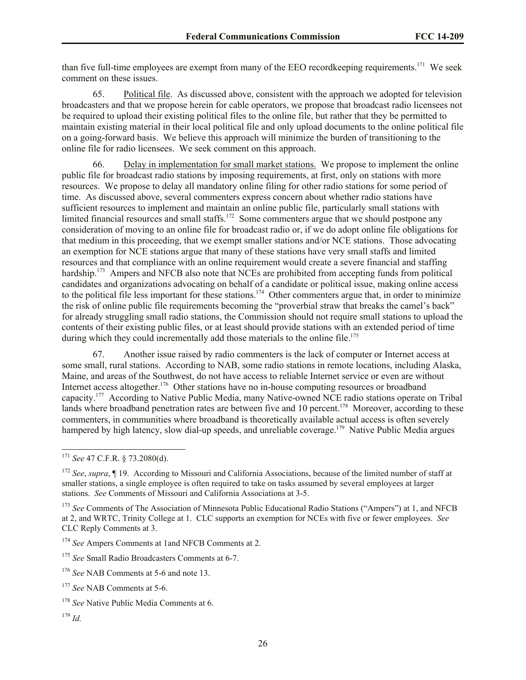than five full-time employees are exempt from many of the EEO recordkeeping requirements.<sup>171</sup> We seek comment on these issues.

65. Political file. As discussed above, consistent with the approach we adopted for television broadcasters and that we propose herein for cable operators, we propose that broadcast radio licensees not be required to upload their existing political files to the online file, but rather that they be permitted to maintain existing material in their local political file and only upload documents to the online political file on a going-forward basis. We believe this approach will minimize the burden of transitioning to the online file for radio licensees. We seek comment on this approach.

66. Delay in implementation for small market stations. We propose to implement the online public file for broadcast radio stations by imposing requirements, at first, only on stations with more resources. We propose to delay all mandatory online filing for other radio stations for some period of time. As discussed above, several commenters express concern about whether radio stations have sufficient resources to implement and maintain an online public file, particularly small stations with limited financial resources and small staffs.<sup>172</sup> Some commenters argue that we should postpone any consideration of moving to an online file for broadcast radio or, if we do adopt online file obligations for that medium in this proceeding, that we exempt smaller stations and/or NCE stations. Those advocating an exemption for NCE stations argue that many of these stations have very small staffs and limited resources and that compliance with an online requirement would create a severe financial and staffing hardship.<sup>173</sup> Ampers and NFCB also note that NCEs are prohibited from accepting funds from political candidates and organizations advocating on behalf of a candidate or political issue, making online access to the political file less important for these stations.<sup>174</sup> Other commenters argue that, in order to minimize the risk of online public file requirements becoming the "proverbial straw that breaks the camel's back" for already struggling small radio stations, the Commission should not require small stations to upload the contents of their existing public files, or at least should provide stations with an extended period of time during which they could incrementally add those materials to the online file.<sup>175</sup>

67. Another issue raised by radio commenters is the lack of computer or Internet access at some small, rural stations. According to NAB, some radio stations in remote locations, including Alaska, Maine, and areas of the Southwest, do not have access to reliable Internet service or even are without Internet access altogether.<sup>176</sup> Other stations have no in-house computing resources or broadband capacity.<sup>177</sup> According to Native Public Media, many Native-owned NCE radio stations operate on Tribal lands where broadband penetration rates are between five and 10 percent.<sup>178</sup> Moreover, according to these commenters, in communities where broadband is theoretically available actual access is often severely hampered by high latency, slow dial-up speeds, and unreliable coverage.<sup>179</sup> Native Public Media argues

<sup>171</sup> *See* 47 C.F.R. § 73.2080(d).

<sup>&</sup>lt;sup>172</sup> *See, supra*, ¶ 19. According to Missouri and California Associations, because of the limited number of staff at smaller stations, a single employee is often required to take on tasks assumed by several employees at larger stations. *See* Comments of Missouri and California Associations at 3-5.

<sup>&</sup>lt;sup>173</sup> *See* Comments of The Association of Minnesota Public Educational Radio Stations ("Ampers") at 1, and NFCB at 2, and WRTC, Trinity College at 1. CLC supports an exemption for NCEs with five or fewer employees. *See* CLC Reply Comments at 3.

<sup>174</sup> *See* Ampers Comments at 1and NFCB Comments at 2.

<sup>175</sup> *See* Small Radio Broadcasters Comments at 6-7.

<sup>&</sup>lt;sup>176</sup> *See* NAB Comments at 5-6 and note 13.

<sup>177</sup> *See* NAB Comments at 5-6.

<sup>&</sup>lt;sup>178</sup> *See* Native Public Media Comments at 6.

<sup>179</sup> *Id.*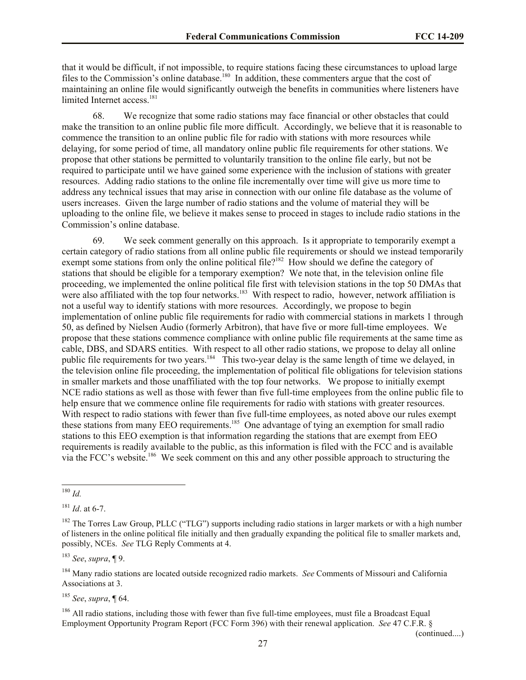that it would be difficult, if not impossible, to require stations facing these circumstances to upload large files to the Commission's online database.<sup>180</sup> In addition, these commenters argue that the cost of maintaining an online file would significantly outweigh the benefits in communities where listeners have limited Internet access.<sup>181</sup>

68. We recognize that some radio stations may face financial or other obstacles that could make the transition to an online public file more difficult. Accordingly, we believe that it is reasonable to commence the transition to an online public file for radio with stations with more resources while delaying, for some period of time, all mandatory online public file requirements for other stations. We propose that other stations be permitted to voluntarily transition to the online file early, but not be required to participate until we have gained some experience with the inclusion of stations with greater resources. Adding radio stations to the online file incrementally over time will give us more time to address any technical issues that may arise in connection with our online file database as the volume of users increases. Given the large number of radio stations and the volume of material they will be uploading to the online file, we believe it makes sense to proceed in stages to include radio stations in the Commission's online database.

69. We seek comment generally on this approach. Is it appropriate to temporarily exempt a certain category of radio stations from all online public file requirements or should we instead temporarily exempt some stations from only the online political file?<sup>182</sup> How should we define the category of stations that should be eligible for a temporary exemption? We note that, in the television online file proceeding, we implemented the online political file first with television stations in the top 50 DMAs that were also affiliated with the top four networks.<sup>183</sup> With respect to radio, however, network affiliation is not a useful way to identify stations with more resources. Accordingly, we propose to begin implementation of online public file requirements for radio with commercial stations in markets 1 through 50, as defined by Nielsen Audio (formerly Arbitron), that have five or more full-time employees. We propose that these stations commence compliance with online public file requirements at the same time as cable, DBS, and SDARS entities. With respect to all other radio stations, we propose to delay all online public file requirements for two years.<sup>184</sup> This two-year delay is the same length of time we delayed, in the television online file proceeding, the implementation of political file obligations for television stations in smaller markets and those unaffiliated with the top four networks. We propose to initially exempt NCE radio stations as well as those with fewer than five full-time employees from the online public file to help ensure that we commence online file requirements for radio with stations with greater resources. With respect to radio stations with fewer than five full-time employees, as noted above our rules exempt these stations from many EEO requirements.<sup>185</sup> One advantage of tying an exemption for small radio stations to this EEO exemption is that information regarding the stations that are exempt from EEO requirements is readily available to the public, as this information is filed with the FCC and is available via the FCC's website.<sup>186</sup> We seek comment on this and any other possible approach to structuring the

l

<sup>183</sup> *See*, *supra*, ¶ 9.

<sup>184</sup> Many radio stations are located outside recognized radio markets. *See* Comments of Missouri and California Associations at 3.

<sup>185</sup> *See*, *supra*, ¶ 64.

<sup>186</sup> All radio stations, including those with fewer than five full-time employees, must file a Broadcast Equal Employment Opportunity Program Report (FCC Form 396) with their renewal application. *See* 47 C.F.R. §

(continued....)

<sup>180</sup> *Id.*

<sup>181</sup> *Id*. at 6-7.

 $182$  The Torres Law Group, PLLC ("TLG") supports including radio stations in larger markets or with a high number of listeners in the online political file initially and then gradually expanding the political file to smaller markets and, possibly, NCEs. *See* TLG Reply Comments at 4.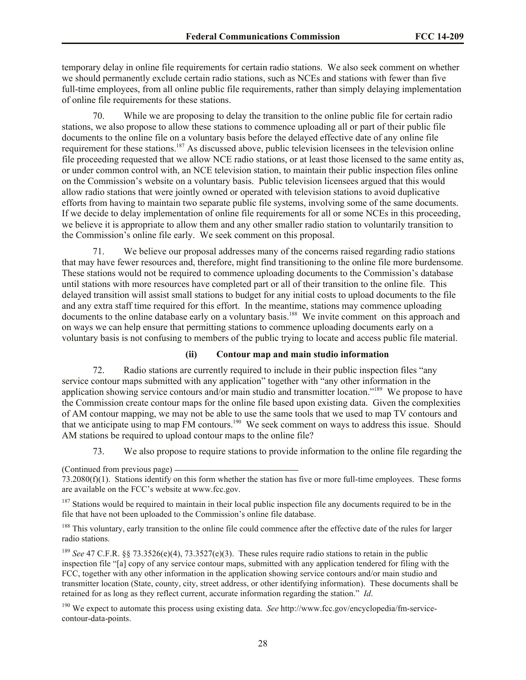temporary delay in online file requirements for certain radio stations. We also seek comment on whether we should permanently exclude certain radio stations, such as NCEs and stations with fewer than five full-time employees, from all online public file requirements, rather than simply delaying implementation of online file requirements for these stations.

70. While we are proposing to delay the transition to the online public file for certain radio stations, we also propose to allow these stations to commence uploading all or part of their public file documents to the online file on a voluntary basis before the delayed effective date of any online file requirement for these stations.<sup>187</sup> As discussed above, public television licensees in the television online file proceeding requested that we allow NCE radio stations, or at least those licensed to the same entity as, or under common control with, an NCE television station, to maintain their public inspection files online on the Commission's website on a voluntary basis. Public television licensees argued that this would allow radio stations that were jointly owned or operated with television stations to avoid duplicative efforts from having to maintain two separate public file systems, involving some of the same documents. If we decide to delay implementation of online file requirements for all or some NCEs in this proceeding, we believe it is appropriate to allow them and any other smaller radio station to voluntarily transition to the Commission's online file early. We seek comment on this proposal.

71. We believe our proposal addresses many of the concerns raised regarding radio stations that may have fewer resources and, therefore, might find transitioning to the online file more burdensome. These stations would not be required to commence uploading documents to the Commission's database until stations with more resources have completed part or all of their transition to the online file. This delayed transition will assist small stations to budget for any initial costs to upload documents to the file and any extra staff time required for this effort. In the meantime, stations may commence uploading documents to the online database early on a voluntary basis.<sup>188</sup> We invite comment on this approach and on ways we can help ensure that permitting stations to commence uploading documents early on a voluntary basis is not confusing to members of the public trying to locate and access public file material.

## **(ii) Contour map and main studio information**

72. Radio stations are currently required to include in their public inspection files "any service contour maps submitted with any application" together with "any other information in the application showing service contours and/or main studio and transmitter location."<sup>189</sup> We propose to have the Commission create contour maps for the online file based upon existing data. Given the complexities of AM contour mapping, we may not be able to use the same tools that we used to map TV contours and that we anticipate using to map FM contours.<sup>190</sup> We seek comment on ways to address this issue. Should AM stations be required to upload contour maps to the online file?

73. We also propose to require stations to provide information to the online file regarding the

 $187$  Stations would be required to maintain in their local public inspection file any documents required to be in the file that have not been uploaded to the Commission's online file database.

<sup>188</sup> This voluntary, early transition to the online file could commence after the effective date of the rules for larger radio stations.

<sup>189</sup> *See* 47 C.F.R. §§ 73.3526(e)(4), 73.3527(e)(3). These rules require radio stations to retain in the public inspection file "[a] copy of any service contour maps, submitted with any application tendered for filing with the FCC, together with any other information in the application showing service contours and/or main studio and transmitter location (State, county, city, street address, or other identifying information). These documents shall be retained for as long as they reflect current, accurate information regarding the station." *Id*.

<sup>190</sup> We expect to automate this process using existing data. *See* http://www.fcc.gov/encyclopedia/fm-servicecontour-data-points.

<sup>(</sup>Continued from previous page)

<sup>73.2080(</sup>f)(1). Stations identify on this form whether the station has five or more full-time employees. These forms are available on the FCC's website at www.fcc.gov.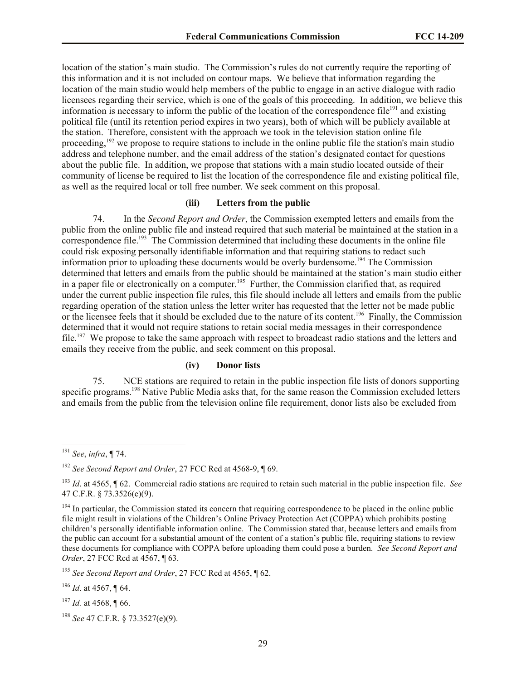location of the station's main studio. The Commission's rules do not currently require the reporting of this information and it is not included on contour maps. We believe that information regarding the location of the main studio would help members of the public to engage in an active dialogue with radio licensees regarding their service, which is one of the goals of this proceeding. In addition, we believe this information is necessary to inform the public of the location of the correspondence file<sup>191</sup> and existing political file (until its retention period expires in two years), both of which will be publicly available at the station. Therefore, consistent with the approach we took in the television station online file proceeding,<sup>192</sup> we propose to require stations to include in the online public file the station's main studio address and telephone number, and the email address of the station's designated contact for questions about the public file. In addition, we propose that stations with a main studio located outside of their community of license be required to list the location of the correspondence file and existing political file, as well as the required local or toll free number. We seek comment on this proposal.

## **(iii) Letters from the public**

74. In the *Second Report and Order*, the Commission exempted letters and emails from the public from the online public file and instead required that such material be maintained at the station in a correspondence file.<sup>193</sup> The Commission determined that including these documents in the online file could risk exposing personally identifiable information and that requiring stations to redact such information prior to uploading these documents would be overly burdensome.<sup>194</sup> The Commission determined that letters and emails from the public should be maintained at the station's main studio either in a paper file or electronically on a computer.<sup>195</sup> Further, the Commission clarified that, as required under the current public inspection file rules, this file should include all letters and emails from the public regarding operation of the station unless the letter writer has requested that the letter not be made public or the licensee feels that it should be excluded due to the nature of its content.<sup>196</sup> Finally, the Commission determined that it would not require stations to retain social media messages in their correspondence file.<sup>197</sup> We propose to take the same approach with respect to broadcast radio stations and the letters and emails they receive from the public, and seek comment on this proposal.

## **(iv) Donor lists**

75. NCE stations are required to retain in the public inspection file lists of donors supporting specific programs.<sup>198</sup> Native Public Media asks that, for the same reason the Commission excluded letters and emails from the public from the television online file requirement, donor lists also be excluded from

 $\overline{a}$ 

<sup>197</sup> *Id.* at 4568, ¶ 66.

<sup>198</sup> *See* 47 C.F.R. § 73.3527(e)(9).

<sup>191</sup> *See*, *infra*, ¶ 74.

<sup>192</sup> *See Second Report and Order*, 27 FCC Rcd at 4568-9, ¶ 69.

<sup>193</sup> *Id*. at 4565, ¶ 62. Commercial radio stations are required to retain such material in the public inspection file. *See* 47 C.F.R. § 73.3526(e)(9).

<sup>&</sup>lt;sup>194</sup> In particular, the Commission stated its concern that requiring correspondence to be placed in the online public file might result in violations of the Children's Online Privacy Protection Act (COPPA) which prohibits posting children's personally identifiable information online. The Commission stated that, because letters and emails from the public can account for a substantial amount of the content of a station's public file, requiring stations to review these documents for compliance with COPPA before uploading them could pose a burden. *See Second Report and Order*, 27 FCC Rcd at 4567, ¶ 63.

<sup>195</sup> *See Second Report and Order*, 27 FCC Rcd at 4565, ¶ 62.

<sup>196</sup> *Id*. at 4567, ¶ 64.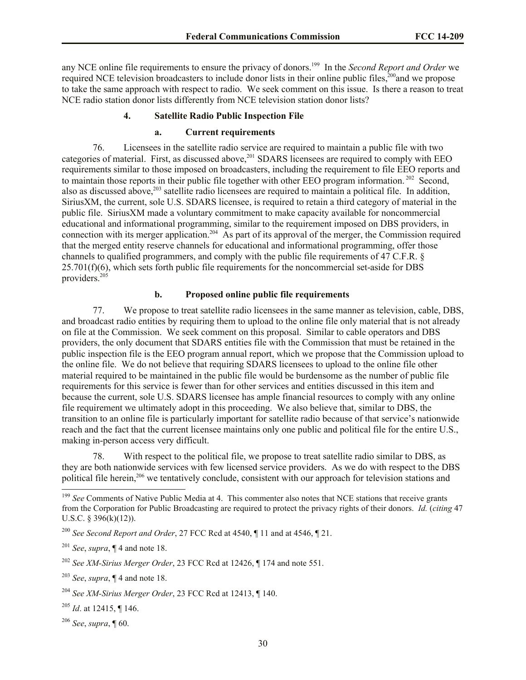any NCE online file requirements to ensure the privacy of donors.<sup>199</sup> In the *Second Report and Order* we required NCE television broadcasters to include donor lists in their online public files,<sup>200</sup>and we propose to take the same approach with respect to radio. We seek comment on this issue. Is there a reason to treat NCE radio station donor lists differently from NCE television station donor lists?

## **4. Satellite Radio Public Inspection File**

## **a. Current requirements**

76. Licensees in the satellite radio service are required to maintain a public file with two categories of material. First, as discussed above,<sup>201</sup> SDARS licensees are required to comply with EEO requirements similar to those imposed on broadcasters, including the requirement to file EEO reports and to maintain those reports in their public file together with other EEO program information.<sup>202</sup> Second, also as discussed above,<sup>203</sup> satellite radio licensees are required to maintain a political file. In addition, SiriusXM, the current, sole U.S. SDARS licensee, is required to retain a third category of material in the public file. SiriusXM made a voluntary commitment to make capacity available for noncommercial educational and informational programming, similar to the requirement imposed on DBS providers, in connection with its merger application.<sup>204</sup> As part of its approval of the merger, the Commission required that the merged entity reserve channels for educational and informational programming, offer those channels to qualified programmers, and comply with the public file requirements of 47 C.F.R. §  $25.701(f)(6)$ , which sets forth public file requirements for the noncommercial set-aside for DBS providers.<sup>205</sup>

## **b. Proposed online public file requirements**

77. We propose to treat satellite radio licensees in the same manner as television, cable, DBS, and broadcast radio entities by requiring them to upload to the online file only material that is not already on file at the Commission. We seek comment on this proposal. Similar to cable operators and DBS providers, the only document that SDARS entities file with the Commission that must be retained in the public inspection file is the EEO program annual report, which we propose that the Commission upload to the online file. We do not believe that requiring SDARS licensees to upload to the online file other material required to be maintained in the public file would be burdensome as the number of public file requirements for this service is fewer than for other services and entities discussed in this item and because the current, sole U.S. SDARS licensee has ample financial resources to comply with any online file requirement we ultimately adopt in this proceeding. We also believe that, similar to DBS, the transition to an online file is particularly important for satellite radio because of that service's nationwide reach and the fact that the current licensee maintains only one public and political file for the entire U.S., making in-person access very difficult.

78. With respect to the political file, we propose to treat satellite radio similar to DBS, as they are both nationwide services with few licensed service providers. As we do with respect to the DBS political file herein,<sup>206</sup> we tentatively conclude, consistent with our approach for television stations and

<sup>&</sup>lt;sup>199</sup> See Comments of Native Public Media at 4. This commenter also notes that NCE stations that receive grants from the Corporation for Public Broadcasting are required to protect the privacy rights of their donors. *Id.* (*citing* 47 U.S.C. § 396(k)(12)).

<sup>200</sup> *See Second Report and Order*, 27 FCC Rcd at 4540, ¶ 11 and at 4546, ¶ 21.

<sup>201</sup> *See*, *supra*, ¶ 4 and note 18.

<sup>202</sup> *See XM-Sirius Merger Order*, 23 FCC Rcd at 12426, ¶ 174 and note 551.

<sup>203</sup> *See*, *supra*, ¶ 4 and note 18.

<sup>204</sup> *See XM-Sirius Merger Order*, 23 FCC Rcd at 12413, ¶ 140.

<sup>205</sup> *Id*. at 12415, ¶ 146.

<sup>206</sup> *See*, *supra*, ¶ 60.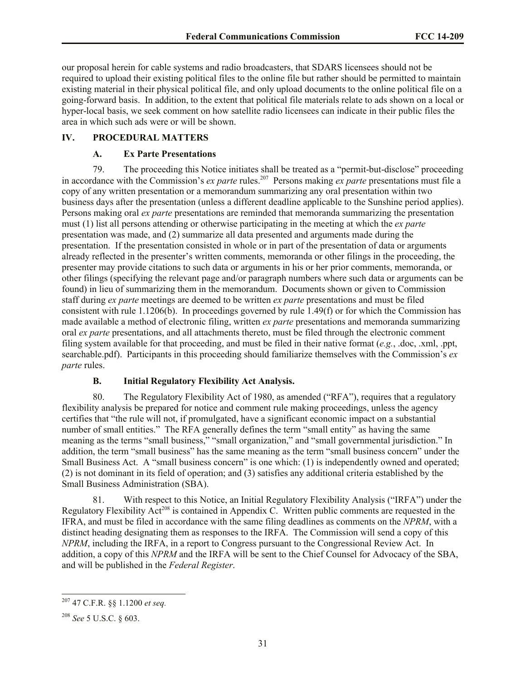our proposal herein for cable systems and radio broadcasters, that SDARS licensees should not be required to upload their existing political files to the online file but rather should be permitted to maintain existing material in their physical political file, and only upload documents to the online political file on a going-forward basis. In addition, to the extent that political file materials relate to ads shown on a local or hyper-local basis, we seek comment on how satellite radio licensees can indicate in their public files the area in which such ads were or will be shown.

# **IV. PROCEDURAL MATTERS**

# **A. Ex Parte Presentations**

79. The proceeding this Notice initiates shall be treated as a "permit-but-disclose" proceeding in accordance with the Commission's *ex parte* rules.<sup>207</sup> Persons making *ex parte* presentations must file a copy of any written presentation or a memorandum summarizing any oral presentation within two business days after the presentation (unless a different deadline applicable to the Sunshine period applies). Persons making oral *ex parte* presentations are reminded that memoranda summarizing the presentation must (1) list all persons attending or otherwise participating in the meeting at which the *ex parte*  presentation was made, and (2) summarize all data presented and arguments made during the presentation. If the presentation consisted in whole or in part of the presentation of data or arguments already reflected in the presenter's written comments, memoranda or other filings in the proceeding, the presenter may provide citations to such data or arguments in his or her prior comments, memoranda, or other filings (specifying the relevant page and/or paragraph numbers where such data or arguments can be found) in lieu of summarizing them in the memorandum. Documents shown or given to Commission staff during *ex parte* meetings are deemed to be written *ex parte* presentations and must be filed consistent with rule 1.1206(b). In proceedings governed by rule 1.49(f) or for which the Commission has made available a method of electronic filing, written *ex parte* presentations and memoranda summarizing oral *ex parte* presentations, and all attachments thereto, must be filed through the electronic comment filing system available for that proceeding, and must be filed in their native format (*e.g.*, .doc, .xml, .ppt, searchable.pdf). Participants in this proceeding should familiarize themselves with the Commission's *ex parte* rules.

# **B. Initial Regulatory Flexibility Act Analysis.**

80. The Regulatory Flexibility Act of 1980, as amended ("RFA"), requires that a regulatory flexibility analysis be prepared for notice and comment rule making proceedings, unless the agency certifies that "the rule will not, if promulgated, have a significant economic impact on a substantial number of small entities." The RFA generally defines the term "small entity" as having the same meaning as the terms "small business," "small organization," and "small governmental jurisdiction." In addition, the term "small business" has the same meaning as the term "small business concern" under the Small Business Act. A "small business concern" is one which: (1) is independently owned and operated; (2) is not dominant in its field of operation; and (3) satisfies any additional criteria established by the Small Business Administration (SBA).

81. With respect to this Notice, an Initial Regulatory Flexibility Analysis ("IRFA") under the Regulatory Flexibility  $Act^{208}$  is contained in Appendix C. Written public comments are requested in the IFRA, and must be filed in accordance with the same filing deadlines as comments on the *NPRM*, with a distinct heading designating them as responses to the IRFA. The Commission will send a copy of this *NPRM*, including the IRFA, in a report to Congress pursuant to the Congressional Review Act. In addition, a copy of this *NPRM* and the IRFA will be sent to the Chief Counsel for Advocacy of the SBA, and will be published in the *Federal Register*.

<sup>207</sup> 47 C.F.R. §§ 1.1200 *et seq.*

<sup>208</sup> *See* 5 U.S.C. § 603.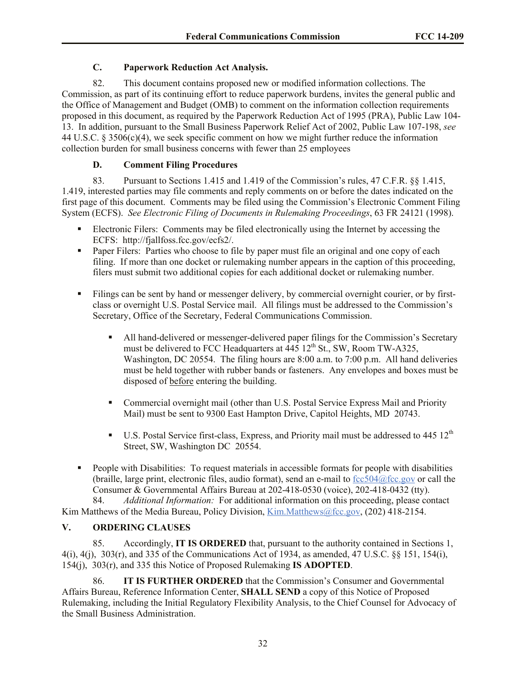# **C. Paperwork Reduction Act Analysis.**

82. This document contains proposed new or modified information collections. The Commission, as part of its continuing effort to reduce paperwork burdens, invites the general public and the Office of Management and Budget (OMB) to comment on the information collection requirements proposed in this document, as required by the Paperwork Reduction Act of 1995 (PRA), Public Law 104- 13. In addition, pursuant to the Small Business Paperwork Relief Act of 2002, Public Law 107-198, *see* 44 U.S.C. § 3506(c)(4), we seek specific comment on how we might further reduce the information collection burden for small business concerns with fewer than 25 employees

# **D. Comment Filing Procedures**

83. Pursuant to Sections 1.415 and 1.419 of the Commission's rules, 47 C.F.R. §§ 1.415, 1.419, interested parties may file comments and reply comments on or before the dates indicated on the first page of this document. Comments may be filed using the Commission's Electronic Comment Filing System (ECFS). *See Electronic Filing of Documents in Rulemaking Proceedings*, 63 FR 24121 (1998).

- Electronic Filers: Comments may be filed electronically using the Internet by accessing the ECFS: http://fjallfoss.fcc.gov/ecfs2/.
- **Paper Filers:** Parties who choose to file by paper must file an original and one copy of each filing. If more than one docket or rulemaking number appears in the caption of this proceeding, filers must submit two additional copies for each additional docket or rulemaking number.
- Filings can be sent by hand or messenger delivery, by commercial overnight courier, or by firstclass or overnight U.S. Postal Service mail. All filings must be addressed to the Commission's Secretary, Office of the Secretary, Federal Communications Commission.
	- All hand-delivered or messenger-delivered paper filings for the Commission's Secretary must be delivered to FCC Headquarters at  $445 \, 12^{th}$  St., SW, Room TW-A325, Washington, DC 20554. The filing hours are 8:00 a.m. to 7:00 p.m. All hand deliveries must be held together with rubber bands or fasteners. Any envelopes and boxes must be disposed of before entering the building.
	- Commercial overnight mail (other than U.S. Postal Service Express Mail and Priority Mail) must be sent to 9300 East Hampton Drive, Capitol Heights, MD 20743.
	- U.S. Postal Service first-class, Express, and Priority mail must be addressed to 445  $12<sup>th</sup>$ Street, SW, Washington DC 20554.
- **People with Disabilities:** To request materials in accessible formats for people with disabilities (braille, large print, electronic files, audio format), send an e-mail to  $fcc504@$ fcc.gov or call the Consumer & Governmental Affairs Bureau at 202-418-0530 (voice), 202-418-0432 (tty).

84. *Additional Information:* For additional information on this proceeding, please contact Kim Matthews of the Media Bureau, Policy Division, Kim.Matthews@fcc.gov, (202) 418-2154.

# **V. ORDERING CLAUSES**

85. Accordingly, **IT IS ORDERED** that, pursuant to the authority contained in Sections 1, 4(i), 4(j), 303(r), and 335 of the Communications Act of 1934, as amended, 47 U.S.C. §§ 151, 154(i), 154(j), 303(r), and 335 this Notice of Proposed Rulemaking **IS ADOPTED**.

86. **IT IS FURTHER ORDERED** that the Commission's Consumer and Governmental Affairs Bureau, Reference Information Center, **SHALL SEND** a copy of this Notice of Proposed Rulemaking, including the Initial Regulatory Flexibility Analysis, to the Chief Counsel for Advocacy of the Small Business Administration.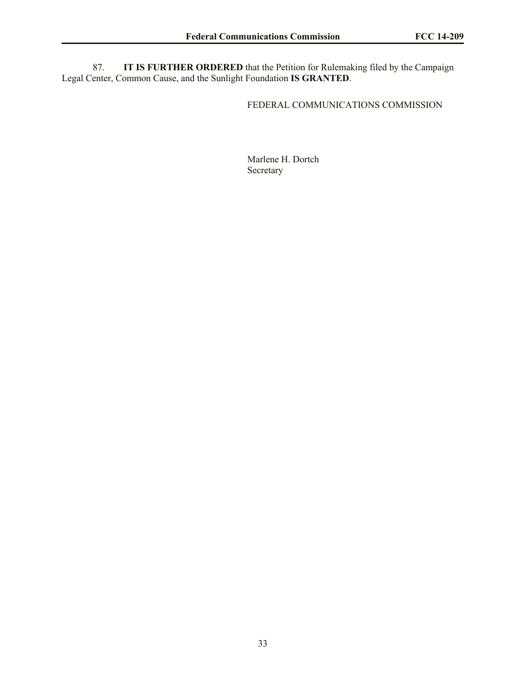87. **IT IS FURTHER ORDERED** that the Petition for Rulemaking filed by the Campaign Legal Center, Common Cause, and the Sunlight Foundation **IS GRANTED**.

# FEDERAL COMMUNICATIONS COMMISSION

Marlene H. Dortch Secretary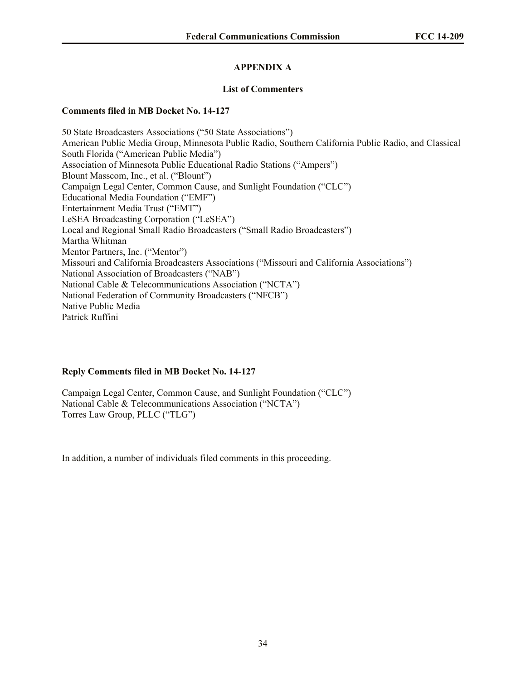# **APPENDIX A**

## **List of Commenters**

## **Comments filed in MB Docket No. 14-127**

50 State Broadcasters Associations ("50 State Associations") American Public Media Group, Minnesota Public Radio, Southern California Public Radio, and Classical South Florida ("American Public Media") Association of Minnesota Public Educational Radio Stations ("Ampers") Blount Masscom, Inc., et al. ("Blount") Campaign Legal Center, Common Cause, and Sunlight Foundation ("CLC") Educational Media Foundation ("EMF") Entertainment Media Trust ("EMT") LeSEA Broadcasting Corporation ("LeSEA") Local and Regional Small Radio Broadcasters ("Small Radio Broadcasters") Martha Whitman Mentor Partners, Inc. ("Mentor") Missouri and California Broadcasters Associations ("Missouri and California Associations") National Association of Broadcasters ("NAB") National Cable & Telecommunications Association ("NCTA") National Federation of Community Broadcasters ("NFCB") Native Public Media Patrick Ruffini

## **Reply Comments filed in MB Docket No. 14-127**

Campaign Legal Center, Common Cause, and Sunlight Foundation ("CLC") National Cable & Telecommunications Association ("NCTA") Torres Law Group, PLLC ("TLG")

In addition, a number of individuals filed comments in this proceeding.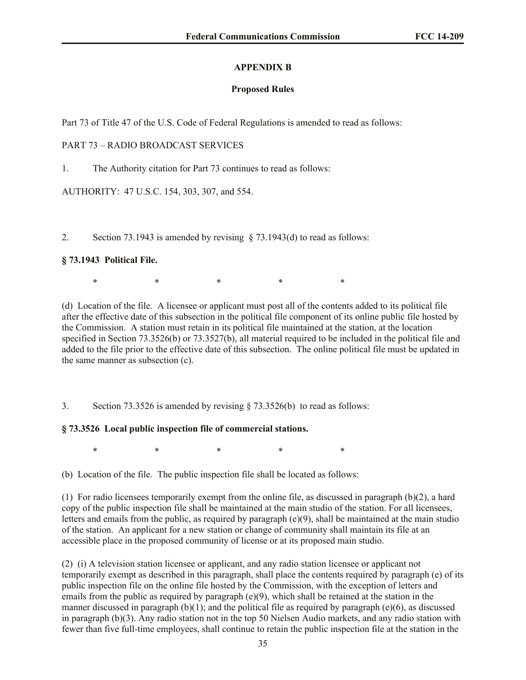# **APPENDIX B**

# **Proposed Rules**

Part 73 of Title 47 of the U.S. Code of Federal Regulations is amended to read as follows:

# PART 73 – RADIO BROADCAST SERVICES

1. The Authority citation for Part 73 continues to read as follows:

AUTHORITY: 47 U.S.C. 154, 303, 307, and 554.

2. Section 73.1943 is amended by revising  $\S$  73.1943(d) to read as follows:

# **§ 73.1943 Political File.**

\* \* \* \* \* \* \* \*

(d) Location of the file. A licensee or applicant must post all of the contents added to its political file after the effective date of this subsection in the political file component of its online public file hosted by the Commission. A station must retain in its political file maintained at the station, at the location specified in Section 73.3526(b) or 73.3527(b), all material required to be included in the political file and added to the file prior to the effective date of this subsection. The online political file must be updated in the same manner as subsection (c).

3. Section 73.3526 is amended by revising § 73.3526(b) to read as follows:

# **§ 73.3526 Local public inspection file of commercial stations.**

 $*$  \*  $*$  \*  $*$  \*

(b) Location of the file. The public inspection file shall be located as follows:

(1) For radio licensees temporarily exempt from the online file, as discussed in paragraph (b)(2), a hard copy of the public inspection file shall be maintained at the main studio of the station. For all licensees, letters and emails from the public, as required by paragraph (e)(9), shall be maintained at the main studio of the station. An applicant for a new station or change of community shall maintain its file at an accessible place in the proposed community of license or at its proposed main studio.

(2) (i) A television station licensee or applicant, and any radio station licensee or applicant not temporarily exempt as described in this paragraph, shall place the contents required by paragraph (e) of its public inspection file on the online file hosted by the Commission, with the exception of letters and emails from the public as required by paragraph (e)(9), which shall be retained at the station in the manner discussed in paragraph  $(b)(1)$ ; and the political file as required by paragraph (e)(6), as discussed in paragraph (b)(3). Any radio station not in the top 50 Nielsen Audio markets, and any radio station with fewer than five full-time employees, shall continue to retain the public inspection file at the station in the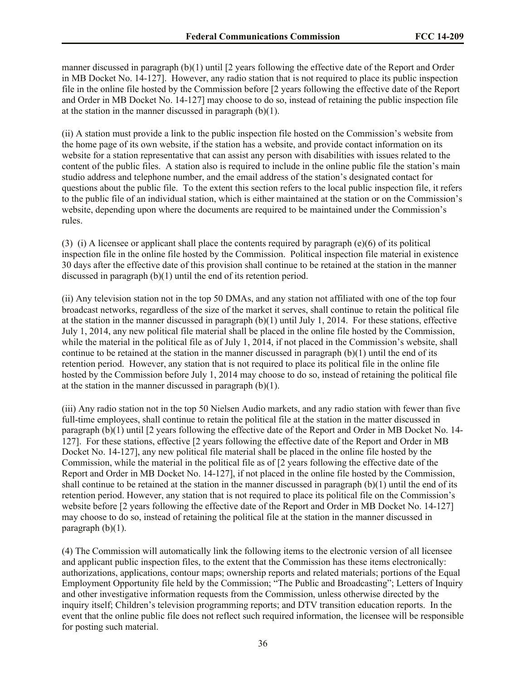manner discussed in paragraph (b)(1) until [2 years following the effective date of the Report and Order in MB Docket No. 14-127]. However, any radio station that is not required to place its public inspection file in the online file hosted by the Commission before [2 years following the effective date of the Report and Order in MB Docket No. 14-127] may choose to do so, instead of retaining the public inspection file at the station in the manner discussed in paragraph (b)(1).

(ii) A station must provide a link to the public inspection file hosted on the Commission's website from the home page of its own website, if the station has a website, and provide contact information on its website for a station representative that can assist any person with disabilities with issues related to the content of the public files. A station also is required to include in the online public file the station's main studio address and telephone number, and the email address of the station's designated contact for questions about the public file. To the extent this section refers to the local public inspection file, it refers to the public file of an individual station, which is either maintained at the station or on the Commission's website, depending upon where the documents are required to be maintained under the Commission's rules.

(3) (i) A licensee or applicant shall place the contents required by paragraph (e)(6) of its political inspection file in the online file hosted by the Commission. Political inspection file material in existence 30 days after the effective date of this provision shall continue to be retained at the station in the manner discussed in paragraph (b)(1) until the end of its retention period.

(ii) Any television station not in the top 50 DMAs, and any station not affiliated with one of the top four broadcast networks, regardless of the size of the market it serves, shall continue to retain the political file at the station in the manner discussed in paragraph (b)(1) until July 1, 2014. For these stations, effective July 1, 2014, any new political file material shall be placed in the online file hosted by the Commission, while the material in the political file as of July 1, 2014, if not placed in the Commission's website, shall continue to be retained at the station in the manner discussed in paragraph  $(b)(1)$  until the end of its retention period. However, any station that is not required to place its political file in the online file hosted by the Commission before July 1, 2014 may choose to do so, instead of retaining the political file at the station in the manner discussed in paragraph  $(b)(1)$ .

(iii) Any radio station not in the top 50 Nielsen Audio markets, and any radio station with fewer than five full-time employees, shall continue to retain the political file at the station in the matter discussed in paragraph (b)(1) until [2 years following the effective date of the Report and Order in MB Docket No. 14- 127]. For these stations, effective [2 years following the effective date of the Report and Order in MB Docket No. 14-127], any new political file material shall be placed in the online file hosted by the Commission, while the material in the political file as of [2 years following the effective date of the Report and Order in MB Docket No. 14-127], if not placed in the online file hosted by the Commission, shall continue to be retained at the station in the manner discussed in paragraph (b)(1) until the end of its retention period. However, any station that is not required to place its political file on the Commission's website before [2 years following the effective date of the Report and Order in MB Docket No. 14-127] may choose to do so, instead of retaining the political file at the station in the manner discussed in paragraph  $(b)(1)$ .

(4) The Commission will automatically link the following items to the electronic version of all licensee and applicant public inspection files, to the extent that the Commission has these items electronically: authorizations, applications, contour maps; ownership reports and related materials; portions of the Equal Employment Opportunity file held by the Commission; "The Public and Broadcasting"; Letters of Inquiry and other investigative information requests from the Commission, unless otherwise directed by the inquiry itself; Children's television programming reports; and DTV transition education reports. In the event that the online public file does not reflect such required information, the licensee will be responsible for posting such material.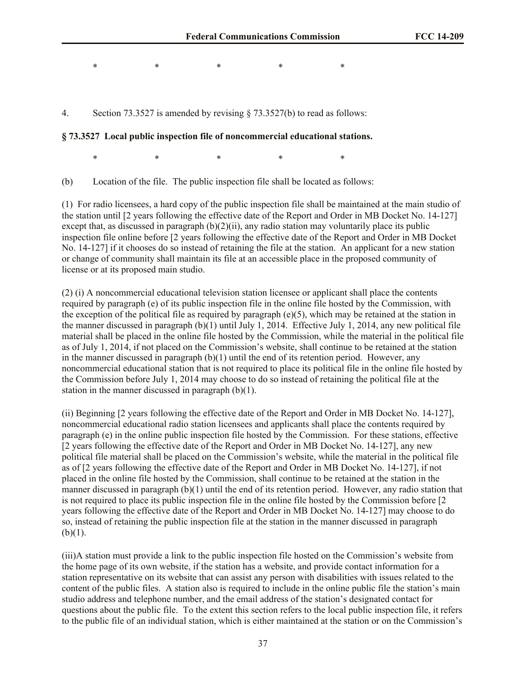$*$  \*  $*$  \*  $*$  \*

4. Section 73.3527 is amended by revising § 73.3527(b) to read as follows:

#### **§ 73.3527 Local public inspection file of noncommercial educational stations.**

 $*$  \*  $*$  \*  $*$  \*

(b) Location of the file. The public inspection file shall be located as follows:

(1) For radio licensees, a hard copy of the public inspection file shall be maintained at the main studio of the station until [2 years following the effective date of the Report and Order in MB Docket No. 14-127] except that, as discussed in paragraph  $(b)(2)(ii)$ , any radio station may voluntarily place its public inspection file online before [2 years following the effective date of the Report and Order in MB Docket No. 14-127] if it chooses do so instead of retaining the file at the station. An applicant for a new station or change of community shall maintain its file at an accessible place in the proposed community of license or at its proposed main studio.

(2) (i) A noncommercial educational television station licensee or applicant shall place the contents required by paragraph (e) of its public inspection file in the online file hosted by the Commission, with the exception of the political file as required by paragraph  $(e)(5)$ , which may be retained at the station in the manner discussed in paragraph (b)(1) until July 1, 2014. Effective July 1, 2014, any new political file material shall be placed in the online file hosted by the Commission, while the material in the political file as of July 1, 2014, if not placed on the Commission's website, shall continue to be retained at the station in the manner discussed in paragraph  $(b)(1)$  until the end of its retention period. However, any noncommercial educational station that is not required to place its political file in the online file hosted by the Commission before July 1, 2014 may choose to do so instead of retaining the political file at the station in the manner discussed in paragraph (b)(1).

(ii) Beginning [2 years following the effective date of the Report and Order in MB Docket No. 14-127], noncommercial educational radio station licensees and applicants shall place the contents required by paragraph (e) in the online public inspection file hosted by the Commission. For these stations, effective [2 years following the effective date of the Report and Order in MB Docket No. 14-127], any new political file material shall be placed on the Commission's website, while the material in the political file as of [2 years following the effective date of the Report and Order in MB Docket No. 14-127], if not placed in the online file hosted by the Commission, shall continue to be retained at the station in the manner discussed in paragraph (b)(1) until the end of its retention period. However, any radio station that is not required to place its public inspection file in the online file hosted by the Commission before [2 years following the effective date of the Report and Order in MB Docket No. 14-127] may choose to do so, instead of retaining the public inspection file at the station in the manner discussed in paragraph  $(b)(1)$ .

(iii)A station must provide a link to the public inspection file hosted on the Commission's website from the home page of its own website, if the station has a website, and provide contact information for a station representative on its website that can assist any person with disabilities with issues related to the content of the public files. A station also is required to include in the online public file the station's main studio address and telephone number, and the email address of the station's designated contact for questions about the public file. To the extent this section refers to the local public inspection file, it refers to the public file of an individual station, which is either maintained at the station or on the Commission's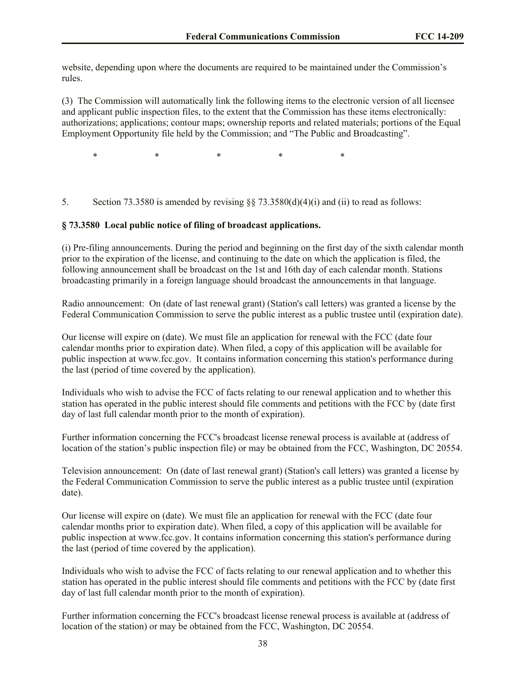website, depending upon where the documents are required to be maintained under the Commission's rules.

(3) The Commission will automatically link the following items to the electronic version of all licensee and applicant public inspection files, to the extent that the Commission has these items electronically: authorizations; applications; contour maps; ownership reports and related materials; portions of the Equal Employment Opportunity file held by the Commission; and "The Public and Broadcasting".

 $*$  \*  $*$  \*  $*$  \*

5. Section 73.3580 is amended by revising  $\S$ § 73.3580(d)(4)(i) and (ii) to read as follows:

#### **§ 73.3580 Local public notice of filing of broadcast applications.**

(i) Pre-filing announcements. During the period and beginning on the first day of the sixth calendar month prior to the expiration of the license, and continuing to the date on which the application is filed, the following announcement shall be broadcast on the 1st and 16th day of each calendar month. Stations broadcasting primarily in a foreign language should broadcast the announcements in that language.

Radio announcement: On (date of last renewal grant) (Station's call letters) was granted a license by the Federal Communication Commission to serve the public interest as a public trustee until (expiration date).

Our license will expire on (date). We must file an application for renewal with the FCC (date four calendar months prior to expiration date). When filed, a copy of this application will be available for public inspection at www.fcc.gov. It contains information concerning this station's performance during the last (period of time covered by the application).

Individuals who wish to advise the FCC of facts relating to our renewal application and to whether this station has operated in the public interest should file comments and petitions with the FCC by (date first day of last full calendar month prior to the month of expiration).

Further information concerning the FCC's broadcast license renewal process is available at (address of location of the station's public inspection file) or may be obtained from the FCC, Washington, DC 20554.

Television announcement: On (date of last renewal grant) (Station's call letters) was granted a license by the Federal Communication Commission to serve the public interest as a public trustee until (expiration date).

Our license will expire on (date). We must file an application for renewal with the FCC (date four calendar months prior to expiration date). When filed, a copy of this application will be available for public inspection at www.fcc.gov. It contains information concerning this station's performance during the last (period of time covered by the application).

Individuals who wish to advise the FCC of facts relating to our renewal application and to whether this station has operated in the public interest should file comments and petitions with the FCC by (date first day of last full calendar month prior to the month of expiration).

Further information concerning the FCC's broadcast license renewal process is available at (address of location of the station) or may be obtained from the FCC, Washington, DC 20554.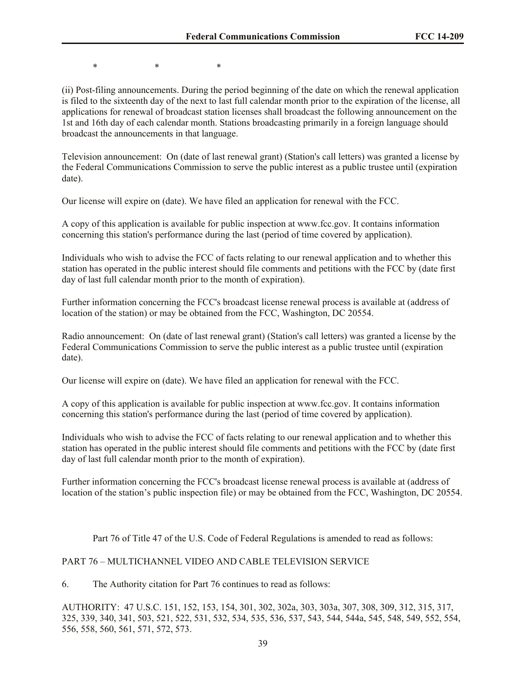\* \* \*

(ii) Post-filing announcements. During the period beginning of the date on which the renewal application is filed to the sixteenth day of the next to last full calendar month prior to the expiration of the license, all applications for renewal of broadcast station licenses shall broadcast the following announcement on the 1st and 16th day of each calendar month. Stations broadcasting primarily in a foreign language should broadcast the announcements in that language.

Television announcement: On (date of last renewal grant) (Station's call letters) was granted a license by the Federal Communications Commission to serve the public interest as a public trustee until (expiration date).

Our license will expire on (date). We have filed an application for renewal with the FCC.

A copy of this application is available for public inspection at www.fcc.gov. It contains information concerning this station's performance during the last (period of time covered by application).

Individuals who wish to advise the FCC of facts relating to our renewal application and to whether this station has operated in the public interest should file comments and petitions with the FCC by (date first day of last full calendar month prior to the month of expiration).

Further information concerning the FCC's broadcast license renewal process is available at (address of location of the station) or may be obtained from the FCC, Washington, DC 20554.

Radio announcement: On (date of last renewal grant) (Station's call letters) was granted a license by the Federal Communications Commission to serve the public interest as a public trustee until (expiration date).

Our license will expire on (date). We have filed an application for renewal with the FCC.

A copy of this application is available for public inspection at www.fcc.gov. It contains information concerning this station's performance during the last (period of time covered by application).

Individuals who wish to advise the FCC of facts relating to our renewal application and to whether this station has operated in the public interest should file comments and petitions with the FCC by (date first day of last full calendar month prior to the month of expiration).

Further information concerning the FCC's broadcast license renewal process is available at (address of location of the station's public inspection file) or may be obtained from the FCC, Washington, DC 20554.

Part 76 of Title 47 of the U.S. Code of Federal Regulations is amended to read as follows:

# PART 76 – MULTICHANNEL VIDEO AND CABLE TELEVISION SERVICE

6. The Authority citation for Part 76 continues to read as follows:

AUTHORITY: 47 U.S.C. 151, 152, 153, 154, 301, 302, 302a, 303, 303a, 307, 308, 309, 312, 315, 317, 325, 339, 340, 341, 503, 521, 522, 531, 532, 534, 535, 536, 537, 543, 544, 544a, 545, 548, 549, 552, 554, 556, 558, 560, 561, 571, 572, 573.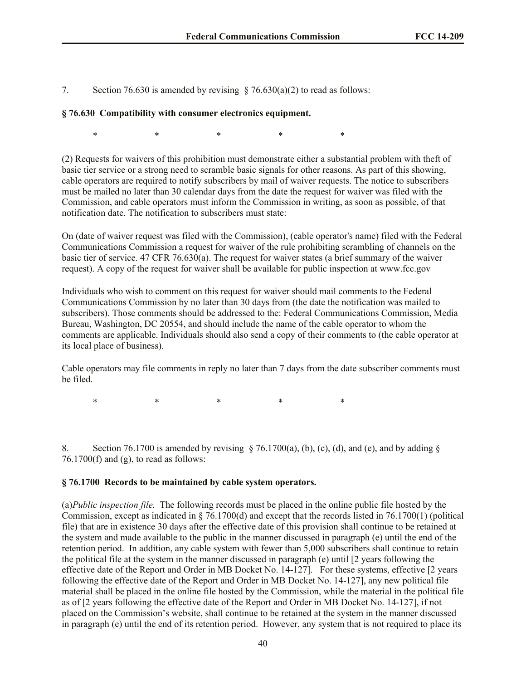7. Section 76.630 is amended by revising  $\S$  76.630(a)(2) to read as follows:

## **§ 76.630 Compatibility with consumer electronics equipment.**

 $*$  \*  $*$  \*  $*$  \*

(2) Requests for waivers of this prohibition must demonstrate either a substantial problem with theft of basic tier service or a strong need to scramble basic signals for other reasons. As part of this showing, cable operators are required to notify subscribers by mail of waiver requests. The notice to subscribers must be mailed no later than 30 calendar days from the date the request for waiver was filed with the Commission, and cable operators must inform the Commission in writing, as soon as possible, of that notification date. The notification to subscribers must state:

On (date of waiver request was filed with the Commission), (cable operator's name) filed with the Federal Communications Commission a request for waiver of the rule prohibiting scrambling of channels on the basic tier of service. 47 CFR 76.630(a). The request for waiver states (a brief summary of the waiver request). A copy of the request for waiver shall be available for public inspection at www.fcc.gov

Individuals who wish to comment on this request for waiver should mail comments to the Federal Communications Commission by no later than 30 days from (the date the notification was mailed to subscribers). Those comments should be addressed to the: Federal Communications Commission, Media Bureau, Washington, DC 20554, and should include the name of the cable operator to whom the comments are applicable. Individuals should also send a copy of their comments to (the cable operator at its local place of business).

Cable operators may file comments in reply no later than 7 days from the date subscriber comments must be filed.

 $*$  \*  $*$  \*  $*$  \*

8. Section 76.1700 is amended by revising  $\S$  76.1700(a), (b), (c), (d), and (e), and by adding  $\S$  $76.1700(f)$  and (g), to read as follows:

## **§ 76.1700 Records to be maintained by cable system operators.**

(a)*Public inspection file.* The following records must be placed in the online public file hosted by the Commission, except as indicated in § 76.1700(d) and except that the records listed in 76.1700(1) (political file) that are in existence 30 days after the effective date of this provision shall continue to be retained at the system and made available to the public in the manner discussed in paragraph (e) until the end of the retention period. In addition, any cable system with fewer than 5,000 subscribers shall continue to retain the political file at the system in the manner discussed in paragraph (e) until [2 years following the effective date of the Report and Order in MB Docket No. 14-127]. For these systems, effective [2 years following the effective date of the Report and Order in MB Docket No. 14-127], any new political file material shall be placed in the online file hosted by the Commission, while the material in the political file as of [2 years following the effective date of the Report and Order in MB Docket No. 14-127], if not placed on the Commission's website, shall continue to be retained at the system in the manner discussed in paragraph (e) until the end of its retention period. However, any system that is not required to place its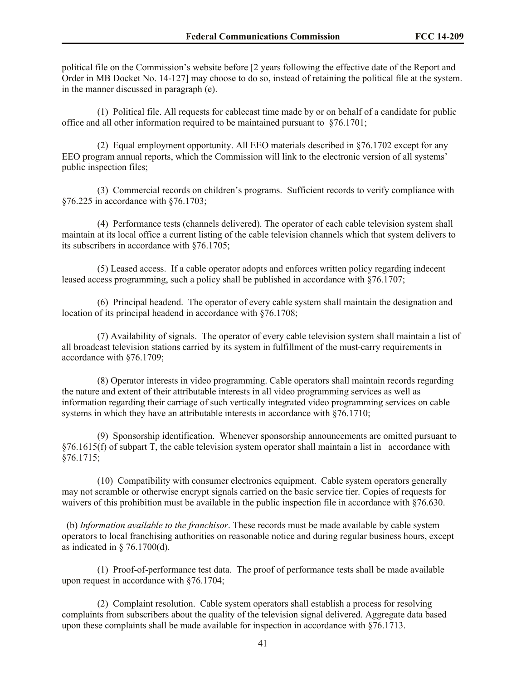political file on the Commission's website before [2 years following the effective date of the Report and Order in MB Docket No. 14-127] may choose to do so, instead of retaining the political file at the system. in the manner discussed in paragraph (e).

 (1) Political file. All requests for cablecast time made by or on behalf of a candidate for public office and all other information required to be maintained pursuant to §76.1701;

 (2) Equal employment opportunity. All EEO materials described in §76.1702 except for any EEO program annual reports, which the Commission will link to the electronic version of all systems' public inspection files;

 (3) Commercial records on children's programs. Sufficient records to verify compliance with §76.225 in accordance with §76.1703;

 (4) Performance tests (channels delivered). The operator of each cable television system shall maintain at its local office a current listing of the cable television channels which that system delivers to its subscribers in accordance with §76.1705;

 (5) Leased access. If a cable operator adopts and enforces written policy regarding indecent leased access programming, such a policy shall be published in accordance with §76.1707;

 (6) Principal headend. The operator of every cable system shall maintain the designation and location of its principal headend in accordance with  $876.1708$ ;

 (7) Availability of signals. The operator of every cable television system shall maintain a list of all broadcast television stations carried by its system in fulfillment of the must-carry requirements in accordance with §76.1709;

 (8) Operator interests in video programming. Cable operators shall maintain records regarding the nature and extent of their attributable interests in all video programming services as well as information regarding their carriage of such vertically integrated video programming services on cable systems in which they have an attributable interests in accordance with §76.1710;

 (9) Sponsorship identification. Whenever sponsorship announcements are omitted pursuant to  $§76.1615(f)$  of subpart T, the cable television system operator shall maintain a list in accordance with §76.1715;

 (10) Compatibility with consumer electronics equipment. Cable system operators generally may not scramble or otherwise encrypt signals carried on the basic service tier. Copies of requests for waivers of this prohibition must be available in the public inspection file in accordance with §76.630.

 (b) *Information available to the franchisor*. These records must be made available by cable system operators to local franchising authorities on reasonable notice and during regular business hours, except as indicated in  $\S$  76.1700(d).

 (1) Proof-of-performance test data. The proof of performance tests shall be made available upon request in accordance with §76.1704;

 (2) Complaint resolution. Cable system operators shall establish a process for resolving complaints from subscribers about the quality of the television signal delivered. Aggregate data based upon these complaints shall be made available for inspection in accordance with §76.1713.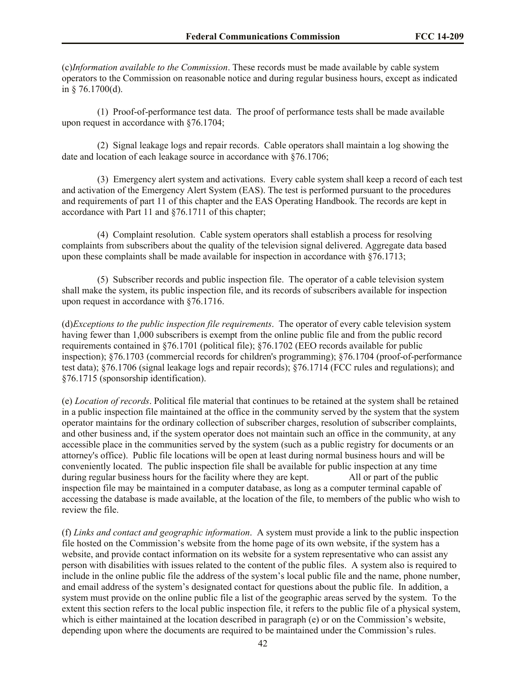(c)*Information available to the Commission*. These records must be made available by cable system operators to the Commission on reasonable notice and during regular business hours, except as indicated in § 76.1700(d).

 (1) Proof-of-performance test data. The proof of performance tests shall be made available upon request in accordance with §76.1704;

 (2) Signal leakage logs and repair records. Cable operators shall maintain a log showing the date and location of each leakage source in accordance with §76.1706;

 (3) Emergency alert system and activations. Every cable system shall keep a record of each test and activation of the Emergency Alert System (EAS). The test is performed pursuant to the procedures and requirements of part 11 of this chapter and the EAS Operating Handbook. The records are kept in accordance with Part 11 and §76.1711 of this chapter;

 (4) Complaint resolution. Cable system operators shall establish a process for resolving complaints from subscribers about the quality of the television signal delivered. Aggregate data based upon these complaints shall be made available for inspection in accordance with §76.1713;

 (5) Subscriber records and public inspection file. The operator of a cable television system shall make the system, its public inspection file, and its records of subscribers available for inspection upon request in accordance with §76.1716.

(d)*Exceptions to the public inspection file requirements*. The operator of every cable television system having fewer than 1,000 subscribers is exempt from the online public file and from the public record requirements contained in §76.1701 (political file); §76.1702 (EEO records available for public inspection); §76.1703 (commercial records for children's programming); §76.1704 (proof-of-performance test data); §76.1706 (signal leakage logs and repair records); §76.1714 (FCC rules and regulations); and §76.1715 (sponsorship identification).

(e) *Location of records*. Political file material that continues to be retained at the system shall be retained in a public inspection file maintained at the office in the community served by the system that the system operator maintains for the ordinary collection of subscriber charges, resolution of subscriber complaints, and other business and, if the system operator does not maintain such an office in the community, at any accessible place in the communities served by the system (such as a public registry for documents or an attorney's office). Public file locations will be open at least during normal business hours and will be conveniently located. The public inspection file shall be available for public inspection at any time during regular business hours for the facility where they are kept. All or part of the public inspection file may be maintained in a computer database, as long as a computer terminal capable of accessing the database is made available, at the location of the file, to members of the public who wish to review the file.

(f) *Links and contact and geographic information*. A system must provide a link to the public inspection file hosted on the Commission's website from the home page of its own website, if the system has a website, and provide contact information on its website for a system representative who can assist any person with disabilities with issues related to the content of the public files. A system also is required to include in the online public file the address of the system's local public file and the name, phone number, and email address of the system's designated contact for questions about the public file. In addition, a system must provide on the online public file a list of the geographic areas served by the system. To the extent this section refers to the local public inspection file, it refers to the public file of a physical system, which is either maintained at the location described in paragraph (e) or on the Commission's website, depending upon where the documents are required to be maintained under the Commission's rules.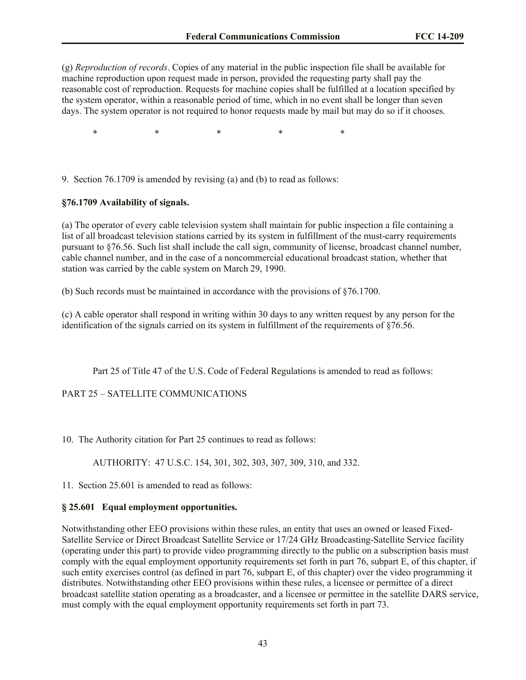(g) *Reproduction of records*. Copies of any material in the public inspection file shall be available for machine reproduction upon request made in person, provided the requesting party shall pay the reasonable cost of reproduction. Requests for machine copies shall be fulfilled at a location specified by the system operator, within a reasonable period of time, which in no event shall be longer than seven days. The system operator is not required to honor requests made by mail but may do so if it chooses.

 $*$  \*  $*$  \*  $*$  \*

9. Section 76.1709 is amended by revising (a) and (b) to read as follows:

## **§76.1709 Availability of signals.**

(a) The operator of every cable television system shall maintain for public inspection a file containing a list of all broadcast television stations carried by its system in fulfillment of the must-carry requirements pursuant to §76.56. Such list shall include the call sign, community of license, broadcast channel number, cable channel number, and in the case of a noncommercial educational broadcast station, whether that station was carried by the cable system on March 29, 1990.

(b) Such records must be maintained in accordance with the provisions of §76.1700.

(c) A cable operator shall respond in writing within 30 days to any written request by any person for the identification of the signals carried on its system in fulfillment of the requirements of §76.56.

Part 25 of Title 47 of the U.S. Code of Federal Regulations is amended to read as follows:

PART 25 – SATELLITE COMMUNICATIONS

10. The Authority citation for Part 25 continues to read as follows:

AUTHORITY: 47 U.S.C. 154, 301, 302, 303, 307, 309, 310, and 332.

11. Section 25.601 is amended to read as follows:

## **§ 25.601 Equal employment opportunities.**

Notwithstanding other EEO provisions within these rules, an entity that uses an owned or leased Fixed-Satellite Service or Direct Broadcast Satellite Service or 17/24 GHz Broadcasting-Satellite Service facility (operating under this part) to provide video programming directly to the public on a subscription basis must comply with the equal employment opportunity requirements set forth in part 76, subpart E, of this chapter, if such entity exercises control (as defined in part 76, subpart E, of this chapter) over the video programming it distributes. Notwithstanding other EEO provisions within these rules, a licensee or permittee of a direct broadcast satellite station operating as a broadcaster, and a licensee or permittee in the satellite DARS service, must comply with the equal employment opportunity requirements set forth in part 73.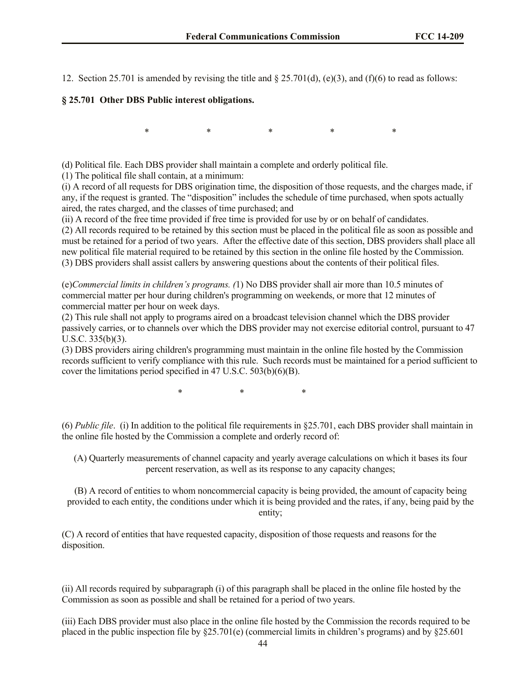12. Section 25.701 is amended by revising the title and  $\S$  25.701(d), (e)(3), and (f)(6) to read as follows:

## **§ 25.701 Other DBS Public interest obligations.**

 $*$  \* \* \* \* \*

(d) Political file. Each DBS provider shall maintain a complete and orderly political file.

(1) The political file shall contain, at a minimum:

(i) A record of all requests for DBS origination time, the disposition of those requests, and the charges made, if any, if the request is granted. The "disposition" includes the schedule of time purchased, when spots actually aired, the rates charged, and the classes of time purchased; and

(ii) A record of the free time provided if free time is provided for use by or on behalf of candidates.

(2) All records required to be retained by this section must be placed in the political file as soon as possible and must be retained for a period of two years. After the effective date of this section, DBS providers shall place all new political file material required to be retained by this section in the online file hosted by the Commission. (3) DBS providers shall assist callers by answering questions about the contents of their political files.

(e)*Commercial limits in children's programs. (*1) No DBS provider shall air more than 10.5 minutes of commercial matter per hour during children's programming on weekends, or more that 12 minutes of commercial matter per hour on week days.

(2) This rule shall not apply to programs aired on a broadcast television channel which the DBS provider passively carries, or to channels over which the DBS provider may not exercise editorial control, pursuant to 47 U.S.C. 335(b)(3).

(3) DBS providers airing children's programming must maintain in the online file hosted by the Commission records sufficient to verify compliance with this rule. Such records must be maintained for a period sufficient to cover the limitations period specified in 47 U.S.C. 503(b)(6)(B).

\* \* \*

(6) *Public file*. (i) In addition to the political file requirements in §25.701, each DBS provider shall maintain in the online file hosted by the Commission a complete and orderly record of:

(A) Quarterly measurements of channel capacity and yearly average calculations on which it bases its four percent reservation, as well as its response to any capacity changes;

(B) A record of entities to whom noncommercial capacity is being provided, the amount of capacity being provided to each entity, the conditions under which it is being provided and the rates, if any, being paid by the entity;

(C) A record of entities that have requested capacity, disposition of those requests and reasons for the disposition.

(ii) All records required by subparagraph (i) of this paragraph shall be placed in the online file hosted by the Commission as soon as possible and shall be retained for a period of two years.

(iii) Each DBS provider must also place in the online file hosted by the Commission the records required to be placed in the public inspection file by  $\S25.701(e)$  (commercial limits in children's programs) and by  $\S25.601$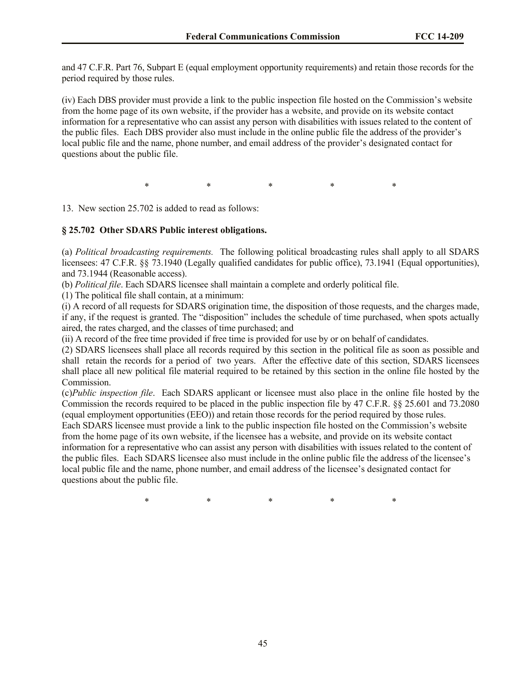and 47 C.F.R. Part 76, Subpart E (equal employment opportunity requirements) and retain those records for the period required by those rules.

(iv) Each DBS provider must provide a link to the public inspection file hosted on the Commission's website from the home page of its own website, if the provider has a website, and provide on its website contact information for a representative who can assist any person with disabilities with issues related to the content of the public files. Each DBS provider also must include in the online public file the address of the provider's local public file and the name, phone number, and email address of the provider's designated contact for questions about the public file.

\* \* \* \* \* \* \* \*

13. New section 25.702 is added to read as follows:

# **§ 25.702 Other SDARS Public interest obligations.**

(a) *Political broadcasting requirements.* The following political broadcasting rules shall apply to all SDARS licensees: 47 C.F.R. §§ 73.1940 (Legally qualified candidates for public office), 73.1941 (Equal opportunities), and 73.1944 (Reasonable access).

(b) *Political file*. Each SDARS licensee shall maintain a complete and orderly political file.

(1) The political file shall contain, at a minimum:

(i) A record of all requests for SDARS origination time, the disposition of those requests, and the charges made, if any, if the request is granted. The "disposition" includes the schedule of time purchased, when spots actually aired, the rates charged, and the classes of time purchased; and

(ii) A record of the free time provided if free time is provided for use by or on behalf of candidates.

(2) SDARS licensees shall place all records required by this section in the political file as soon as possible and shall retain the records for a period of two years. After the effective date of this section, SDARS licensees shall place all new political file material required to be retained by this section in the online file hosted by the Commission.

(c)*Public inspection file*. Each SDARS applicant or licensee must also place in the online file hosted by the Commission the records required to be placed in the public inspection file by 47 C.F.R. §§ 25.601 and 73.2080 (equal employment opportunities (EEO)) and retain those records for the period required by those rules.

Each SDARS licensee must provide a link to the public inspection file hosted on the Commission's website from the home page of its own website, if the licensee has a website, and provide on its website contact information for a representative who can assist any person with disabilities with issues related to the content of the public files. Each SDARS licensee also must include in the online public file the address of the licensee's local public file and the name, phone number, and email address of the licensee's designated contact for questions about the public file.

 $*$  \*  $*$  \*  $*$  \*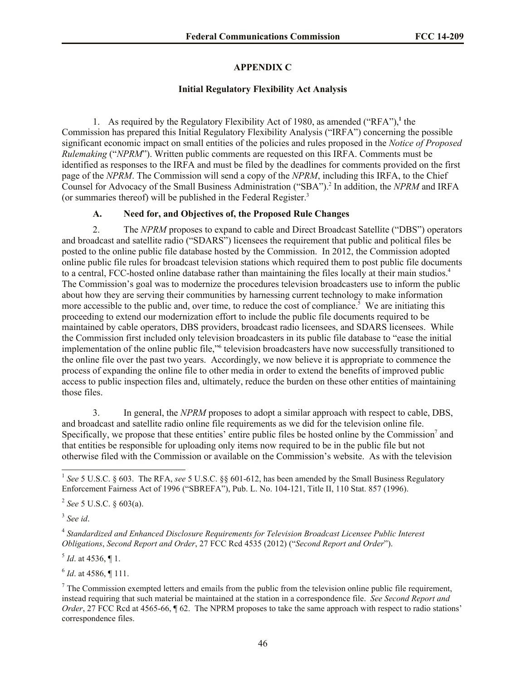# **APPENDIX C**

# **Initial Regulatory Flexibility Act Analysis**

1. As required by the Regulatory Flexibility Act of 1980, as amended ("RFA"),**<sup>1</sup>** the Commission has prepared this Initial Regulatory Flexibility Analysis ("IRFA") concerning the possible significant economic impact on small entities of the policies and rules proposed in the *Notice of Proposed Rulemaking* ("*NPRM*"). Written public comments are requested on this IRFA. Comments must be identified as responses to the IRFA and must be filed by the deadlines for comments provided on the first page of the *NPRM*. The Commission will send a copy of the *NPRM*, including this IRFA, to the Chief Counsel for Advocacy of the Small Business Administration ("SBA").<sup>2</sup> In addition, the *NPRM* and IRFA (or summaries thereof) will be published in the Federal Register. 3

# **A. Need for, and Objectives of, the Proposed Rule Changes**

2. The *NPRM* proposes to expand to cable and Direct Broadcast Satellite ("DBS") operators and broadcast and satellite radio ("SDARS") licensees the requirement that public and political files be posted to the online public file database hosted by the Commission. In 2012, the Commission adopted online public file rules for broadcast television stations which required them to post public file documents to a central, FCC-hosted online database rather than maintaining the files locally at their main studios.<sup>4</sup> The Commission's goal was to modernize the procedures television broadcasters use to inform the public about how they are serving their communities by harnessing current technology to make information more accessible to the public and, over time, to reduce the cost of compliance.<sup>5</sup> We are initiating this proceeding to extend our modernization effort to include the public file documents required to be maintained by cable operators, DBS providers, broadcast radio licensees, and SDARS licensees. While the Commission first included only television broadcasters in its public file database to "ease the initial implementation of the online public file,"<sup>6</sup> television broadcasters have now successfully transitioned to the online file over the past two years. Accordingly, we now believe it is appropriate to commence the process of expanding the online file to other media in order to extend the benefits of improved public access to public inspection files and, ultimately, reduce the burden on these other entities of maintaining those files.

3. In general, the *NPRM* proposes to adopt a similar approach with respect to cable, DBS, and broadcast and satellite radio online file requirements as we did for the television online file. Specifically, we propose that these entities' entire public files be hosted online by the Commission<sup>7</sup> and that entities be responsible for uploading only items now required to be in the public file but not otherwise filed with the Commission or available on the Commission's website. As with the television

3 *See id*.

4 *Standardized and Enhanced Disclosure Requirements for Television Broadcast Licensee Public Interest Obligations*, *Second Report and Order*, 27 FCC Rcd 4535 (2012) ("*Second Report and Order*").

 $<sup>5</sup>$  *Id.* at 4536,  $\P$  1.</sup>

6 *Id*. at 4586, ¶ 111.

 $<sup>7</sup>$  The Commission exempted letters and emails from the public from the television online public file requirement,</sup> instead requiring that such material be maintained at the station in a correspondence file. *See Second Report and Order*, 27 FCC Rcd at 4565-66,  $\sqrt{6}$  62. The NPRM proposes to take the same approach with respect to radio stations' correspondence files.

 $\overline{a}$ <sup>1</sup> See 5 U.S.C. § 603. The RFA, see 5 U.S.C. §§ 601-612, has been amended by the Small Business Regulatory Enforcement Fairness Act of 1996 ("SBREFA"), Pub. L. No. 104-121, Title II, 110 Stat. 857 (1996).

<sup>2</sup> *See* 5 U.S.C. § 603(a).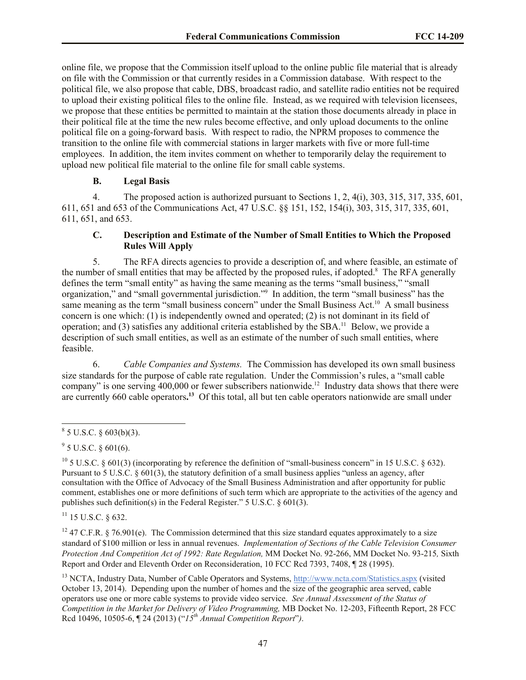online file, we propose that the Commission itself upload to the online public file material that is already on file with the Commission or that currently resides in a Commission database. With respect to the political file, we also propose that cable, DBS, broadcast radio, and satellite radio entities not be required to upload their existing political files to the online file. Instead, as we required with television licensees, we propose that these entities be permitted to maintain at the station those documents already in place in their political file at the time the new rules become effective, and only upload documents to the online political file on a going-forward basis. With respect to radio, the NPRM proposes to commence the transition to the online file with commercial stations in larger markets with five or more full-time employees. In addition, the item invites comment on whether to temporarily delay the requirement to upload new political file material to the online file for small cable systems.

## **B. Legal Basis**

4. The proposed action is authorized pursuant to Sections 1, 2, 4(i), 303, 315, 317, 335, 601, 611, 651 and 653 of the Communications Act, 47 U.S.C. §§ 151, 152, 154(i), 303, 315, 317, 335, 601, 611, 651, and 653.

# **C. Description and Estimate of the Number of Small Entities to Which the Proposed Rules Will Apply**

5. The RFA directs agencies to provide a description of, and where feasible, an estimate of the number of small entities that may be affected by the proposed rules, if adopted.<sup>8</sup> The RFA generally defines the term "small entity" as having the same meaning as the terms "small business," "small organization," and "small governmental jurisdiction."<sup>9</sup> In addition, the term "small business" has the same meaning as the term "small business concern" under the Small Business Act.<sup>10</sup> A small business concern is one which: (1) is independently owned and operated; (2) is not dominant in its field of operation; and (3) satisfies any additional criteria established by the SBA.<sup>11</sup> Below, we provide a description of such small entities, as well as an estimate of the number of such small entities, where feasible.

6. *Cable Companies and Systems.* The Commission has developed its own small business size standards for the purpose of cable rate regulation. Under the Commission's rules, a "small cable company" is one serving  $400,000$  or fewer subscribers nationwide.<sup>12</sup> Industry data shows that there were are currently 660 cable operators.<sup>13</sup> Of this total, all but ten cable operators nationwide are small under

 $11$  15 U.S.C.  $\&$  632.

<sup>12</sup> 47 C.F.R. § 76.901(e). The Commission determined that this size standard equates approximately to a size standard of \$100 million or less in annual revenues. *Implementation of Sections of the Cable Television Consumer Protection And Competition Act of 1992: Rate Regulation,* MM Docket No. 92-266, MM Docket No. 93-215*,* Sixth Report and Order and Eleventh Order on Reconsideration, 10 FCC Rcd 7393, 7408, ¶ 28 (1995).

<sup>13</sup> NCTA, Industry Data, Number of Cable Operators and Systems, http://www.ncta.com/Statistics.aspx (visited October 13, 2014). Depending upon the number of homes and the size of the geographic area served, cable operators use one or more cable systems to provide video service. *See Annual Assessment of the Status of Competition in the Market for Delivery of Video Programming,* MB Docket No. 12-203, Fifteenth Report, 28 FCC Rcd 10496, 10505-6, ¶ 24 (2013) ("*15th Annual Competition Report*"*)*.

 $8^8$  5 U.S.C. § 603(b)(3).

 $9^9$  5 U.S.C. § 601(6).

<sup>&</sup>lt;sup>10</sup> 5 U.S.C. § 601(3) (incorporating by reference the definition of "small-business concern" in 15 U.S.C. § 632). Pursuant to 5 U.S.C. § 601(3), the statutory definition of a small business applies "unless an agency, after consultation with the Office of Advocacy of the Small Business Administration and after opportunity for public comment, establishes one or more definitions of such term which are appropriate to the activities of the agency and publishes such definition(s) in the Federal Register." 5 U.S.C. § 601(3).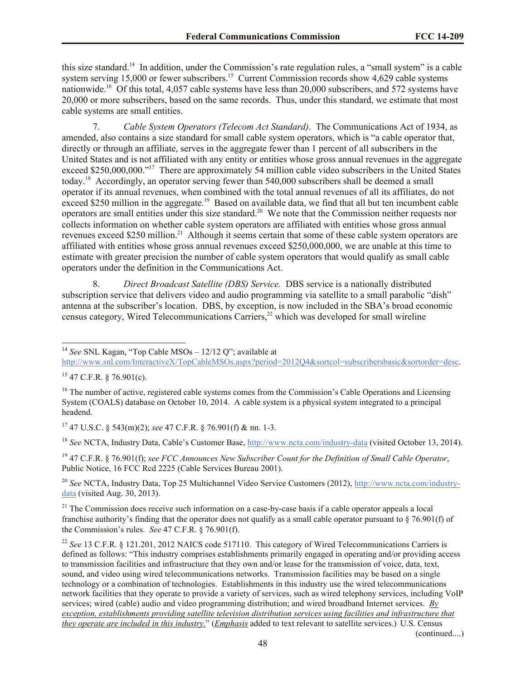this size standard.<sup>14</sup> In addition, under the Commission's rate regulation rules, a "small system" is a cable system serving 15,000 or fewer subscribers.<sup>15</sup> Current Commission records show 4,629 cable systems nationwide.<sup>16</sup> Of this total, 4,057 cable systems have less than 20,000 subscribers, and 572 systems have 20,000 or more subscribers, based on the same records. Thus, under this standard, we estimate that most cable systems are small entities.

7. *Cable System Operators (Telecom Act Standard)*.The Communications Act of 1934, as amended, also contains a size standard for small cable system operators, which is "a cable operator that, directly or through an affiliate, serves in the aggregate fewer than 1 percent of all subscribers in the United States and is not affiliated with any entity or entities whose gross annual revenues in the aggregate exceed \$250,000,000."<sup>17</sup> There are approximately 54 million cable video subscribers in the United States today.<sup>18</sup> Accordingly, an operator serving fewer than 540,000 subscribers shall be deemed a small operator if its annual revenues, when combined with the total annual revenues of all its affiliates, do not exceed \$250 million in the aggregate.<sup>19</sup> Based on available data, we find that all but ten incumbent cable operators are small entities under this size standard.<sup>20</sup> We note that the Commission neither requests nor collects information on whether cable system operators are affiliated with entities whose gross annual revenues exceed \$250 million.<sup>21</sup> Although it seems certain that some of these cable system operators are affiliated with entities whose gross annual revenues exceed \$250,000,000, we are unable at this time to estimate with greater precision the number of cable system operators that would qualify as small cable operators under the definition in the Communications Act.

8. *Direct Broadcast Satellite (DBS) Service.* DBS service is a nationally distributed subscription service that delivers video and audio programming via satellite to a small parabolic "dish" antenna at the subscriber's location. DBS, by exception, is now included in the SBA's broad economic census category, Wired Telecommunications Carriers, $^{22}$  which was developed for small wireline

<sup>14</sup> *See* SNL Kagan, "Top Cable MSOs – 12/12 Q"; available at

http://www.snl.com/InteractiveX/TopCableMSOs.aspx?period=2012Q4&sortcol=subscribersbasic&sortorder=desc.

l

<sup>17</sup> 47 U.S.C. § 543(m)(2); *see* 47 C.F.R. § 76.901(f) & nn. 1-3.

<sup>18</sup> *See* NCTA, Industry Data, Cable's Customer Base, http://www.ncta.com/industry-data (visited October 13, 2014).

<sup>19</sup> 47 C.F.R. § 76.901(f); *see FCC Announces New Subscriber Count for the Definition of Small Cable Operator*, Public Notice, 16 FCC Rcd 2225 (Cable Services Bureau 2001).

<sup>20</sup> *See* NCTA, Industry Data, Top 25 Multichannel Video Service Customers (2012), http://www.ncta.com/industrydata (visited Aug. 30, 2013).

 $21$  The Commission does receive such information on a case-by-case basis if a cable operator appeals a local franchise authority's finding that the operator does not qualify as a small cable operator pursuant to  $\S$  76.901(f) of the Commission's rules. *See* 47 C.F.R. § 76.901(f).

<sup>22</sup> See 13 C.F.R. § 121.201, 2012 NAICS code 517110. This category of Wired Telecommunications Carriers is defined as follows: "This industry comprises establishments primarily engaged in operating and/or providing access to transmission facilities and infrastructure that they own and/or lease for the transmission of voice, data, text, sound, and video using wired telecommunications networks. Transmission facilities may be based on a single technology or a combination of technologies. Establishments in this industry use the wired telecommunications network facilities that they operate to provide a variety of services, such as wired telephony services, including VoIP services; wired (cable) audio and video programming distribution; and wired broadband Internet services. *By exception, establishments providing satellite television distribution services using facilities and infrastructure that they operate are included in this industry.*" (*Emphasis* added to text relevant to satellite services.) U.S. Census

(continued....)

 $15$  47 C.F.R. § 76.901(c).

<sup>&</sup>lt;sup>16</sup> The number of active, registered cable systems comes from the Commission's Cable Operations and Licensing System (COALS) database on October 10, 2014. A cable system is a physical system integrated to a principal headend.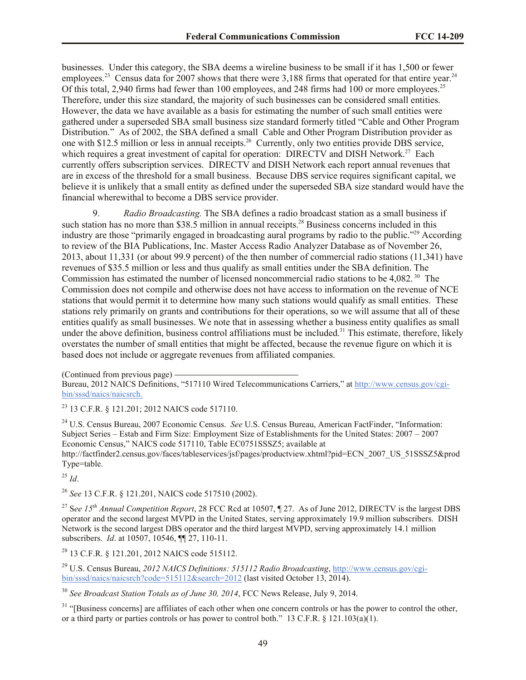businesses. Under this category, the SBA deems a wireline business to be small if it has 1,500 or fewer employees.<sup>23</sup> Census data for 2007 shows that there were 3,188 firms that operated for that entire year.<sup>24</sup> Of this total, 2,940 firms had fewer than 100 employees, and 248 firms had 100 or more employees.<sup>25</sup> Therefore, under this size standard, the majority of such businesses can be considered small entities. However, the data we have available as a basis for estimating the number of such small entities were gathered under a superseded SBA small business size standard formerly titled "Cable and Other Program Distribution." As of 2002, the SBA defined a small Cable and Other Program Distribution provider as one with \$12.5 million or less in annual receipts.<sup>26</sup> Currently, only two entities provide DBS service, which requires a great investment of capital for operation: DIRECTV and DISH Network.<sup>27</sup> Each currently offers subscription services. DIRECTV and DISH Network each report annual revenues that are in excess of the threshold for a small business. Because DBS service requires significant capital, we believe it is unlikely that a small entity as defined under the superseded SBA size standard would have the financial wherewithal to become a DBS service provider.

9. *Radio Broadcasting.* The SBA defines a radio broadcast station as a small business if such station has no more than \$38.5 million in annual receipts.<sup>28</sup> Business concerns included in this industry are those "primarily engaged in broadcasting aural programs by radio to the public."<sup>29</sup> According to review of the BIA Publications, Inc. Master Access Radio Analyzer Database as of November 26, 2013, about 11,331 (or about 99.9 percent) of the then number of commercial radio stations (11,341) have revenues of \$35.5 million or less and thus qualify as small entities under the SBA definition. The Commission has estimated the number of licensed noncommercial radio stations to be 4,082.<sup>30</sup> The Commission does not compile and otherwise does not have access to information on the revenue of NCE stations that would permit it to determine how many such stations would qualify as small entities. These stations rely primarily on grants and contributions for their operations, so we will assume that all of these entities qualify as small businesses. We note that in assessing whether a business entity qualifies as small under the above definition, business control affiliations must be included.<sup>31</sup> This estimate, therefore, likely overstates the number of small entities that might be affected, because the revenue figure on which it is based does not include or aggregate revenues from affiliated companies.

(Continued from previous page)

Bureau, 2012 NAICS Definitions, "517110 Wired Telecommunications Carriers," at http://www.census.gov/cgibin/sssd/naics/naicsrch.

<sup>23</sup> 13 C.F.R. § 121.201; 2012 NAICS code 517110.

<sup>24</sup> U.S. Census Bureau, 2007 Economic Census. *See* U.S. Census Bureau, American FactFinder, "Information: Subject Series – Estab and Firm Size: Employment Size of Establishments for the United States: 2007 – 2007 Economic Census," NAICS code 517110, Table EC0751SSSZ5; available at http://factfinder2.census.gov/faces/tableservices/jsf/pages/productview.xhtml?pid=ECN\_2007\_US\_51SSSZ5&prod Type=table.

<sup>25</sup> *Id*.

<sup>26</sup> *See* 13 C.F.R. § 121.201, NAICS code 517510 (2002).

<sup>27</sup> S*ee 15th Annual Competition Report*, 28 FCC Rcd at 10507, ¶ 27. As of June 2012, DIRECTV is the largest DBS operator and the second largest MVPD in the United States, serving approximately 19.9 million subscribers. DISH Network is the second largest DBS operator and the third largest MVPD, serving approximately 14.1 million subscribers. *Id*. at 10507, 10546, ¶¶ 27, 110-11.

<sup>28</sup> 13 C.F.R. § 121.201, 2012 NAICS code 515112.

<sup>29</sup> U.S. Census Bureau, *2012 NAICS Definitions: 515112 Radio Broadcasting*, http://www.census.gov/cgibin/sssd/naics/naicsrch?code=515112&search=2012 (last visited October 13, 2014).

<sup>30</sup> *See Broadcast Station Totals as of June 30, 2014*, FCC News Release, July 9, 2014.

<sup>31</sup> "[Business concerns] are affiliates of each other when one concern controls or has the power to control the other, or a third party or parties controls or has power to control both." 13 C.F.R.  $\S$  121.103(a)(1).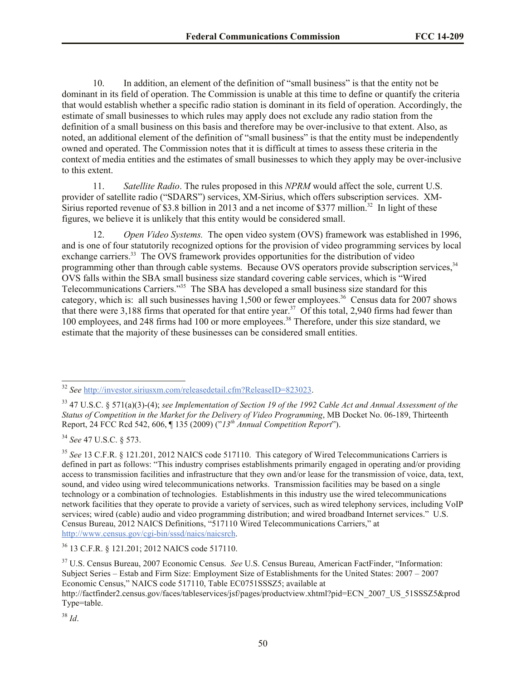10. In addition, an element of the definition of "small business" is that the entity not be dominant in its field of operation. The Commission is unable at this time to define or quantify the criteria that would establish whether a specific radio station is dominant in its field of operation. Accordingly, the estimate of small businesses to which rules may apply does not exclude any radio station from the definition of a small business on this basis and therefore may be over-inclusive to that extent. Also, as noted, an additional element of the definition of "small business" is that the entity must be independently owned and operated. The Commission notes that it is difficult at times to assess these criteria in the context of media entities and the estimates of small businesses to which they apply may be over-inclusive to this extent.

11. *Satellite Radio*. The rules proposed in this *NPRM* would affect the sole, current U.S. provider of satellite radio ("SDARS") services, XM-Sirius, which offers subscription services. XM-Sirius reported revenue of \$3.8 billion in 2013 and a net income of \$377 million.<sup>32</sup> In light of these figures, we believe it is unlikely that this entity would be considered small.

12. *Open Video Systems.* The open video system (OVS) framework was established in 1996, and is one of four statutorily recognized options for the provision of video programming services by local exchange carriers.<sup>33</sup> The OVS framework provides opportunities for the distribution of video programming other than through cable systems. Because OVS operators provide subscription services,<sup>34</sup> OVS falls within the SBA small business size standard covering cable services, which is "Wired Telecommunications Carriers."<sup>35</sup> The SBA has developed a small business size standard for this category, which is: all such businesses having  $1,500$  or fewer employees.<sup>36</sup> Census data for 2007 shows that there were  $3,188$  firms that operated for that entire year.<sup>37</sup> Of this total, 2,940 firms had fewer than 100 employees, and 248 firms had 100 or more employees.<sup>38</sup> Therefore, under this size standard, we estimate that the majority of these businesses can be considered small entities.

<sup>32</sup> *See* http://investor.siriusxm.com/releasedetail.cfm?ReleaseID=823023.

<sup>33</sup> 47 U.S.C. § 571(a)(3)-(4); *see Implementation of Section 19 of the 1992 Cable Act and Annual Assessment of the Status of Competition in the Market for the Delivery of Video Programming*, MB Docket No. 06-189, Thirteenth Report, 24 FCC Rcd 542, 606, ¶ 135 (2009) ("*13th Annual Competition Report*").

<sup>34</sup> *See* 47 U.S.C. § 573.

<sup>35</sup> *See* 13 C.F.R. § 121.201, 2012 NAICS code 517110. This category of Wired Telecommunications Carriers is defined in part as follows: "This industry comprises establishments primarily engaged in operating and/or providing access to transmission facilities and infrastructure that they own and/or lease for the transmission of voice, data, text, sound, and video using wired telecommunications networks. Transmission facilities may be based on a single technology or a combination of technologies. Establishments in this industry use the wired telecommunications network facilities that they operate to provide a variety of services, such as wired telephony services, including VoIP services; wired (cable) audio and video programming distribution; and wired broadband Internet services." U.S. Census Bureau, 2012 NAICS Definitions, "517110 Wired Telecommunications Carriers," at http://www.census.gov/cgi-bin/sssd/naics/naicsrch.

<sup>36</sup> 13 C.F.R. § 121.201; 2012 NAICS code 517110.

<sup>37</sup> U.S. Census Bureau, 2007 Economic Census. *See* U.S. Census Bureau, American FactFinder, "Information: Subject Series – Estab and Firm Size: Employment Size of Establishments for the United States: 2007 – 2007 Economic Census," NAICS code 517110, Table EC0751SSSZ5; available at http://factfinder2.census.gov/faces/tableservices/jsf/pages/productview.xhtml?pid=ECN\_2007\_US\_51SSSZ5&prod

Type=table.

<sup>38</sup> *Id*.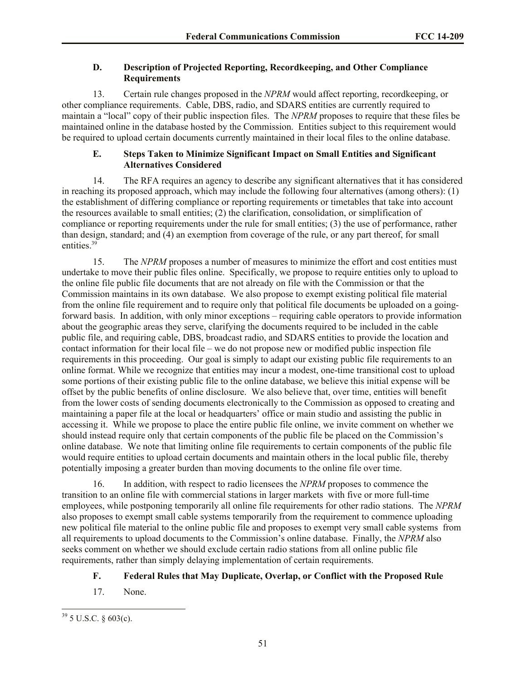## **D. Description of Projected Reporting, Recordkeeping, and Other Compliance Requirements**

13. Certain rule changes proposed in the *NPRM* would affect reporting, recordkeeping, or other compliance requirements. Cable, DBS, radio, and SDARS entities are currently required to maintain a "local" copy of their public inspection files. The *NPRM* proposes to require that these files be maintained online in the database hosted by the Commission. Entities subject to this requirement would be required to upload certain documents currently maintained in their local files to the online database.

# **E. Steps Taken to Minimize Significant Impact on Small Entities and Significant Alternatives Considered**

14. The RFA requires an agency to describe any significant alternatives that it has considered in reaching its proposed approach, which may include the following four alternatives (among others): (1) the establishment of differing compliance or reporting requirements or timetables that take into account the resources available to small entities; (2) the clarification, consolidation, or simplification of compliance or reporting requirements under the rule for small entities; (3) the use of performance, rather than design, standard; and (4) an exemption from coverage of the rule, or any part thereof, for small entities.<sup>39</sup>

15. The *NPRM* proposes a number of measures to minimize the effort and cost entities must undertake to move their public files online. Specifically, we propose to require entities only to upload to the online file public file documents that are not already on file with the Commission or that the Commission maintains in its own database. We also propose to exempt existing political file material from the online file requirement and to require only that political file documents be uploaded on a goingforward basis. In addition, with only minor exceptions – requiring cable operators to provide information about the geographic areas they serve, clarifying the documents required to be included in the cable public file, and requiring cable, DBS, broadcast radio, and SDARS entities to provide the location and contact information for their local file – we do not propose new or modified public inspection file requirements in this proceeding. Our goal is simply to adapt our existing public file requirements to an online format. While we recognize that entities may incur a modest, one-time transitional cost to upload some portions of their existing public file to the online database, we believe this initial expense will be offset by the public benefits of online disclosure. We also believe that, over time, entities will benefit from the lower costs of sending documents electronically to the Commission as opposed to creating and maintaining a paper file at the local or headquarters' office or main studio and assisting the public in accessing it. While we propose to place the entire public file online, we invite comment on whether we should instead require only that certain components of the public file be placed on the Commission's online database. We note that limiting online file requirements to certain components of the public file would require entities to upload certain documents and maintain others in the local public file, thereby potentially imposing a greater burden than moving documents to the online file over time.

16. In addition, with respect to radio licensees the *NPRM* proposes to commence the transition to an online file with commercial stations in larger markets with five or more full-time employees, while postponing temporarily all online file requirements for other radio stations. The *NPRM* also proposes to exempt small cable systems temporarily from the requirement to commence uploading new political file material to the online public file and proposes to exempt very small cable systems from all requirements to upload documents to the Commission's online database. Finally, the *NPRM* also seeks comment on whether we should exclude certain radio stations from all online public file requirements, rather than simply delaying implementation of certain requirements.

# **F. Federal Rules that May Duplicate, Overlap, or Conflict with the Proposed Rule**

17. None.

 $\overline{a}$  $39$  5 U.S.C. § 603(c).